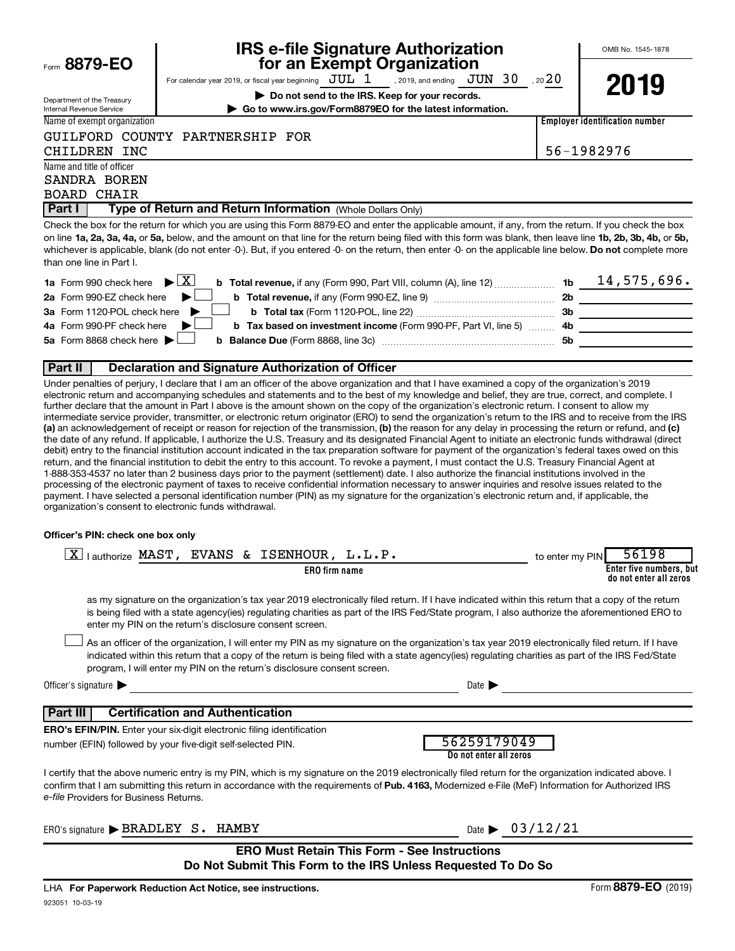$F_{\text{form}}$  8879-EC

Department of the Treasury Internal Revenue Service

# **IRS e-file Signature Authorization**<br>**687 For an Exempt Organization**

OMB No. 1545-1878

For calendar year 2019, or fiscal year beginning  $JUL 1$ , 2019, and ending  $JUN 30$ , 20  $20$ , 2019, and ending  $JUN$  30

**| Do not send to the IRS. Keep for your records. | Go to www.irs.gov/Form8879EO for the latest information.** **2019**

| $\mathbf{v}$ , of the $\mathbf{v}$ , $\mathbf{v}$ and the fatest find mation. |                                       |
|-------------------------------------------------------------------------------|---------------------------------------|
|                                                                               | <b>Employer identification number</b> |

#### GUILFORD COUNTY PARTNERSHIP FOR

Name and title of officer SANDRA BOREN BOARD CHAIR

Name of exempt organization

CHILDREN INC 56-1982976

**Part I** | Type of Return and Return Information (Whole Dollars Only)

on line 1a, 2a, 3a, 4a, or 5a, below, and the amount on that line for the return being filed with this form was blank, then leave line 1b, 2b, 3b, 4b, or 5b, whichever is applicable, blank (do not enter -0-). But, if you entered -0- on the return, then enter -0- on the applicable line below. **Do not** complete more Check the box for the return for which you are using this Form 8879-EO and enter the applicable amount, if any, from the return. If you check the box than one line in Part I.

| <b>1a</b> Form 990 check here $\triangleright \boxed{X}$                                                                     | 1 <sub>b</sub> | 14,575,696. |
|------------------------------------------------------------------------------------------------------------------------------|----------------|-------------|
| 2a Form 990-EZ check here $\blacktriangleright$                                                                              | -2b            |             |
|                                                                                                                              | 3b             |             |
| 4a Form 990-PF check here $\blacktriangleright$<br><b>b</b> Tax based on investment income (Form 990-PF, Part VI, line 5) 4b |                |             |
|                                                                                                                              | .5b            |             |
|                                                                                                                              |                |             |

#### **Part II Declaration and Signature Authorization of Officer**

(a) an acknowledgement of receipt or reason for rejection of the transmission, (b) the reason for any delay in processing the return or refund, and (c) Under penalties of perjury, I declare that I am an officer of the above organization and that I have examined a copy of the organization's 2019 electronic return and accompanying schedules and statements and to the best of my knowledge and belief, they are true, correct, and complete. I further declare that the amount in Part I above is the amount shown on the copy of the organization's electronic return. I consent to allow my intermediate service provider, transmitter, or electronic return originator (ERO) to send the organization's return to the IRS and to receive from the IRS the date of any refund. If applicable, I authorize the U.S. Treasury and its designated Financial Agent to initiate an electronic funds withdrawal (direct debit) entry to the financial institution account indicated in the tax preparation software for payment of the organization's federal taxes owed on this return, and the financial institution to debit the entry to this account. To revoke a payment, I must contact the U.S. Treasury Financial Agent at 1-888-353-4537 no later than 2 business days prior to the payment (settlement) date. I also authorize the financial institutions involved in the processing of the electronic payment of taxes to receive confidential information necessary to answer inquiries and resolve issues related to the payment. I have selected a personal identification number (PIN) as my signature for the organization's electronic return and, if applicable, the organization's consent to electronic funds withdrawal.

#### **Officer's PIN: check one box only**

| $\overline{\mathbf{x}}$<br>▵<br>authorize | MAST<br><b>EVANS</b> | ISENHOUR<br>$\mathbf{\alpha}$ | / PIN<br>to enter my | ۹۶.<br>nn                                         |
|-------------------------------------------|----------------------|-------------------------------|----------------------|---------------------------------------------------|
| ER0<br>) firm name                        |                      |                               |                      | Enter five numbers, but<br>do not enter all zeros |

as my signature on the organization's tax year 2019 electronically filed return. If I have indicated within this return that a copy of the return is being filed with a state agency(ies) regulating charities as part of the IRS Fed/State program, I also authorize the aforementioned ERO to enter my PIN on the return's disclosure consent screen.

As an officer of the organization, I will enter my PIN as my signature on the organization's tax year 2019 electronically filed return. If I have indicated within this return that a copy of the return is being filed with a state agency(ies) regulating charities as part of the IRS Fed/State program, I will enter my PIN on the return's disclosure consent screen.  $\Box$ 

Officer's signature  $\blacktriangleright$  Date  $\blacktriangleright$ 

#### **Part III Certification and Authentication**

**ERO's EFIN/PIN.** Enter your six-digit electronic filing identification number (EFIN) followed by your five-digit self-selected PIN.

| 56259179049            |
|------------------------|
|                        |
| Do not enter all zeros |
|                        |

confirm that I am submitting this return in accordance with the requirements of Pub. 4163, Modernized e-File (MeF) Information for Authorized IRS *e-file*  Providers for Business Returns. I certify that the above numeric entry is my PIN, which is my signature on the 2019 electronically filed return for the organization indicated above. I

| ERO's<br>, signature <b>i</b> | $_{\rm{ure}}\blacktriangleright$ BRADLEY | ు. | $\mathbf{A}$ AMRV | Jate |  |
|-------------------------------|------------------------------------------|----|-------------------|------|--|
|                               |                                          |    |                   |      |  |

| $\lambda$ ate |  | 03/12/21 |  |  |  |
|---------------|--|----------|--|--|--|
|               |  |          |  |  |  |

#### **ERO Must Retain This Form - See Instructions Do Not Submit This Form to the IRS Unless Requested To Do So**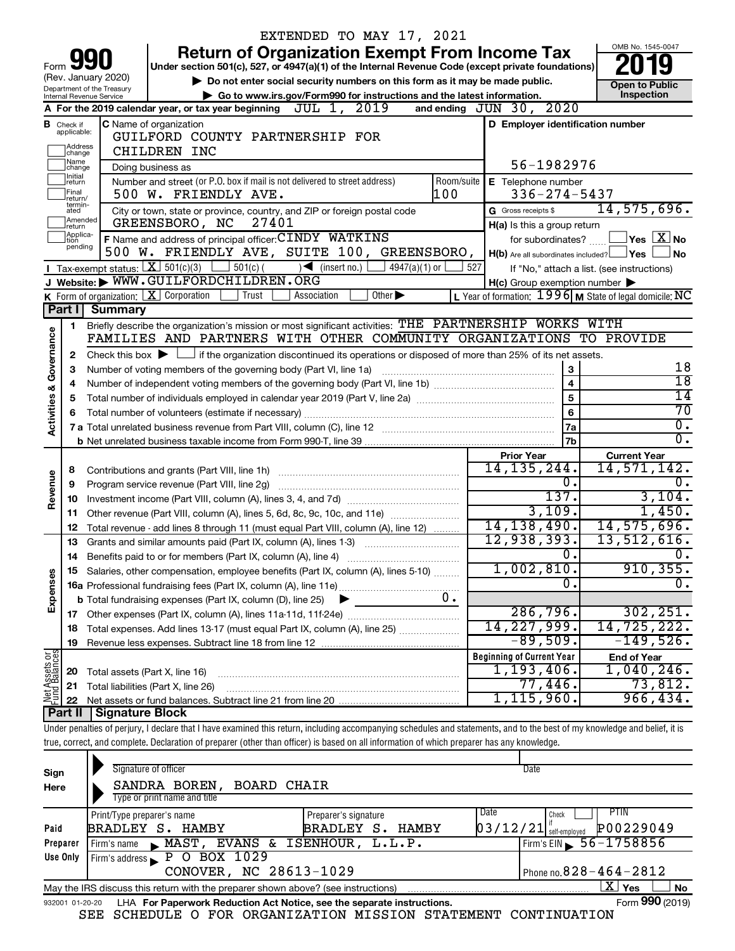|                                |                             |                                                                                   | EXTENDED TO MAY 17, 2021                                                                                                                                                                                         |                             |                 |                                                         |                                                           |
|--------------------------------|-----------------------------|-----------------------------------------------------------------------------------|------------------------------------------------------------------------------------------------------------------------------------------------------------------------------------------------------------------|-----------------------------|-----------------|---------------------------------------------------------|-----------------------------------------------------------|
|                                |                             |                                                                                   | <b>Return of Organization Exempt From Income Tax</b>                                                                                                                                                             |                             |                 |                                                         | OMB No. 1545-0047                                         |
| Form                           |                             |                                                                                   | Under section 501(c), 527, or 4947(a)(1) of the Internal Revenue Code (except private foundations)                                                                                                               |                             |                 |                                                         |                                                           |
|                                |                             | (Rev. January 2020)                                                               | Do not enter social security numbers on this form as it may be made public.                                                                                                                                      |                             |                 |                                                         | Open to Public                                            |
|                                |                             | Department of the Treasury<br>Internal Revenue Service                            | Go to www.irs.gov/Form990 for instructions and the latest information.                                                                                                                                           |                             |                 |                                                         | Inspection                                                |
|                                |                             |                                                                                   | A For the 2019 calendar year, or tax year beginning $JUL$ 1, $2019$                                                                                                                                              |                             |                 | and ending JUN 30, 2020                                 |                                                           |
|                                | <b>B</b> Check if           |                                                                                   | C Name of organization                                                                                                                                                                                           |                             |                 | D Employer identification number                        |                                                           |
|                                | applicable:                 |                                                                                   | GUILFORD COUNTY PARTNERSHIP FOR                                                                                                                                                                                  |                             |                 |                                                         |                                                           |
|                                | Address<br>change           |                                                                                   | CHILDREN INC                                                                                                                                                                                                     |                             |                 |                                                         |                                                           |
|                                | Name<br>change              |                                                                                   | Doing business as                                                                                                                                                                                                |                             |                 | 56-1982976                                              |                                                           |
|                                | <b>I</b> nitial<br>return   |                                                                                   | Number and street (or P.O. box if mail is not delivered to street address)                                                                                                                                       |                             | Room/suite      | <b>E</b> Telephone number                               |                                                           |
|                                | Final<br>return/<br>termin- |                                                                                   | 500 W. FRIENDLY AVE.                                                                                                                                                                                             |                             | 100             | $336 - 274 - 5437$                                      |                                                           |
|                                | ated<br>Amended             |                                                                                   | City or town, state or province, country, and ZIP or foreign postal code                                                                                                                                         |                             |                 | G Gross receipts \$                                     | 14,575,696.                                               |
|                                | return<br>Applica-          |                                                                                   | GREENSBORO, NC<br>27401                                                                                                                                                                                          |                             |                 | H(a) Is this a group return                             |                                                           |
|                                | ltion<br>pending            |                                                                                   | F Name and address of principal officer: CINDY WATKINS                                                                                                                                                           |                             |                 | for subordinates?                                       | $\Box$ Yes $\Box X$ No                                    |
|                                |                             |                                                                                   | 500 W. FRIENDLY AVE, SUITE 100, GREENSBORO,                                                                                                                                                                      |                             |                 | $H(b)$ Are all subordinates included? $\Box$ Yes $\Box$ | <b>No</b>                                                 |
|                                |                             |                                                                                   | <b>I</b> Tax-exempt status: $X \ 501(c)(3)$ $1 \ 501(c)$<br>$\sqrt{\bullet}$ (insert no.)                                                                                                                        | $4947(a)(1)$ or             | 527             |                                                         | If "No," attach a list. (see instructions)                |
|                                |                             |                                                                                   | J Website: WWW.GUILFORDCHILDREN.ORG<br>Trust                                                                                                                                                                     | Other $\blacktriangleright$ |                 | $H(c)$ Group exemption number $\blacktriangleright$     |                                                           |
|                                | Part I                      | <b>K</b> Form of organization: $\boxed{\mathbf{X}}$ Corporation<br><b>Summary</b> | Association                                                                                                                                                                                                      |                             |                 |                                                         | L Year of formation: $1996$ M State of legal domicile: NC |
|                                |                             |                                                                                   | Briefly describe the organization's mission or most significant activities: THE PARTNERSHIP WORKS WITH                                                                                                           |                             |                 |                                                         |                                                           |
|                                | 1                           |                                                                                   | FAMILIES AND PARTNERS WITH OTHER COMMUNITY ORGANIZATIONS TO PROVIDE                                                                                                                                              |                             |                 |                                                         |                                                           |
| Governance                     |                             |                                                                                   |                                                                                                                                                                                                                  |                             |                 |                                                         |                                                           |
|                                | 2<br>3                      |                                                                                   | Check this box $\blacktriangleright$ $\Box$ if the organization discontinued its operations or disposed of more than 25% of its net assets.<br>Number of voting members of the governing body (Part VI, line 1a) |                             |                 | 3                                                       | 18                                                        |
|                                | 4                           |                                                                                   |                                                                                                                                                                                                                  |                             |                 | $\overline{\mathbf{4}}$                                 | $\overline{18}$                                           |
| <b>Activities &amp;</b>        | 5                           |                                                                                   |                                                                                                                                                                                                                  | 5                           | $\overline{14}$ |                                                         |                                                           |
|                                | 6                           |                                                                                   |                                                                                                                                                                                                                  |                             |                 | 6                                                       | $\overline{70}$                                           |
|                                |                             |                                                                                   |                                                                                                                                                                                                                  |                             |                 | 7a                                                      | $\overline{0}$ .                                          |
|                                |                             |                                                                                   |                                                                                                                                                                                                                  |                             |                 | 7b                                                      | $\overline{0}$ .                                          |
|                                |                             |                                                                                   |                                                                                                                                                                                                                  |                             |                 | <b>Prior Year</b>                                       | <b>Current Year</b>                                       |
|                                | 8                           |                                                                                   |                                                                                                                                                                                                                  |                             |                 | 14, 135, 244.                                           | 14,571,142.                                               |
| Revenue                        | 9                           |                                                                                   | Program service revenue (Part VIII, line 2g)                                                                                                                                                                     |                             |                 | 0.                                                      | Ο.                                                        |
|                                | 10                          |                                                                                   |                                                                                                                                                                                                                  |                             |                 | 137.                                                    | 3,104.                                                    |
|                                | 11                          |                                                                                   | Other revenue (Part VIII, column (A), lines 5, 6d, 8c, 9c, 10c, and 11e)                                                                                                                                         |                             |                 | 3,109.                                                  | 1,450.                                                    |
|                                | 12                          |                                                                                   | Total revenue - add lines 8 through 11 (must equal Part VIII, column (A), line 12)                                                                                                                               |                             |                 | 14, 138, 490.                                           | 14,575,696.                                               |
|                                | 13                          |                                                                                   | Grants and similar amounts paid (Part IX, column (A), lines 1-3)                                                                                                                                                 |                             |                 | 12,938,393.                                             | 13,512,616.                                               |
|                                | 14                          |                                                                                   | Benefits paid to or for members (Part IX, column (A), line 4)                                                                                                                                                    |                             |                 | 0.                                                      | $\overline{0}$ .                                          |
|                                |                             |                                                                                   | 15 Salaries, other compensation, employee benefits (Part IX, column (A), lines 5-10)                                                                                                                             |                             |                 | 1,002,810.                                              | 910, 355.                                                 |
|                                |                             |                                                                                   |                                                                                                                                                                                                                  |                             |                 | $\overline{0}$ .                                        | $\overline{0}$ .                                          |
| Expenses                       |                             |                                                                                   | <b>b</b> Total fundraising expenses (Part IX, column (D), line 25)<br>▸                                                                                                                                          |                             | 0.              |                                                         |                                                           |
|                                |                             |                                                                                   |                                                                                                                                                                                                                  |                             |                 | 286,796.                                                | 302, 251.                                                 |
|                                | 18                          |                                                                                   | Total expenses. Add lines 13-17 (must equal Part IX, column (A), line 25)                                                                                                                                        |                             |                 | 14,227,999.                                             | 14,725,222.                                               |
|                                | 19                          |                                                                                   |                                                                                                                                                                                                                  |                             |                 | $-89,509.$                                              | $-149,526.$                                               |
| Net Assets or<br>Fund Balances |                             |                                                                                   |                                                                                                                                                                                                                  |                             |                 | <b>Beginning of Current Year</b>                        | <b>End of Year</b>                                        |
|                                | 20                          | Total assets (Part X, line 16)                                                    |                                                                                                                                                                                                                  |                             |                 | $1,193,406$ .                                           | 1,040,246.                                                |
|                                | 21                          |                                                                                   | Total liabilities (Part X, line 26)                                                                                                                                                                              |                             |                 | 77,446.                                                 | 73,812.<br>966, 434.                                      |
|                                | 22<br>Part II               | <b>Signature Block</b>                                                            |                                                                                                                                                                                                                  |                             |                 | 1, 115, 960.                                            |                                                           |
|                                |                             |                                                                                   | Under penalties of perjury, I declare that I have examined this return, including accompanying schedules and statements, and to the best of my knowledge and belief, it is                                       |                             |                 |                                                         |                                                           |
|                                |                             |                                                                                   | true, correct, and complete. Declaration of preparer (other than officer) is based on all information of which preparer has any knowledge.                                                                       |                             |                 |                                                         |                                                           |
|                                |                             |                                                                                   |                                                                                                                                                                                                                  |                             |                 |                                                         |                                                           |
| Sign                           |                             |                                                                                   | Signature of officer                                                                                                                                                                                             |                             |                 | Date                                                    |                                                           |
| Here                           |                             |                                                                                   | <b>BOARD CHAIR</b><br>SANDRA BOREN,                                                                                                                                                                              |                             |                 |                                                         |                                                           |
|                                |                             |                                                                                   | Type or print name and title                                                                                                                                                                                     |                             |                 |                                                         |                                                           |
|                                |                             |                                                                                   |                                                                                                                                                                                                                  |                             |                 |                                                         |                                                           |

|          | Print/Type preparer's name                                                                     | Preparer's signature | Date                                  | PTIN<br>Check |  |  |  |  |  |  |
|----------|------------------------------------------------------------------------------------------------|----------------------|---------------------------------------|---------------|--|--|--|--|--|--|
| Paid     | BRADLEY S. HAMBY                                                                               | BRADLEY S. HAMBY     | $\left[03/12/21\right]$ self-employed | P00229049     |  |  |  |  |  |  |
| Preparer | Firm's name MAST, EVANS & ISENHOUR, L.L.P.                                                     |                      | $\frac{1}{2}$ Firm's EIN 56-1758856   |               |  |  |  |  |  |  |
| Use Only | $1$ Firm's address $\blacktriangleright$ P O BOX 1029                                          |                      |                                       |               |  |  |  |  |  |  |
|          | CONOVER, NC 28613-1029                                                                         |                      | Phone no. $828 - 464 - 2812$          |               |  |  |  |  |  |  |
|          | No<br>May the IRS discuss this return with the preparer shown above? (see instructions)<br>Yes |                      |                                       |               |  |  |  |  |  |  |
|          | $\mathbf{A}$<br>$\overline{\phantom{0}}$                                                       |                      |                                       |               |  |  |  |  |  |  |

| 932001 01-20-20 LHA For Paperwork Reduction Act Notice, see the separate instructions.<br>SEE SCHEDULE O FOR ORGANIZATION MISSION STATEMENT CONTINUATION |  |  |  |  | Form 990 (2019) |  |
|----------------------------------------------------------------------------------------------------------------------------------------------------------|--|--|--|--|-----------------|--|
|                                                                                                                                                          |  |  |  |  |                 |  |

Form **990** (2019)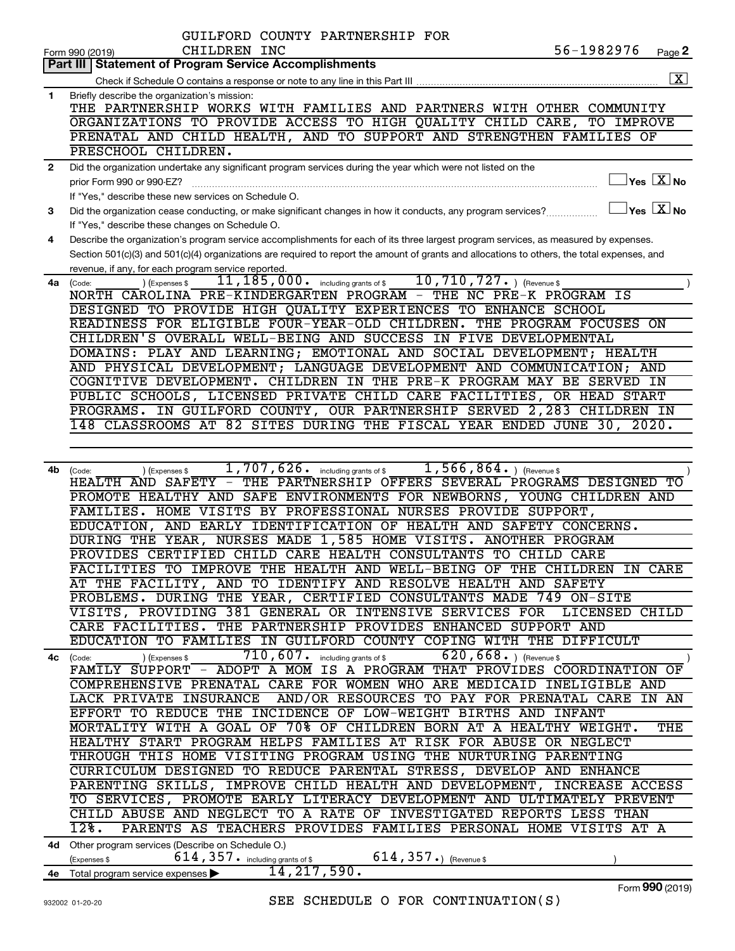|                | GUILFORD COUNTY PARTNERSHIP FOR                                                                                                              |
|----------------|----------------------------------------------------------------------------------------------------------------------------------------------|
|                | 56-1982976<br>CHILDREN INC<br>Page 2<br>Form 990 (2019)                                                                                      |
|                | <b>Part III Statement of Program Service Accomplishments</b>                                                                                 |
|                | $\overline{\mathbf{X}}$                                                                                                                      |
| 1              | Briefly describe the organization's mission:                                                                                                 |
|                | THE PARTNERSHIP WORKS WITH FAMILIES AND PARTNERS WITH OTHER COMMUNITY                                                                        |
|                | ORGANIZATIONS TO PROVIDE ACCESS TO HIGH QUALITY CHILD CARE,<br>TO IMPROVE                                                                    |
|                | PRENATAL AND CHILD HEALTH, AND TO SUPPORT AND STRENGTHEN FAMILIES OF                                                                         |
|                | PRESCHOOL CHILDREN.                                                                                                                          |
| $\overline{2}$ | Did the organization undertake any significant program services during the year which were not listed on the                                 |
|                | $\exists$ Yes $\boxed{\text{X}}$ No                                                                                                          |
|                | prior Form 990 or 990-EZ?                                                                                                                    |
|                | If "Yes," describe these new services on Schedule O.                                                                                         |
| 3              | $\Box$ Yes $\Box X$ No<br>Did the organization cease conducting, or make significant changes in how it conducts, any program services?       |
|                | If "Yes," describe these changes on Schedule O.                                                                                              |
| 4              | Describe the organization's program service accomplishments for each of its three largest program services, as measured by expenses.         |
|                | Section 501(c)(3) and 501(c)(4) organizations are required to report the amount of grants and allocations to others, the total expenses, and |
|                | revenue, if any, for each program service reported.                                                                                          |
| 4a             | 10, 710, 727. ) (Revenue \$<br>11, 185, 000.<br>including grants of \$<br>(Expenses \$<br>(Code:                                             |
|                | NORTH CAROLINA PRE-KINDERGARTEN PROGRAM - THE NC PRE-K PROGRAM IS                                                                            |
|                | DESIGNED TO PROVIDE HIGH QUALITY EXPERIENCES TO ENHANCE SCHOOL                                                                               |
|                | READINESS FOR ELIGIBLE FOUR-YEAR-OLD CHILDREN.<br>THE PROGRAM FOCUSES ON                                                                     |
|                | CHILDREN'S OVERALL WELL-BEING AND SUCCESS IN FIVE DEVELOPMENTAL                                                                              |
|                | DOMAINS: PLAY AND LEARNING; EMOTIONAL AND SOCIAL DEVELOPMENT; HEALTH                                                                         |
|                | AND PHYSICAL DEVELOPMENT; LANGUAGE DEVELOPMENT AND COMMUNICATION; AND                                                                        |
|                | COGNITIVE DEVELOPMENT. CHILDREN IN THE PRE-K PROGRAM MAY BE SERVED IN                                                                        |
|                | PUBLIC SCHOOLS, LICENSED PRIVATE CHILD CARE FACILITIES, OR HEAD START                                                                        |
|                | PROGRAMS. IN GUILFORD COUNTY, OUR PARTNERSHIP SERVED 2,283 CHILDREN IN                                                                       |
|                | 148 CLASSROOMS AT 82 SITES DURING THE FISCAL YEAR ENDED JUNE 30, 2020.                                                                       |
|                |                                                                                                                                              |
|                |                                                                                                                                              |
|                | $\overline{1,707,626}$ including grants of \$<br>$1,566,864.$ (Revenue \$                                                                    |
| 4b             | ) (Expenses \$<br>(Code:<br>THE PARTNERSHIP OFFERS SEVERAL PROGRAMS DESIGNED<br>HEALTH AND SAFETY -<br>TO                                    |
|                |                                                                                                                                              |
|                | PROMOTE HEALTHY AND SAFE ENVIRONMENTS FOR NEWBORNS, YOUNG CHILDREN AND                                                                       |
|                | FAMILIES. HOME VISITS BY PROFESSIONAL NURSES PROVIDE SUPPORT,                                                                                |
|                | EDUCATION, AND EARLY IDENTIFICATION OF HEALTH AND SAFETY CONCERNS.                                                                           |
|                | DURING THE YEAR, NURSES MADE 1,585 HOME VISITS. ANOTHER PROGRAM                                                                              |
|                | PROVIDES CERTIFIED CHILD CARE HEALTH CONSULTANTS TO CHILD CARE                                                                               |
|                | FACILITIES TO IMPROVE THE HEALTH AND WELL-BEING OF THE CHILDREN IN CARE                                                                      |
|                | AT THE FACILITY, AND TO IDENTIFY AND RESOLVE HEALTH AND SAFETY                                                                               |
|                | PROBLEMS. DURING THE YEAR, CERTIFIED CONSULTANTS MADE 749 ON-SITE                                                                            |
|                | VISITS, PROVIDING 381 GENERAL OR INTENSIVE SERVICES FOR LICENSED CHILD                                                                       |
|                | CARE FACILITIES. THE PARTNERSHIP PROVIDES ENHANCED SUPPORT AND                                                                               |
|                | EDUCATION TO FAMILIES IN GUILFORD COUNTY COPING WITH THE DIFFICULT                                                                           |
|                | 710, 607. including grants of \$<br>$620, 668.$ ) (Revenue \$<br>) (Expenses \$<br>4c (Code:                                                 |
|                | FAMILY SUPPORT - ADOPT A MOM IS A PROGRAM THAT PROVIDES COORDINATION OF                                                                      |
|                | COMPREHENSIVE PRENATAL CARE FOR WOMEN WHO ARE MEDICAID INELIGIBLE AND                                                                        |
|                | LACK PRIVATE INSURANCE AND/OR RESOURCES TO PAY FOR PRENATAL CARE IN AN                                                                       |
|                | EFFORT TO REDUCE THE INCIDENCE OF LOW-WEIGHT BIRTHS AND INFANT                                                                               |
|                | MORTALITY WITH A GOAL OF 70% OF CHILDREN BORN AT A HEALTHY WEIGHT.<br>THE                                                                    |
|                | HEALTHY START PROGRAM HELPS FAMILIES AT RISK FOR ABUSE OR NEGLECT                                                                            |
|                | THROUGH THIS HOME VISITING PROGRAM USING THE NURTURING PARENTING                                                                             |
|                | CURRICULUM DESIGNED TO REDUCE PARENTAL STRESS, DEVELOP AND ENHANCE                                                                           |
|                | PARENTING SKILLS, IMPROVE CHILD HEALTH AND DEVELOPMENT, INCREASE ACCESS                                                                      |
|                | TO SERVICES, PROMOTE EARLY LITERACY DEVELOPMENT AND ULTIMATELY PREVENT                                                                       |
|                | CHILD ABUSE AND NEGLECT TO A RATE OF INVESTIGATED REPORTS LESS THAN                                                                          |
|                | PARENTS AS TEACHERS PROVIDES FAMILIES PERSONAL HOME VISITS AT A<br>$\overline{128}$ .                                                        |
|                |                                                                                                                                              |
|                | 4d Other program services (Describe on Schedule O.)                                                                                          |
|                | 614, 357. including grants of \$<br>$614, 357$ $\cdot$ ) (Revenue \$<br>(Expenses \$                                                         |
|                | 14, 217, 590.<br>4e Total program service expenses                                                                                           |

Form (2019) **990**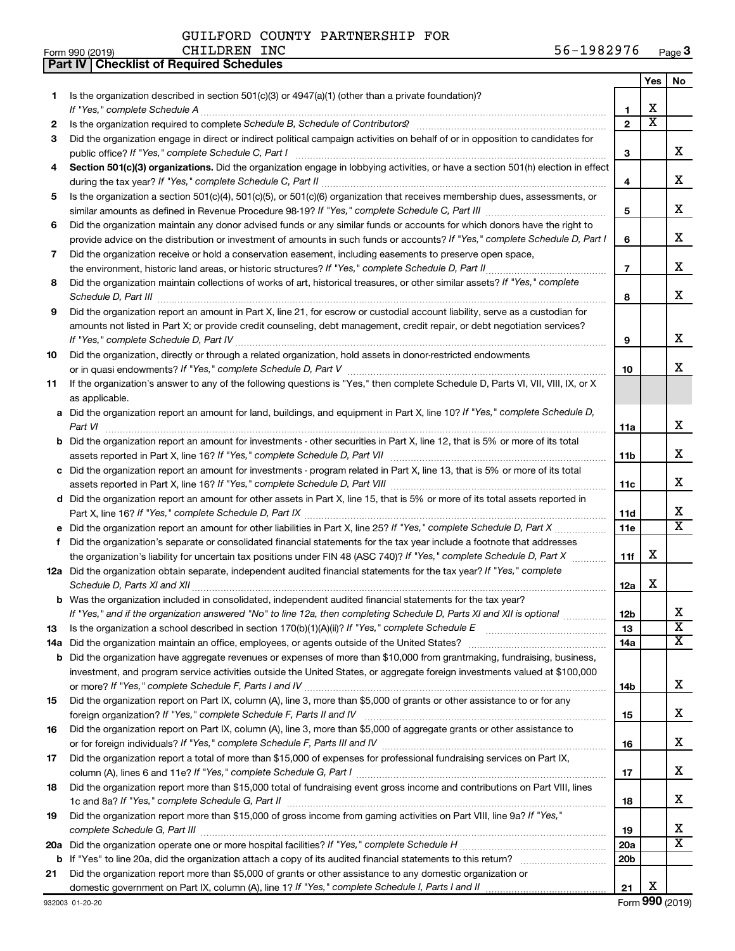**Part IV Checklist of Required Schedules**

| Form 990 (2019) | <b>CHILDREN</b><br>INC | 56-1982976<br>c.<br>Page 3 |
|-----------------|------------------------|----------------------------|
|-----------------|------------------------|----------------------------|

|     |                                                                                                                                                                                                                                                  |                 | Yes                   | No                            |
|-----|--------------------------------------------------------------------------------------------------------------------------------------------------------------------------------------------------------------------------------------------------|-----------------|-----------------------|-------------------------------|
| 1.  | Is the organization described in section $501(c)(3)$ or $4947(a)(1)$ (other than a private foundation)?                                                                                                                                          |                 |                       |                               |
|     | If "Yes," complete Schedule A                                                                                                                                                                                                                    | 1               | х                     |                               |
| 2   | Is the organization required to complete Schedule B, Schedule of Contributors? [11] the organization required to complete Schedule B, Schedule of Contributors?                                                                                  | $\overline{2}$  | $\overline{\text{x}}$ |                               |
| 3   | Did the organization engage in direct or indirect political campaign activities on behalf of or in opposition to candidates for                                                                                                                  |                 |                       |                               |
|     |                                                                                                                                                                                                                                                  | з               |                       | x                             |
| 4   | Section 501(c)(3) organizations. Did the organization engage in lobbying activities, or have a section 501(h) election in effect                                                                                                                 |                 |                       |                               |
|     |                                                                                                                                                                                                                                                  | 4               |                       | x                             |
| 5   | Is the organization a section 501(c)(4), 501(c)(5), or 501(c)(6) organization that receives membership dues, assessments, or                                                                                                                     |                 |                       |                               |
|     |                                                                                                                                                                                                                                                  | 5               |                       | x                             |
| 6   | Did the organization maintain any donor advised funds or any similar funds or accounts for which donors have the right to                                                                                                                        |                 |                       | x                             |
|     | provide advice on the distribution or investment of amounts in such funds or accounts? If "Yes," complete Schedule D, Part I                                                                                                                     | 6               |                       |                               |
| 7   | Did the organization receive or hold a conservation easement, including easements to preserve open space,                                                                                                                                        | $\overline{7}$  |                       | х                             |
|     | .<br>Did the organization maintain collections of works of art, historical treasures, or other similar assets? If "Yes," complete                                                                                                                |                 |                       |                               |
| 8   |                                                                                                                                                                                                                                                  | 8               |                       | х                             |
| 9   | Did the organization report an amount in Part X, line 21, for escrow or custodial account liability, serve as a custodian for                                                                                                                    |                 |                       |                               |
|     | amounts not listed in Part X; or provide credit counseling, debt management, credit repair, or debt negotiation services?                                                                                                                        |                 |                       |                               |
|     | If "Yes," complete Schedule D, Part IV                                                                                                                                                                                                           | 9               |                       | х                             |
| 10  | Did the organization, directly or through a related organization, hold assets in donor-restricted endowments                                                                                                                                     |                 |                       |                               |
|     |                                                                                                                                                                                                                                                  | 10              |                       | x                             |
| 11  | If the organization's answer to any of the following questions is "Yes," then complete Schedule D, Parts VI, VII, VIII, IX, or X                                                                                                                 |                 |                       |                               |
|     | as applicable.                                                                                                                                                                                                                                   |                 |                       |                               |
|     | a Did the organization report an amount for land, buildings, and equipment in Part X, line 10? If "Yes," complete Schedule D,                                                                                                                    |                 |                       |                               |
|     | Part VI                                                                                                                                                                                                                                          | 11a             |                       | x                             |
|     | <b>b</b> Did the organization report an amount for investments - other securities in Part X, line 12, that is 5% or more of its total                                                                                                            |                 |                       |                               |
|     |                                                                                                                                                                                                                                                  | 11 <sub>b</sub> |                       | x                             |
|     | c Did the organization report an amount for investments - program related in Part X, line 13, that is 5% or more of its total                                                                                                                    |                 |                       |                               |
|     |                                                                                                                                                                                                                                                  | 11c             |                       | x                             |
|     | d Did the organization report an amount for other assets in Part X, line 15, that is 5% or more of its total assets reported in                                                                                                                  |                 |                       |                               |
|     |                                                                                                                                                                                                                                                  | 11d             |                       | x                             |
|     |                                                                                                                                                                                                                                                  | 11e             |                       | $\overline{\text{X}}$         |
| f   | Did the organization's separate or consolidated financial statements for the tax year include a footnote that addresses                                                                                                                          |                 |                       |                               |
|     | the organization's liability for uncertain tax positions under FIN 48 (ASC 740)? If "Yes," complete Schedule D, Part X                                                                                                                           | 11f             | x                     |                               |
|     | 12a Did the organization obtain separate, independent audited financial statements for the tax year? If "Yes," complete                                                                                                                          |                 | x                     |                               |
|     | Schedule D, Parts XI and XII                                                                                                                                                                                                                     | 12a             |                       |                               |
|     | <b>b</b> Was the organization included in consolidated, independent audited financial statements for the tax year?<br>If "Yes," and if the organization answered "No" to line 12a, then completing Schedule D, Parts XI and XII is optional www. | 12 <sub>b</sub> |                       |                               |
| 13  | Is the organization a school described in section $170(b)(1)(A)(ii)?$ If "Yes," complete Schedule E                                                                                                                                              | 13              |                       | ∡⊾<br>$\overline{\textbf{X}}$ |
| 14a | Did the organization maintain an office, employees, or agents outside of the United States?                                                                                                                                                      | 14a             |                       | х                             |
|     | <b>b</b> Did the organization have aggregate revenues or expenses of more than \$10,000 from grantmaking, fundraising, business,                                                                                                                 |                 |                       |                               |
|     | investment, and program service activities outside the United States, or aggregate foreign investments valued at \$100,000                                                                                                                       |                 |                       |                               |
|     |                                                                                                                                                                                                                                                  | 14b             |                       | x                             |
| 15  | Did the organization report on Part IX, column (A), line 3, more than \$5,000 of grants or other assistance to or for any                                                                                                                        |                 |                       |                               |
|     |                                                                                                                                                                                                                                                  | 15              |                       | x                             |
| 16  | Did the organization report on Part IX, column (A), line 3, more than \$5,000 of aggregate grants or other assistance to                                                                                                                         |                 |                       |                               |
|     |                                                                                                                                                                                                                                                  | 16              |                       | x                             |
| 17  | Did the organization report a total of more than \$15,000 of expenses for professional fundraising services on Part IX,                                                                                                                          |                 |                       |                               |
|     |                                                                                                                                                                                                                                                  | 17              |                       | x                             |
| 18  | Did the organization report more than \$15,000 total of fundraising event gross income and contributions on Part VIII, lines                                                                                                                     |                 |                       |                               |
|     |                                                                                                                                                                                                                                                  | 18              |                       | x                             |
| 19  | Did the organization report more than \$15,000 of gross income from gaming activities on Part VIII, line 9a? If "Yes,"                                                                                                                           |                 |                       |                               |
|     |                                                                                                                                                                                                                                                  | 19              |                       | x                             |
| 20a |                                                                                                                                                                                                                                                  | 20a             |                       | x                             |
|     |                                                                                                                                                                                                                                                  | 20 <sub>b</sub> |                       |                               |
| 21  | Did the organization report more than \$5,000 of grants or other assistance to any domestic organization or                                                                                                                                      |                 | х                     |                               |
|     | domestic government on Part IX, column (A), line 1? If "Yes," complete Schedule I, Parts I and II                                                                                                                                                | 21              |                       |                               |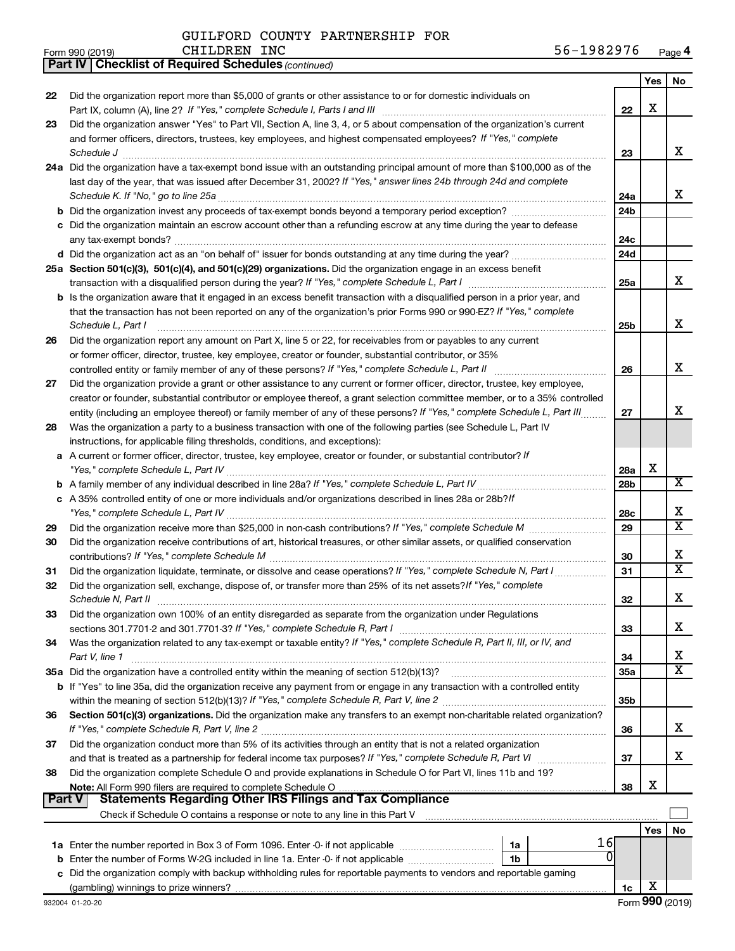|  |  | GUILFORD COUNTY PARTNERSHIP FOR |  |
|--|--|---------------------------------|--|
|--|--|---------------------------------|--|

*(continued)*

**Part IV Checklist of Required Schedules**

| Form 990 (2019) | <b>CHILDREN</b><br>INC | 1982976<br>56– | Page 4 |
|-----------------|------------------------|----------------|--------|
|-----------------|------------------------|----------------|--------|

|               |                                                                                                                                                                                                                                    |                 | Yes        | No                      |
|---------------|------------------------------------------------------------------------------------------------------------------------------------------------------------------------------------------------------------------------------------|-----------------|------------|-------------------------|
| 22            | Did the organization report more than \$5,000 of grants or other assistance to or for domestic individuals on                                                                                                                      |                 |            |                         |
|               | Part IX, column (A), line 2? If "Yes," complete Schedule I, Parts I and III                                                                                                                                                        | 22              | х          |                         |
| 23            | Did the organization answer "Yes" to Part VII, Section A, line 3, 4, or 5 about compensation of the organization's current                                                                                                         |                 |            |                         |
|               | and former officers, directors, trustees, key employees, and highest compensated employees? If "Yes," complete                                                                                                                     |                 |            |                         |
|               | Schedule J <b>Execute J Execute Contract Contract Contract Contract Contract Contract Contract Contract Contract Contract Contract Contract Contract Contract Contract Contract Contract Contract Contract Contract Contract C</b> | 23              |            | x                       |
|               | 24a Did the organization have a tax-exempt bond issue with an outstanding principal amount of more than \$100,000 as of the                                                                                                        |                 |            |                         |
|               | last day of the year, that was issued after December 31, 2002? If "Yes," answer lines 24b through 24d and complete                                                                                                                 |                 |            |                         |
|               | Schedule K. If "No," go to line 25a                                                                                                                                                                                                | 24a             |            | x                       |
|               |                                                                                                                                                                                                                                    | 24 <sub>b</sub> |            |                         |
|               | Did the organization maintain an escrow account other than a refunding escrow at any time during the year to defease                                                                                                               |                 |            |                         |
|               | any tax-exempt bonds?                                                                                                                                                                                                              | 24c             |            |                         |
|               |                                                                                                                                                                                                                                    | 24d             |            |                         |
|               | 25a Section 501(c)(3), 501(c)(4), and 501(c)(29) organizations. Did the organization engage in an excess benefit                                                                                                                   | 25a             |            | x                       |
|               | b Is the organization aware that it engaged in an excess benefit transaction with a disqualified person in a prior year, and                                                                                                       |                 |            |                         |
|               | that the transaction has not been reported on any of the organization's prior Forms 990 or 990-EZ? If "Yes," complete                                                                                                              |                 |            |                         |
|               | Schedule L, Part I                                                                                                                                                                                                                 | 25b             |            | x                       |
| 26            | Did the organization report any amount on Part X, line 5 or 22, for receivables from or payables to any current                                                                                                                    |                 |            |                         |
|               | or former officer, director, trustee, key employee, creator or founder, substantial contributor, or 35%                                                                                                                            |                 |            |                         |
|               | controlled entity or family member of any of these persons? If "Yes," complete Schedule L, Part II                                                                                                                                 | 26              |            | x                       |
| 27            | Did the organization provide a grant or other assistance to any current or former officer, director, trustee, key employee,                                                                                                        |                 |            |                         |
|               | creator or founder, substantial contributor or employee thereof, a grant selection committee member, or to a 35% controlled                                                                                                        |                 |            |                         |
|               | entity (including an employee thereof) or family member of any of these persons? If "Yes," complete Schedule L, Part III                                                                                                           | 27              |            | x                       |
| 28            | Was the organization a party to a business transaction with one of the following parties (see Schedule L, Part IV                                                                                                                  |                 |            |                         |
|               | instructions, for applicable filing thresholds, conditions, and exceptions):                                                                                                                                                       |                 |            |                         |
| a             | A current or former officer, director, trustee, key employee, creator or founder, or substantial contributor? If                                                                                                                   |                 |            |                         |
|               |                                                                                                                                                                                                                                    | 28a             | x          |                         |
|               |                                                                                                                                                                                                                                    | 28 <sub>b</sub> |            | $\overline{\text{X}}$   |
|               | c A 35% controlled entity of one or more individuals and/or organizations described in lines 28a or 28b?If                                                                                                                         |                 |            |                         |
|               |                                                                                                                                                                                                                                    | 28c             |            | х                       |
| 29            |                                                                                                                                                                                                                                    | 29              |            | $\overline{\texttt{x}}$ |
| 30            | Did the organization receive contributions of art, historical treasures, or other similar assets, or qualified conservation                                                                                                        |                 |            |                         |
|               |                                                                                                                                                                                                                                    | 30              |            | х                       |
| 31            | Did the organization liquidate, terminate, or dissolve and cease operations? If "Yes," complete Schedule N, Part I                                                                                                                 | 31              |            | X                       |
| 32            | Did the organization sell, exchange, dispose of, or transfer more than 25% of its net assets? If "Yes," complete                                                                                                                   |                 |            |                         |
|               | Schedule N, Part II                                                                                                                                                                                                                | 32              |            | х                       |
| 33            | Did the organization own 100% of an entity disregarded as separate from the organization under Regulations                                                                                                                         |                 |            | х                       |
|               | sections 301.7701-2 and 301.7701-3? If "Yes," complete Schedule R, Part I<br>Was the organization related to any tax-exempt or taxable entity? If "Yes," complete Schedule R, Part II, III, or IV, and                             | 33              |            |                         |
| 34            | Part V, line 1                                                                                                                                                                                                                     | 34              |            | х                       |
|               | 35a Did the organization have a controlled entity within the meaning of section 512(b)(13)?                                                                                                                                        | 35a             |            | x                       |
|               | b If "Yes" to line 35a, did the organization receive any payment from or engage in any transaction with a controlled entity                                                                                                        |                 |            |                         |
|               |                                                                                                                                                                                                                                    | 35 <sub>b</sub> |            |                         |
| 36            | Section 501(c)(3) organizations. Did the organization make any transfers to an exempt non-charitable related organization?                                                                                                         |                 |            |                         |
|               |                                                                                                                                                                                                                                    | 36              |            | х                       |
| 37            | Did the organization conduct more than 5% of its activities through an entity that is not a related organization                                                                                                                   |                 |            |                         |
|               |                                                                                                                                                                                                                                    | 37              |            | x.                      |
| 38            | Did the organization complete Schedule O and provide explanations in Schedule O for Part VI, lines 11b and 19?                                                                                                                     |                 |            |                         |
|               |                                                                                                                                                                                                                                    | 38              | х          |                         |
| <b>Part V</b> | <b>Statements Regarding Other IRS Filings and Tax Compliance</b>                                                                                                                                                                   |                 |            |                         |
|               |                                                                                                                                                                                                                                    |                 |            |                         |
|               |                                                                                                                                                                                                                                    |                 | <b>Yes</b> | No                      |
|               | 16<br>1a Enter the number reported in Box 3 of Form 1096. Enter -0- if not applicable<br>1a                                                                                                                                        |                 |            |                         |
| b             | Enter the number of Forms W-2G included in line 1a. Enter -0- if not applicable<br>1b                                                                                                                                              |                 |            |                         |
|               | c Did the organization comply with backup withholding rules for reportable payments to vendors and reportable gaming                                                                                                               |                 |            |                         |
|               |                                                                                                                                                                                                                                    | 1c              | х          |                         |
|               | 932004 01-20-20                                                                                                                                                                                                                    |                 |            | Form 990 (2019)         |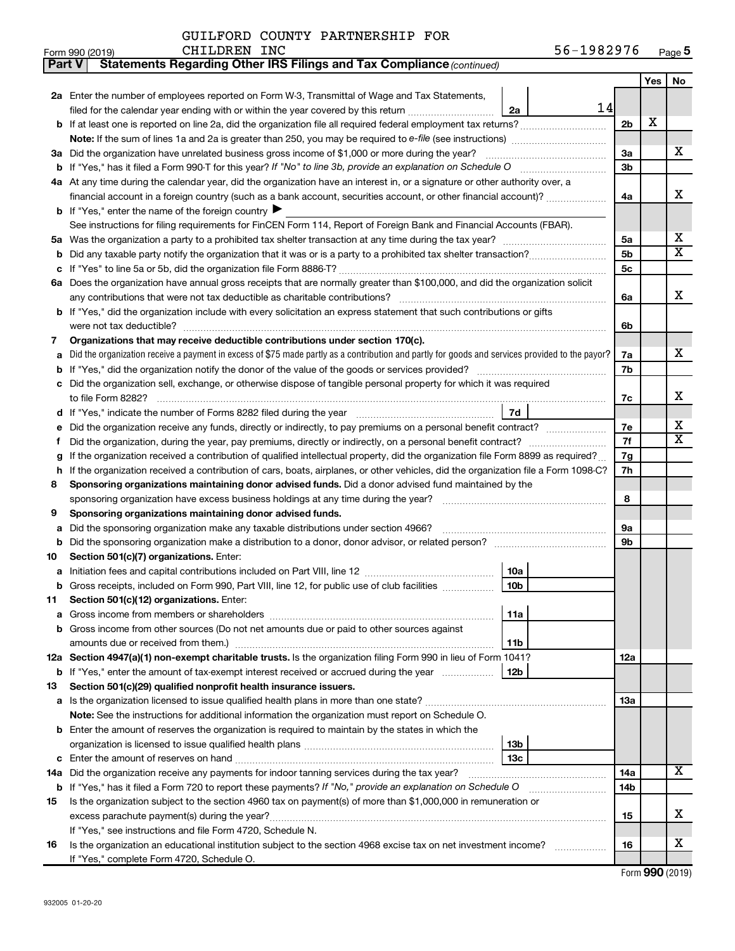| Part V | Statements Regarding Other IRS Filings and Tax Compliance (continued)                                                                                                                                                           |                |     |                         |  |  |  |  |  |  |
|--------|---------------------------------------------------------------------------------------------------------------------------------------------------------------------------------------------------------------------------------|----------------|-----|-------------------------|--|--|--|--|--|--|
|        |                                                                                                                                                                                                                                 |                | Yes | No                      |  |  |  |  |  |  |
|        | 2a Enter the number of employees reported on Form W-3, Transmittal of Wage and Tax Statements,                                                                                                                                  |                |     |                         |  |  |  |  |  |  |
|        | 14<br>filed for the calendar year ending with or within the year covered by this return<br>2a                                                                                                                                   |                |     |                         |  |  |  |  |  |  |
| b      | If at least one is reported on line 2a, did the organization file all required federal employment tax returns?                                                                                                                  | 2 <sub>b</sub> | X   |                         |  |  |  |  |  |  |
|        | Note: If the sum of lines 1a and 2a is greater than 250, you may be required to e-file (see instructions) <i>managereroum</i>                                                                                                   |                |     |                         |  |  |  |  |  |  |
| За     | Did the organization have unrelated business gross income of \$1,000 or more during the year?                                                                                                                                   |                |     |                         |  |  |  |  |  |  |
| b      |                                                                                                                                                                                                                                 |                |     |                         |  |  |  |  |  |  |
|        | 4a At any time during the calendar year, did the organization have an interest in, or a signature or other authority over, a                                                                                                    |                |     |                         |  |  |  |  |  |  |
|        | financial account in a foreign country (such as a bank account, securities account, or other financial account)?                                                                                                                | 4a             |     | x                       |  |  |  |  |  |  |
|        | <b>b</b> If "Yes," enter the name of the foreign country $\blacktriangleright$                                                                                                                                                  |                |     |                         |  |  |  |  |  |  |
|        | See instructions for filing requirements for FinCEN Form 114, Report of Foreign Bank and Financial Accounts (FBAR).                                                                                                             |                |     |                         |  |  |  |  |  |  |
| 5a     |                                                                                                                                                                                                                                 | 5a             |     | x                       |  |  |  |  |  |  |
| b      |                                                                                                                                                                                                                                 | 5b             |     | $\overline{\mathtt{x}}$ |  |  |  |  |  |  |
|        |                                                                                                                                                                                                                                 | 5c             |     |                         |  |  |  |  |  |  |
|        | 6a Does the organization have annual gross receipts that are normally greater than \$100,000, and did the organization solicit                                                                                                  |                |     |                         |  |  |  |  |  |  |
|        |                                                                                                                                                                                                                                 | 6a             |     | x                       |  |  |  |  |  |  |
| b      | If "Yes," did the organization include with every solicitation an express statement that such contributions or gifts                                                                                                            |                |     |                         |  |  |  |  |  |  |
|        |                                                                                                                                                                                                                                 | 6b             |     |                         |  |  |  |  |  |  |
| 7      | Organizations that may receive deductible contributions under section 170(c).                                                                                                                                                   |                |     |                         |  |  |  |  |  |  |
| a      | Did the organization receive a payment in excess of \$75 made partly as a contribution and partly for goods and services provided to the payor?                                                                                 | 7a             |     | x                       |  |  |  |  |  |  |
| b      |                                                                                                                                                                                                                                 | 7b             |     |                         |  |  |  |  |  |  |
|        | Did the organization sell, exchange, or otherwise dispose of tangible personal property for which it was required                                                                                                               |                |     | x                       |  |  |  |  |  |  |
|        | 7d                                                                                                                                                                                                                              | 7с             |     |                         |  |  |  |  |  |  |
| d      |                                                                                                                                                                                                                                 | 7e             |     | x                       |  |  |  |  |  |  |
| f      | Did the organization receive any funds, directly or indirectly, to pay premiums on a personal benefit contract?<br>Did the organization, during the year, pay premiums, directly or indirectly, on a personal benefit contract? |                |     |                         |  |  |  |  |  |  |
| g      | If the organization received a contribution of qualified intellectual property, did the organization file Form 8899 as required?                                                                                                |                |     |                         |  |  |  |  |  |  |
| h      | If the organization received a contribution of cars, boats, airplanes, or other vehicles, did the organization file a Form 1098-C?                                                                                              |                |     |                         |  |  |  |  |  |  |
| 8      | Sponsoring organizations maintaining donor advised funds. Did a donor advised fund maintained by the                                                                                                                            |                |     |                         |  |  |  |  |  |  |
|        | sponsoring organization have excess business holdings at any time during the year?                                                                                                                                              | 8              |     |                         |  |  |  |  |  |  |
| 9      | Sponsoring organizations maintaining donor advised funds.                                                                                                                                                                       |                |     |                         |  |  |  |  |  |  |
| а      | Did the sponsoring organization make any taxable distributions under section 4966?                                                                                                                                              | 9а             |     |                         |  |  |  |  |  |  |
| b      | Did the sponsoring organization make a distribution to a donor, donor advisor, or related person?                                                                                                                               | 9b             |     |                         |  |  |  |  |  |  |
| 10     | Section 501(c)(7) organizations. Enter:                                                                                                                                                                                         |                |     |                         |  |  |  |  |  |  |
| а      | 10a                                                                                                                                                                                                                             |                |     |                         |  |  |  |  |  |  |
|        | 10 <sub>b</sub><br>Gross receipts, included on Form 990, Part VIII, line 12, for public use of club facilities                                                                                                                  |                |     |                         |  |  |  |  |  |  |
| 11     | Section 501(c)(12) organizations. Enter:                                                                                                                                                                                        |                |     |                         |  |  |  |  |  |  |
| а      | 11a                                                                                                                                                                                                                             |                |     |                         |  |  |  |  |  |  |
| b      | Gross income from other sources (Do not net amounts due or paid to other sources against                                                                                                                                        |                |     |                         |  |  |  |  |  |  |
|        | amounts due or received from them.)<br>11 <sub>b</sub>                                                                                                                                                                          |                |     |                         |  |  |  |  |  |  |
|        | 12a Section 4947(a)(1) non-exempt charitable trusts. Is the organization filing Form 990 in lieu of Form 1041?                                                                                                                  | 12a            |     |                         |  |  |  |  |  |  |
|        | b If "Yes," enter the amount of tax-exempt interest received or accrued during the year<br>12b                                                                                                                                  |                |     |                         |  |  |  |  |  |  |
| 13     | Section 501(c)(29) qualified nonprofit health insurance issuers.                                                                                                                                                                |                |     |                         |  |  |  |  |  |  |
|        | a Is the organization licensed to issue qualified health plans in more than one state?                                                                                                                                          | 1За            |     |                         |  |  |  |  |  |  |
|        | <b>Note:</b> See the instructions for additional information the organization must report on Schedule O.                                                                                                                        |                |     |                         |  |  |  |  |  |  |
| b      | Enter the amount of reserves the organization is required to maintain by the states in which the                                                                                                                                |                |     |                         |  |  |  |  |  |  |
|        | 13b<br>13c                                                                                                                                                                                                                      |                |     |                         |  |  |  |  |  |  |
| с      | 14a Did the organization receive any payments for indoor tanning services during the tax year?                                                                                                                                  | 14a            |     | X                       |  |  |  |  |  |  |
|        | <b>b</b> If "Yes," has it filed a Form 720 to report these payments? If "No," provide an explanation on Schedule O                                                                                                              | 14b            |     |                         |  |  |  |  |  |  |
| 15     | Is the organization subject to the section 4960 tax on payment(s) of more than \$1,000,000 in remuneration or                                                                                                                   |                |     |                         |  |  |  |  |  |  |
|        |                                                                                                                                                                                                                                 | 15             |     | х                       |  |  |  |  |  |  |
|        | If "Yes," see instructions and file Form 4720, Schedule N.                                                                                                                                                                      |                |     |                         |  |  |  |  |  |  |
| 16     | Is the organization an educational institution subject to the section 4968 excise tax on net investment income?                                                                                                                 | 16             |     | x                       |  |  |  |  |  |  |
|        | If "Yes," complete Form 4720, Schedule O.                                                                                                                                                                                       |                |     |                         |  |  |  |  |  |  |

Form (2019) **990**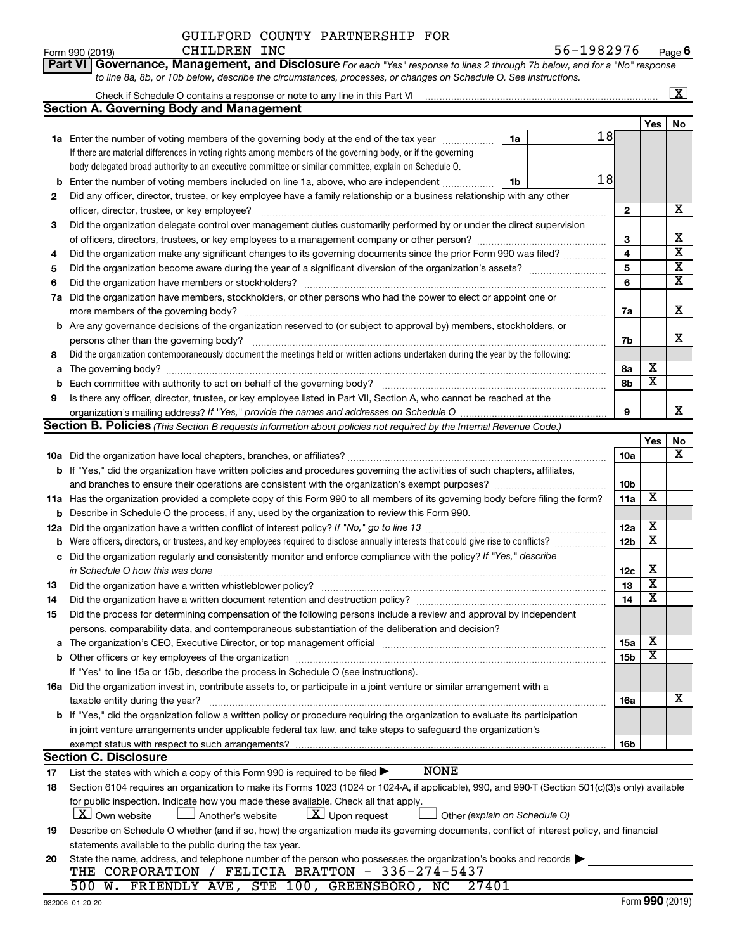|  |  |  | Part VI   Governance, Management, and Disclosure For each "Yes" response to lines 2 through 7b below, and for a "No" response |  |  |
|--|--|--|-------------------------------------------------------------------------------------------------------------------------------|--|--|
|  |  |  | to line 8a, 8b, or 10b below, describe the circumstances, processes, or changes on Schedule O. See instructions.              |  |  |

|             | Check if Schedule O contains a response or note to any line in this Part VI [11] [12] Check if Schedule O contains a response or note to any line in this Part VI |    |    |                     |                         | $\overline{\mathbf{x}}$ |  |  |  |  |  |
|-------------|-------------------------------------------------------------------------------------------------------------------------------------------------------------------|----|----|---------------------|-------------------------|-------------------------|--|--|--|--|--|
|             | <b>Section A. Governing Body and Management</b>                                                                                                                   |    |    |                     |                         |                         |  |  |  |  |  |
|             |                                                                                                                                                                   |    |    |                     | Yes                     | No                      |  |  |  |  |  |
|             | 1a Enter the number of voting members of the governing body at the end of the tax year                                                                            | 1a | 18 |                     |                         |                         |  |  |  |  |  |
|             | If there are material differences in voting rights among members of the governing body, or if the governing                                                       |    |    |                     |                         |                         |  |  |  |  |  |
|             | body delegated broad authority to an executive committee or similar committee, explain on Schedule O.                                                             |    |    |                     |                         |                         |  |  |  |  |  |
|             | 18<br>Enter the number of voting members included on line 1a, above, who are independent<br>1b                                                                    |    |    |                     |                         |                         |  |  |  |  |  |
| 2           | Did any officer, director, trustee, or key employee have a family relationship or a business relationship with any other                                          |    |    |                     |                         |                         |  |  |  |  |  |
|             | officer, director, trustee, or key employee?                                                                                                                      |    |    |                     |                         |                         |  |  |  |  |  |
| 3           | Did the organization delegate control over management duties customarily performed by or under the direct supervision                                             |    |    |                     |                         |                         |  |  |  |  |  |
|             |                                                                                                                                                                   |    |    |                     |                         |                         |  |  |  |  |  |
| 4           | Did the organization make any significant changes to its governing documents since the prior Form 990 was filed?                                                  |    |    |                     |                         |                         |  |  |  |  |  |
| 5           |                                                                                                                                                                   |    |    | $\overline{4}$<br>5 |                         | $\overline{\textbf{x}}$ |  |  |  |  |  |
| 6           |                                                                                                                                                                   |    |    | 6                   |                         | $\overline{\textbf{x}}$ |  |  |  |  |  |
| 7a          | Did the organization have members, stockholders, or other persons who had the power to elect or appoint one or                                                    |    |    |                     |                         |                         |  |  |  |  |  |
|             |                                                                                                                                                                   |    |    | 7a                  |                         | X                       |  |  |  |  |  |
|             | <b>b</b> Are any governance decisions of the organization reserved to (or subject to approval by) members, stockholders, or                                       |    |    |                     |                         |                         |  |  |  |  |  |
|             | persons other than the governing body?                                                                                                                            |    |    | 7b                  |                         | x                       |  |  |  |  |  |
| 8           | Did the organization contemporaneously document the meetings held or written actions undertaken during the year by the following:                                 |    |    |                     |                         |                         |  |  |  |  |  |
| a           |                                                                                                                                                                   |    |    | 8а                  | х                       |                         |  |  |  |  |  |
| $\mathbf b$ | Each committee with authority to act on behalf of the governing body?                                                                                             |    |    | 8b                  | $\overline{\mathbf{x}}$ |                         |  |  |  |  |  |
| 9           | Is there any officer, director, trustee, or key employee listed in Part VII, Section A, who cannot be reached at the                                              |    |    |                     |                         |                         |  |  |  |  |  |
|             |                                                                                                                                                                   |    |    | 9                   |                         | x.                      |  |  |  |  |  |
|             | Section B. Policies (This Section B requests information about policies not required by the Internal Revenue Code.)                                               |    |    |                     |                         |                         |  |  |  |  |  |
|             |                                                                                                                                                                   |    |    |                     | Yes                     | No                      |  |  |  |  |  |
|             |                                                                                                                                                                   |    |    | <b>10a</b>          |                         | X                       |  |  |  |  |  |
|             | b If "Yes," did the organization have written policies and procedures governing the activities of such chapters, affiliates,                                      |    |    |                     |                         |                         |  |  |  |  |  |
|             |                                                                                                                                                                   |    |    | 10 <sub>b</sub>     |                         |                         |  |  |  |  |  |
|             | 11a Has the organization provided a complete copy of this Form 990 to all members of its governing body before filing the form?                                   |    |    |                     |                         |                         |  |  |  |  |  |
|             | <b>b</b> Describe in Schedule O the process, if any, used by the organization to review this Form 990.                                                            |    |    | 11a                 | $\overline{\mathbf{X}}$ |                         |  |  |  |  |  |
| 12a         |                                                                                                                                                                   |    |    | 12a                 | х                       |                         |  |  |  |  |  |
| b           | Were officers, directors, or trustees, and key employees required to disclose annually interests that could give rise to conflicts?                               |    |    | 12 <sub>b</sub>     | $\overline{\text{x}}$   |                         |  |  |  |  |  |
| c           | Did the organization regularly and consistently monitor and enforce compliance with the policy? If "Yes," describe                                                |    |    |                     |                         |                         |  |  |  |  |  |
|             | in Schedule O how this was done                                                                                                                                   |    |    | 12c                 | х                       |                         |  |  |  |  |  |
| 13          | Did the organization have a written whistleblower policy?                                                                                                         |    |    | 13                  | $\overline{\mathbf{X}}$ |                         |  |  |  |  |  |
| 14          |                                                                                                                                                                   |    |    | 14                  | $\overline{\mathbf{X}}$ |                         |  |  |  |  |  |
| 15          | Did the process for determining compensation of the following persons include a review and approval by independent                                                |    |    |                     |                         |                         |  |  |  |  |  |
|             | persons, comparability data, and contemporaneous substantiation of the deliberation and decision?                                                                 |    |    |                     |                         |                         |  |  |  |  |  |
|             |                                                                                                                                                                   |    |    | 15a                 | х                       |                         |  |  |  |  |  |
|             | <b>b</b> Other officers or key employees of the organization                                                                                                      |    |    | 15b                 | $\overline{\textbf{x}}$ |                         |  |  |  |  |  |
|             | If "Yes" to line 15a or 15b, describe the process in Schedule O (see instructions).                                                                               |    |    |                     |                         |                         |  |  |  |  |  |
|             | 16a Did the organization invest in, contribute assets to, or participate in a joint venture or similar arrangement with a                                         |    |    |                     |                         |                         |  |  |  |  |  |
|             | taxable entity during the year?                                                                                                                                   |    |    | 16a                 |                         | x                       |  |  |  |  |  |
|             | <b>b</b> If "Yes," did the organization follow a written policy or procedure requiring the organization to evaluate its participation                             |    |    |                     |                         |                         |  |  |  |  |  |
|             | in joint venture arrangements under applicable federal tax law, and take steps to safeguard the organization's                                                    |    |    |                     |                         |                         |  |  |  |  |  |
|             | exempt status with respect to such arrangements?                                                                                                                  |    |    | 16b                 |                         |                         |  |  |  |  |  |
|             | <b>Section C. Disclosure</b>                                                                                                                                      |    |    |                     |                         |                         |  |  |  |  |  |
| 17          | <b>NONE</b><br>List the states with which a copy of this Form 990 is required to be filed >                                                                       |    |    |                     |                         |                         |  |  |  |  |  |
| 18          | Section 6104 requires an organization to make its Forms 1023 (1024 or 1024-A, if applicable), 990, and 990-T (Section 501(c)(3)s only) available                  |    |    |                     |                         |                         |  |  |  |  |  |
|             | for public inspection. Indicate how you made these available. Check all that apply.                                                                               |    |    |                     |                         |                         |  |  |  |  |  |
|             | $\lfloor x \rfloor$ Upon request<br>  X   Own website<br>Another's website<br>Other (explain on Schedule O)                                                       |    |    |                     |                         |                         |  |  |  |  |  |
| 19          | Describe on Schedule O whether (and if so, how) the organization made its governing documents, conflict of interest policy, and financial                         |    |    |                     |                         |                         |  |  |  |  |  |
|             | statements available to the public during the tax year.                                                                                                           |    |    |                     |                         |                         |  |  |  |  |  |
| 20          | State the name, address, and telephone number of the person who possesses the organization's books and records                                                    |    |    |                     |                         |                         |  |  |  |  |  |
|             | THE CORPORATION / FELICIA BRATTON - 336-274-5437                                                                                                                  |    |    |                     |                         |                         |  |  |  |  |  |
|             | 500 W. FRIENDLY AVE, STE 100, GREENSBORO, NC<br>27401                                                                                                             |    |    |                     |                         |                         |  |  |  |  |  |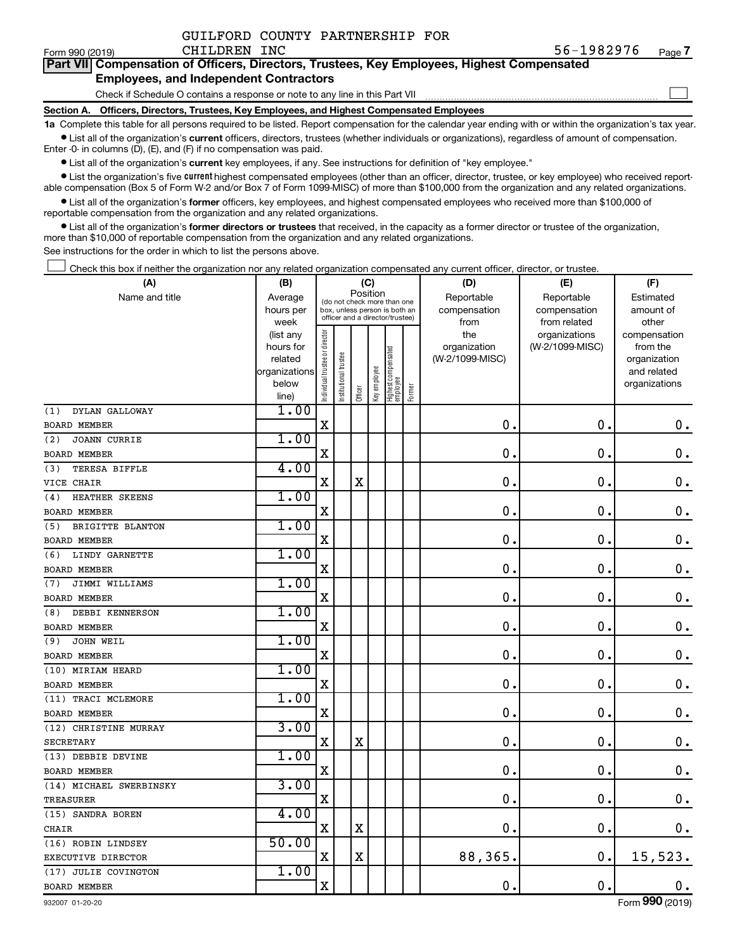|  | GUILFORD COUNTY PARTNERSHIP FOR |  |
|--|---------------------------------|--|
|  |                                 |  |

 $\Box$ 

| Part VII Compensation of Officers, Directors, Trustees, Key Employees, Highest Compensated |  |
|--------------------------------------------------------------------------------------------|--|
| <b>Employees, and Independent Contractors</b>                                              |  |

Check if Schedule O contains a response or note to any line in this Part VII

**Section A. Officers, Directors, Trustees, Key Employees, and Highest Compensated Employees**

**1a**  Complete this table for all persons required to be listed. Report compensation for the calendar year ending with or within the organization's tax year.  $\bullet$  List all of the organization's current officers, directors, trustees (whether individuals or organizations), regardless of amount of compensation.

Enter -0- in columns (D), (E), and (F) if no compensation was paid.

**•** List all of the organization's current key employees, if any. See instructions for definition of "key employee."

• List the organization's five *current* highest compensated employees (other than an officer, director, trustee, or key employee) who received reportable compensation (Box 5 of Form W-2 and/or Box 7 of Form 1099-MISC) of more than \$100,000 from the organization and any related organizations.

 $\bullet$  List all of the organization's former officers, key employees, and highest compensated employees who received more than \$100,000 of reportable compensation from the organization and any related organizations.

**•** List all of the organization's former directors or trustees that received, in the capacity as a former director or trustee of the organization, more than \$10,000 of reportable compensation from the organization and any related organizations.

See instructions for the order in which to list the persons above.

Check this box if neither the organization nor any related organization compensated any current officer, director, or trustee.  $\Box$ 

| (A)                                       | (B)               |                                |                                                                  | (C)         |              |                                 |        | (D)             | (E)                           | (F)                   |
|-------------------------------------------|-------------------|--------------------------------|------------------------------------------------------------------|-------------|--------------|---------------------------------|--------|-----------------|-------------------------------|-----------------------|
| Name and title                            | Average           |                                | Position<br>(do not check more than one                          |             |              |                                 |        | Reportable      | Reportable                    | Estimated             |
|                                           | hours per         |                                | box, unless person is both an<br>officer and a director/trustee) |             |              |                                 |        | compensation    | compensation                  | amount of             |
|                                           | week<br>(list any |                                |                                                                  |             |              |                                 |        | from<br>the     | from related<br>organizations | other<br>compensation |
|                                           | hours for         |                                |                                                                  |             |              |                                 |        | organization    | (W-2/1099-MISC)               | from the              |
|                                           | related           |                                | trustee                                                          |             |              |                                 |        | (W-2/1099-MISC) |                               | organization          |
|                                           | organizations     |                                |                                                                  |             |              |                                 |        |                 |                               | and related           |
|                                           | below             | Individual trustee or director | Institutional t                                                  | Officer     | Key employee | Highest compensated<br>employee | Former |                 |                               | organizations         |
| DYLAN GALLOWAY                            | line)<br>1.00     |                                |                                                                  |             |              |                                 |        |                 |                               |                       |
| (1)<br><b>BOARD MEMBER</b>                |                   | $\rm X$                        |                                                                  |             |              |                                 |        | $\mathbf 0$ .   | $\mathbf 0$ .                 | $\mathbf 0$ .         |
|                                           | 1.00              |                                |                                                                  |             |              |                                 |        |                 |                               |                       |
| <b>JOANN CURRIE</b><br>(2)                |                   |                                |                                                                  |             |              |                                 |        | 0               | $\mathbf 0$                   |                       |
| <b>BOARD MEMBER</b>                       | 4.00              | X                              |                                                                  |             |              |                                 |        |                 |                               | $\mathbf 0$ .         |
| TERESA BIFFLE<br>(3)                      |                   |                                |                                                                  |             |              |                                 |        | $\mathbf 0$     |                               |                       |
| VICE CHAIR                                |                   | X                              |                                                                  | $\mathbf X$ |              |                                 |        |                 | $\mathbf 0$                   | $\mathbf 0$ .         |
| HEATHER SKEENS<br>(4)                     | 1.00              |                                |                                                                  |             |              |                                 |        |                 |                               |                       |
| <b>BOARD MEMBER</b>                       |                   | $\mathbf X$                    |                                                                  |             |              |                                 |        | $\mathbf 0$     | $\mathbf 0$                   | $\mathbf 0$ .         |
| BRIGITTE BLANTON<br>(5)                   | 1.00              |                                |                                                                  |             |              |                                 |        |                 |                               |                       |
| <b>BOARD MEMBER</b>                       |                   | X                              |                                                                  |             |              |                                 |        | 0               | $\mathbf 0$ .                 | $\mathbf 0$ .         |
| LINDY GARNETTE<br>(6)                     | 1.00              |                                |                                                                  |             |              |                                 |        | 0               | $\mathbf 0$                   |                       |
| <b>BOARD MEMBER</b>                       | 1.00              | X                              |                                                                  |             |              |                                 |        |                 |                               | 0.                    |
| JIMMI WILLIAMS<br>(7)                     |                   |                                |                                                                  |             |              |                                 |        | $\mathbf 0$     |                               |                       |
| <b>BOARD MEMBER</b>                       | 1.00              | X                              |                                                                  |             |              |                                 |        |                 | 0.                            | $\mathbf 0$ .         |
| DEBBI KENNERSON<br>(8)                    |                   | $\mathbf X$                    |                                                                  |             |              |                                 |        | $\mathbf 0$ .   | $\mathbf 0$ .                 |                       |
| <b>BOARD MEMBER</b>                       | 1.00              |                                |                                                                  |             |              |                                 |        |                 |                               | $0$ .                 |
| JOHN WEIL<br>(9)                          |                   | X                              |                                                                  |             |              |                                 |        | $\mathbf 0$     | $\mathbf 0$ .                 |                       |
| <b>BOARD MEMBER</b>                       | 1.00              |                                |                                                                  |             |              |                                 |        |                 |                               | $\mathbf 0$ .         |
| (10) MIRIAM HEARD                         |                   | $\mathbf X$                    |                                                                  |             |              |                                 |        | $\mathbf 0$     | $\mathbf 0$                   | $0$ .                 |
| <b>BOARD MEMBER</b>                       | 1.00              |                                |                                                                  |             |              |                                 |        |                 |                               |                       |
| (11) TRACI MCLEMORE                       |                   | $\mathbf X$                    |                                                                  |             |              |                                 |        | $\mathbf 0$     | $\mathbf 0$                   | $\mathbf 0$ .         |
| <b>BOARD MEMBER</b>                       | 3.00              |                                |                                                                  |             |              |                                 |        |                 |                               |                       |
| (12) CHRISTINE MURRAY<br><b>SECRETARY</b> |                   | X                              |                                                                  | $\mathbf X$ |              |                                 |        | $\mathbf 0$ .   | $\mathbf 0$                   | 0.                    |
| (13) DEBBIE DEVINE                        | 1.00              |                                |                                                                  |             |              |                                 |        |                 |                               |                       |
| <b>BOARD MEMBER</b>                       |                   | X                              |                                                                  |             |              |                                 |        | 0               | $\mathbf 0$                   | $0$ .                 |
| (14) MICHAEL SWERBINSKY                   | 3.00              |                                |                                                                  |             |              |                                 |        |                 |                               |                       |
| <b>TREASURER</b>                          |                   | X                              |                                                                  |             |              |                                 |        | $\mathbf 0$     | 0                             | $\mathbf 0$ .         |
| (15) SANDRA BOREN                         | 4.00              |                                |                                                                  |             |              |                                 |        |                 |                               |                       |
|                                           |                   | X                              |                                                                  | X           |              |                                 |        | $\mathbf 0$ .   | $\mathbf 0$                   | 0.                    |
| CHAIR<br>(16) ROBIN LINDSEY               | 50.00             |                                |                                                                  |             |              |                                 |        |                 |                               |                       |
| EXECUTIVE DIRECTOR                        |                   | X                              |                                                                  | $\mathbf X$ |              |                                 |        | 88,365.         | $\mathbf 0$ .                 | 15,523.               |
| (17) JULIE COVINGTON                      | 1.00              |                                |                                                                  |             |              |                                 |        |                 |                               |                       |
| <b>BOARD MEMBER</b>                       |                   | $\mathbf X$                    |                                                                  |             |              |                                 |        | 0.              | $\mathbf 0$ .                 | 0.                    |
|                                           |                   |                                |                                                                  |             |              |                                 |        |                 |                               |                       |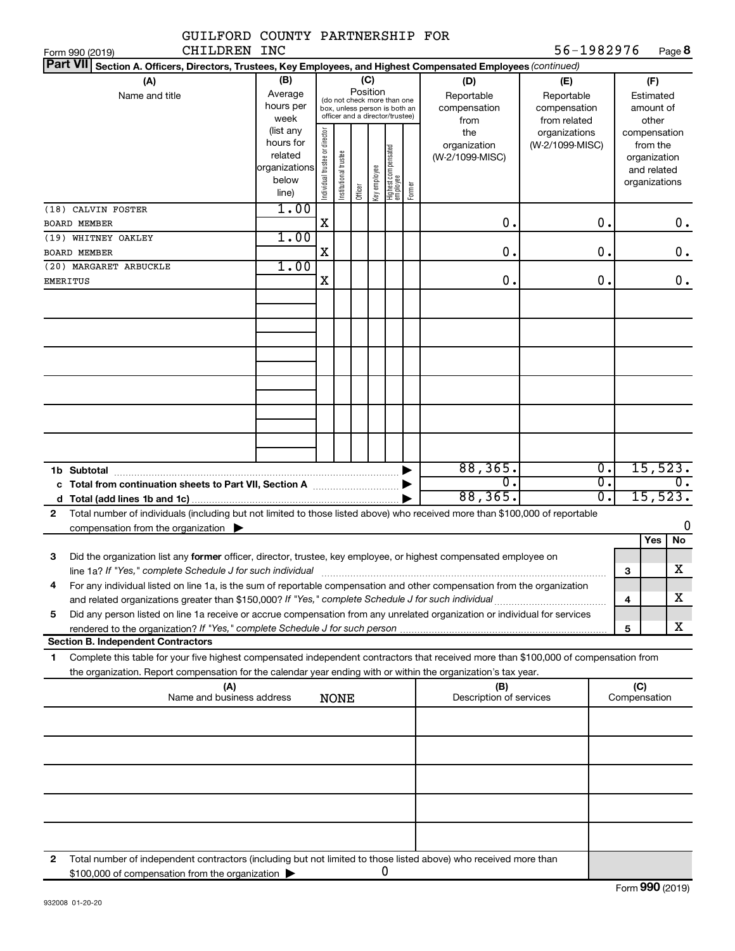| GUILFORD COUNTY PARTNERSHIP FOR                                                                                                                                                                                                                             |                                                         |                                |                                                                                                                    |         |              |                                 |        |                                                  |                                                                    |                  |                                                          |                  |
|-------------------------------------------------------------------------------------------------------------------------------------------------------------------------------------------------------------------------------------------------------------|---------------------------------------------------------|--------------------------------|--------------------------------------------------------------------------------------------------------------------|---------|--------------|---------------------------------|--------|--------------------------------------------------|--------------------------------------------------------------------|------------------|----------------------------------------------------------|------------------|
| CHILDREN INC<br>Form 990 (2019)                                                                                                                                                                                                                             |                                                         |                                |                                                                                                                    |         |              |                                 |        |                                                  | 56-1982976                                                         |                  |                                                          | Page 8           |
| <b>Part VII</b><br>Section A. Officers, Directors, Trustees, Key Employees, and Highest Compensated Employees (continued)                                                                                                                                   |                                                         |                                |                                                                                                                    |         |              |                                 |        |                                                  |                                                                    |                  |                                                          |                  |
| (A)<br>Name and title                                                                                                                                                                                                                                       | (B)<br>Average<br>hours per<br>week<br>(list any        |                                | (C)<br>Position<br>(do not check more than one<br>box, unless person is both an<br>officer and a director/trustee) |         |              |                                 |        | (D)<br>Reportable<br>compensation<br>from<br>the | (E)<br>Reportable<br>compensation<br>from related<br>organizations |                  | (F)<br>Estimated<br>amount of<br>other<br>compensation   |                  |
|                                                                                                                                                                                                                                                             | hours for<br>related<br>organizations<br>below<br>line) | Individual trustee or director | Institutional trustee                                                                                              | Officer | Key employee | Highest compensated<br>employee | Former | organization<br>(W-2/1099-MISC)                  | (W-2/1099-MISC)                                                    |                  | from the<br>organization<br>and related<br>organizations |                  |
| (18) CALVIN FOSTER                                                                                                                                                                                                                                          | 1.00                                                    |                                |                                                                                                                    |         |              |                                 |        |                                                  |                                                                    |                  |                                                          |                  |
| <b>BOARD MEMBER</b>                                                                                                                                                                                                                                         |                                                         | $\mathbf X$                    |                                                                                                                    |         |              |                                 |        | $\mathbf 0$ .                                    |                                                                    | $\mathbf 0$ .    |                                                          | 0.               |
| (19) WHITNEY OAKLEY                                                                                                                                                                                                                                         | 1.00                                                    |                                |                                                                                                                    |         |              |                                 |        |                                                  |                                                                    |                  |                                                          |                  |
| <b>BOARD MEMBER</b>                                                                                                                                                                                                                                         |                                                         | $\mathbf X$                    |                                                                                                                    |         |              |                                 |        | $\mathbf 0$ .                                    |                                                                    | 0.               |                                                          | $\mathbf 0$ .    |
| (20) MARGARET ARBUCKLE<br><b>EMERITUS</b>                                                                                                                                                                                                                   | 1.00                                                    | X                              |                                                                                                                    |         |              |                                 |        | $\mathbf 0$ .                                    |                                                                    | 0.               |                                                          | $\mathbf 0$ .    |
|                                                                                                                                                                                                                                                             |                                                         |                                |                                                                                                                    |         |              |                                 |        |                                                  |                                                                    |                  |                                                          |                  |
|                                                                                                                                                                                                                                                             |                                                         |                                |                                                                                                                    |         |              |                                 |        |                                                  |                                                                    |                  |                                                          |                  |
|                                                                                                                                                                                                                                                             |                                                         |                                |                                                                                                                    |         |              |                                 |        |                                                  |                                                                    |                  |                                                          |                  |
| 1b Subtotal                                                                                                                                                                                                                                                 |                                                         |                                |                                                                                                                    |         |              |                                 |        | 88, 365.                                         |                                                                    | $\overline{0}$ . |                                                          | 15,523.          |
|                                                                                                                                                                                                                                                             |                                                         |                                |                                                                                                                    |         |              |                                 |        | $\overline{0}$                                   |                                                                    | σ.               |                                                          | $\overline{0}$ . |
| d                                                                                                                                                                                                                                                           |                                                         |                                |                                                                                                                    |         |              |                                 |        | 88, 365.                                         |                                                                    | σ.               |                                                          | 15,523.          |
| Total number of individuals (including but not limited to those listed above) who received more than \$100,000 of reportable<br>$\mathbf{2}$                                                                                                                |                                                         |                                |                                                                                                                    |         |              |                                 |        |                                                  |                                                                    |                  |                                                          |                  |
| compensation from the organization $\blacktriangleright$                                                                                                                                                                                                    |                                                         |                                |                                                                                                                    |         |              |                                 |        |                                                  |                                                                    |                  |                                                          | 0                |
|                                                                                                                                                                                                                                                             |                                                         |                                |                                                                                                                    |         |              |                                 |        |                                                  |                                                                    |                  | Yes                                                      | No               |
| Did the organization list any former officer, director, trustee, key employee, or highest compensated employee on<br>з                                                                                                                                      |                                                         |                                |                                                                                                                    |         |              |                                 |        |                                                  |                                                                    |                  |                                                          |                  |
| line 1a? If "Yes," complete Schedule J for such individual manufactured content content for the content of the                                                                                                                                              |                                                         |                                |                                                                                                                    |         |              |                                 |        |                                                  |                                                                    |                  | З                                                        | X                |
| For any individual listed on line 1a, is the sum of reportable compensation and other compensation from the organization<br>4                                                                                                                               |                                                         |                                |                                                                                                                    |         |              |                                 |        |                                                  |                                                                    |                  |                                                          |                  |
|                                                                                                                                                                                                                                                             |                                                         |                                |                                                                                                                    |         |              |                                 |        |                                                  |                                                                    |                  | 4                                                        | x.               |
| Did any person listed on line 1a receive or accrue compensation from any unrelated organization or individual for services<br>5                                                                                                                             |                                                         |                                |                                                                                                                    |         |              |                                 |        |                                                  |                                                                    |                  |                                                          |                  |
| rendered to the organization? If "Yes," complete Schedule J for such person manufaction contains and contained                                                                                                                                              |                                                         |                                |                                                                                                                    |         |              |                                 |        |                                                  |                                                                    |                  | 5                                                        | x                |
| <b>Section B. Independent Contractors</b>                                                                                                                                                                                                                   |                                                         |                                |                                                                                                                    |         |              |                                 |        |                                                  |                                                                    |                  |                                                          |                  |
| Complete this table for your five highest compensated independent contractors that received more than \$100,000 of compensation from<br>1<br>the organization. Report compensation for the calendar year ending with or within the organization's tax year. |                                                         |                                |                                                                                                                    |         |              |                                 |        |                                                  |                                                                    |                  |                                                          |                  |
| (A)<br>Name and business address                                                                                                                                                                                                                            |                                                         |                                | <b>NONE</b>                                                                                                        |         |              |                                 |        | (B)<br>Description of services                   |                                                                    |                  | (C)<br>Compensation                                      |                  |
|                                                                                                                                                                                                                                                             |                                                         |                                |                                                                                                                    |         |              |                                 |        |                                                  |                                                                    |                  |                                                          |                  |
|                                                                                                                                                                                                                                                             |                                                         |                                |                                                                                                                    |         |              |                                 |        |                                                  |                                                                    |                  |                                                          |                  |
|                                                                                                                                                                                                                                                             |                                                         |                                |                                                                                                                    |         |              |                                 |        |                                                  |                                                                    |                  |                                                          |                  |
|                                                                                                                                                                                                                                                             |                                                         |                                |                                                                                                                    |         |              |                                 |        |                                                  |                                                                    |                  |                                                          |                  |
|                                                                                                                                                                                                                                                             |                                                         |                                |                                                                                                                    |         |              |                                 |        |                                                  |                                                                    |                  |                                                          |                  |
| Total number of independent contractors (including but not limited to those listed above) who received more than<br>2                                                                                                                                       |                                                         |                                |                                                                                                                    |         |              |                                 |        |                                                  |                                                                    |                  |                                                          |                  |
| \$100,000 of compensation from the organization                                                                                                                                                                                                             |                                                         |                                |                                                                                                                    |         |              | 0                               |        |                                                  |                                                                    |                  |                                                          |                  |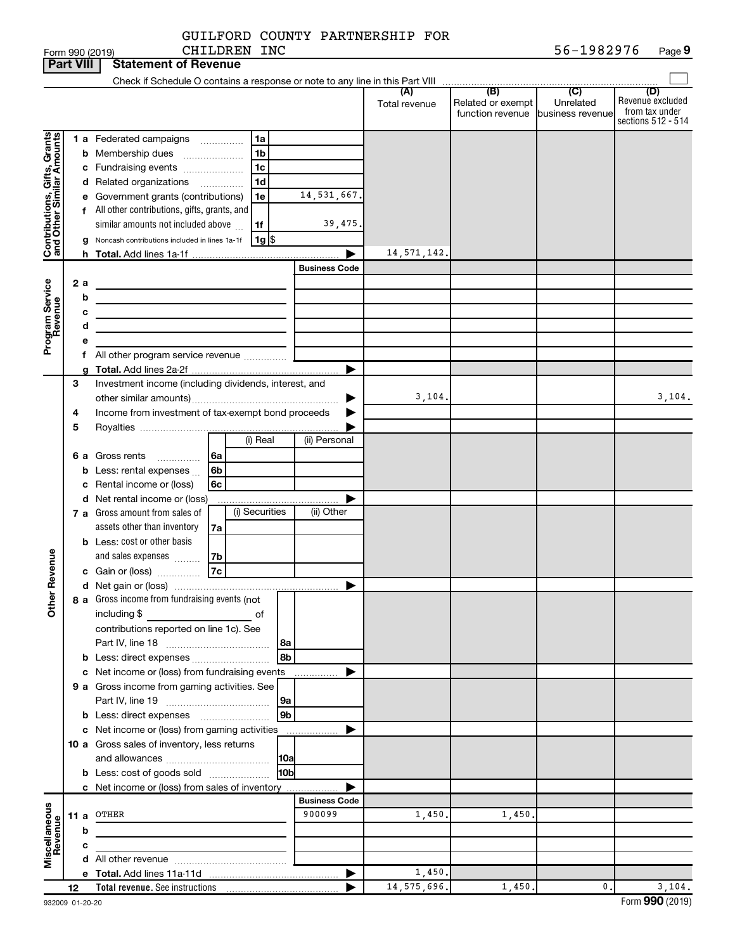|  | GUILFORD COUNTY PARTNERSHIP FOR |  |
|--|---------------------------------|--|
|  |                                 |  |

| 56-1982976<br>CHILDREN INC<br>Page 9<br>Form 990 (2019) |                  |   |                                                                                                                       |                      |               |                                   |           |                                           |
|---------------------------------------------------------|------------------|---|-----------------------------------------------------------------------------------------------------------------------|----------------------|---------------|-----------------------------------|-----------|-------------------------------------------|
|                                                         | <b>Part VIII</b> |   | <b>Statement of Revenue</b>                                                                                           |                      |               |                                   |           |                                           |
|                                                         |                  |   |                                                                                                                       |                      |               |                                   |           |                                           |
|                                                         |                  |   |                                                                                                                       |                      | Total revenue | Related or exempt                 | Unrelated | (D)<br>Revenue excluded<br>from tax under |
|                                                         |                  |   |                                                                                                                       |                      |               | function revenue business revenue |           | sections 512 - 514                        |
|                                                         |                  |   | 1 a Federated campaigns<br>1a                                                                                         |                      |               |                                   |           |                                           |
|                                                         |                  | b | 1 <sub>b</sub><br>Membership dues                                                                                     |                      |               |                                   |           |                                           |
|                                                         |                  |   | 1 <sub>c</sub><br>c Fundraising events                                                                                |                      |               |                                   |           |                                           |
|                                                         |                  |   | 1 <sub>d</sub><br>d Related organizations<br>$\overline{\phantom{a}}$                                                 |                      |               |                                   |           |                                           |
|                                                         |                  |   | e Government grants (contributions)<br>1e                                                                             | 14,531,667.          |               |                                   |           |                                           |
|                                                         |                  |   | f All other contributions, gifts, grants, and                                                                         |                      |               |                                   |           |                                           |
|                                                         |                  |   | similar amounts not included above<br>1f                                                                              | 39,475.              |               |                                   |           |                                           |
| Contributions, Gifts, Grants                            |                  | g | Noncash contributions included in lines 1a-1f<br>$1g$ \$                                                              |                      |               |                                   |           |                                           |
|                                                         |                  |   |                                                                                                                       |                      | 14, 571, 142. |                                   |           |                                           |
|                                                         |                  |   |                                                                                                                       | <b>Business Code</b> |               |                                   |           |                                           |
|                                                         | 2 a              |   |                                                                                                                       |                      |               |                                   |           |                                           |
|                                                         |                  | b | <u> 1989 - Johann Barbara, martin a bhann an t-Alban an t-Alban an t-Alban an t-Alban an t-Alban an t-Alban an t-</u> |                      |               |                                   |           |                                           |
|                                                         |                  | с | <u> 1989 - Johann Barn, mars an t-Amerikaansk politiker (</u>                                                         |                      |               |                                   |           |                                           |
|                                                         |                  | d | the control of the control of the control of the control of                                                           |                      |               |                                   |           |                                           |
| Program Service<br>Revenue                              |                  | е |                                                                                                                       |                      |               |                                   |           |                                           |
|                                                         |                  |   |                                                                                                                       |                      |               |                                   |           |                                           |
|                                                         |                  |   |                                                                                                                       | ▶                    |               |                                   |           |                                           |
|                                                         | 3                |   | Investment income (including dividends, interest, and                                                                 |                      |               |                                   |           |                                           |
|                                                         |                  |   |                                                                                                                       |                      | 3,104.        |                                   |           | 3,104.                                    |
|                                                         | 4                |   | Income from investment of tax-exempt bond proceeds                                                                    |                      |               |                                   |           |                                           |
|                                                         | 5                |   |                                                                                                                       |                      |               |                                   |           |                                           |
|                                                         |                  |   | (i) Real                                                                                                              | (ii) Personal        |               |                                   |           |                                           |
|                                                         |                  |   | 6 a Gross rents<br>l 6a                                                                                               |                      |               |                                   |           |                                           |
|                                                         |                  | b | 6b<br>Less: rental expenses                                                                                           |                      |               |                                   |           |                                           |
|                                                         |                  |   | c Rental income or (loss)<br>6c                                                                                       |                      |               |                                   |           |                                           |
|                                                         |                  |   | d Net rental income or (loss)                                                                                         |                      |               |                                   |           |                                           |
|                                                         |                  |   | (i) Securities<br>7 a Gross amount from sales of                                                                      | (ii) Other           |               |                                   |           |                                           |
|                                                         |                  |   | assets other than inventory<br>7a                                                                                     |                      |               |                                   |           |                                           |
|                                                         |                  |   | <b>b</b> Less: cost or other basis                                                                                    |                      |               |                                   |           |                                           |
| evenue                                                  |                  |   | and sales expenses<br>7b                                                                                              |                      |               |                                   |           |                                           |
|                                                         |                  |   | 7c<br>c Gain or (loss)                                                                                                |                      |               |                                   |           |                                           |
|                                                         |                  |   |                                                                                                                       |                      |               |                                   |           |                                           |
| Other                                                   |                  |   | 8 a Gross income from fundraising events (not                                                                         |                      |               |                                   |           |                                           |
|                                                         |                  |   | including $$$<br>of                                                                                                   |                      |               |                                   |           |                                           |
|                                                         |                  |   | contributions reported on line 1c). See                                                                               |                      |               |                                   |           |                                           |
|                                                         |                  |   | 8a                                                                                                                    |                      |               |                                   |           |                                           |
|                                                         |                  |   | 8 <sub>b</sub>                                                                                                        |                      |               |                                   |           |                                           |
|                                                         |                  |   | c Net income or (loss) from fundraising events                                                                        | .                    |               |                                   |           |                                           |
|                                                         |                  |   | 9 a Gross income from gaming activities. See                                                                          |                      |               |                                   |           |                                           |
|                                                         |                  |   | 9a                                                                                                                    |                      |               |                                   |           |                                           |
|                                                         |                  |   | 9 <sub>b</sub><br><b>b</b> Less: direct expenses <b>manually</b>                                                      |                      |               |                                   |           |                                           |
|                                                         |                  |   | c Net income or (loss) from gaming activities                                                                         | .                    |               |                                   |           |                                           |
|                                                         |                  |   | 10 a Gross sales of inventory, less returns                                                                           |                      |               |                                   |           |                                           |
|                                                         |                  |   | 10a <br>10b                                                                                                           |                      |               |                                   |           |                                           |
|                                                         |                  |   | <b>b</b> Less: cost of goods sold                                                                                     |                      |               |                                   |           |                                           |
|                                                         |                  |   | c Net income or (loss) from sales of inventory                                                                        | <b>Business Code</b> |               |                                   |           |                                           |
| Miscellaneous<br>Revenue                                |                  |   | 11 a OTHER                                                                                                            | 900099               | 1,450.        | 1,450,                            |           |                                           |
|                                                         |                  | b |                                                                                                                       |                      |               |                                   |           |                                           |
|                                                         |                  | с |                                                                                                                       |                      |               |                                   |           |                                           |
|                                                         |                  |   | the control of the control of the control of                                                                          |                      |               |                                   |           |                                           |
|                                                         |                  |   |                                                                                                                       |                      | 1,450.        |                                   |           |                                           |
|                                                         | 12               |   | Total revenue. See instructions [101] [101] Total revenue See instructions [101] [101] Total Press, Table             |                      | 14, 575, 696. | 1,450.                            | 0.        | 3,104.                                    |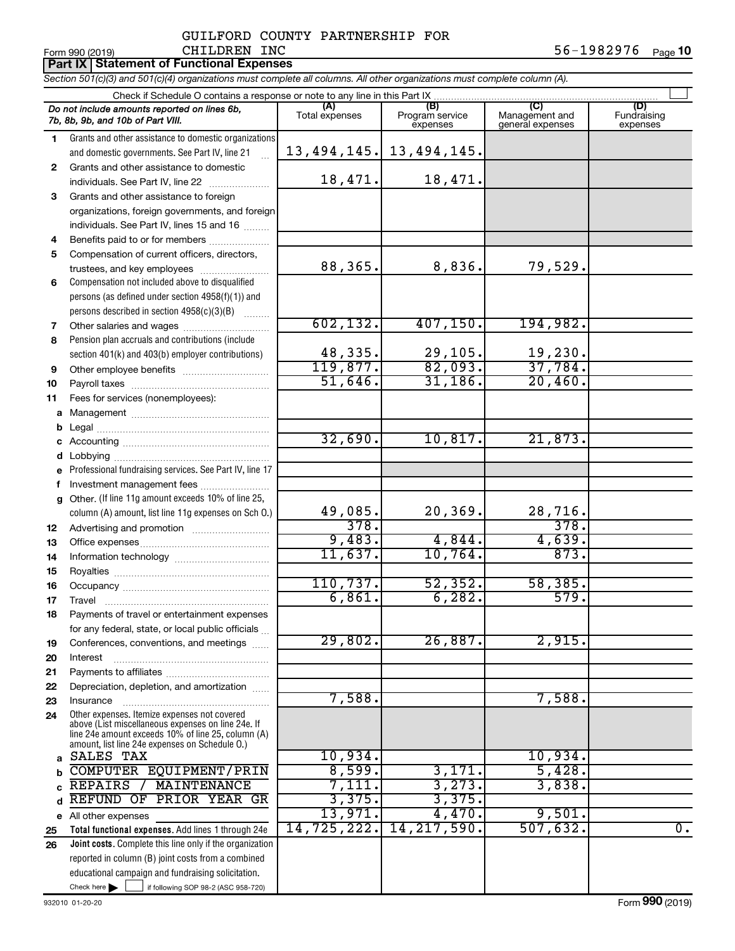#### Form 990 (2019) CHILDREN INC 5 6-1 9 8 2 9 7 6 <sub>Page</sub> **10 Part IX Statement of Functional Expenses** GUILFORD COUNTY PARTNERSHIP FOR CHILDREN INC

|  |  | Section 501(c)(3) and 501(c)(4) organizations must complete all columns. All other organizations must complete column (A). |
|--|--|----------------------------------------------------------------------------------------------------------------------------|
|  |  |                                                                                                                            |

|          | Check if Schedule O contains a response or note to any line in this Part IX                                    |                  |                                    |                                    |                                |  |  |
|----------|----------------------------------------------------------------------------------------------------------------|------------------|------------------------------------|------------------------------------|--------------------------------|--|--|
|          | Do not include amounts reported on lines 6b,<br>7b, 8b, 9b, and 10b of Part VIII.                              | Total expenses   | (B)<br>Program service<br>expenses | Management and<br>general expenses | (D)<br>Fundraising<br>expenses |  |  |
| 1.       | Grants and other assistance to domestic organizations                                                          |                  |                                    |                                    |                                |  |  |
|          | and domestic governments. See Part IV, line 21                                                                 | 13,494,145.      | 13,494,145.                        |                                    |                                |  |  |
| 2        | Grants and other assistance to domestic                                                                        |                  |                                    |                                    |                                |  |  |
|          | individuals. See Part IV, line 22                                                                              | 18,471.          | 18,471.                            |                                    |                                |  |  |
| 3        | Grants and other assistance to foreign                                                                         |                  |                                    |                                    |                                |  |  |
|          | organizations, foreign governments, and foreign                                                                |                  |                                    |                                    |                                |  |  |
|          | individuals. See Part IV, lines 15 and 16                                                                      |                  |                                    |                                    |                                |  |  |
| 4        | Benefits paid to or for members                                                                                |                  |                                    |                                    |                                |  |  |
| 5        | Compensation of current officers, directors,                                                                   |                  |                                    |                                    |                                |  |  |
|          | trustees, and key employees                                                                                    | 88,365.          | 8,836.                             | 79,529.                            |                                |  |  |
| 6        | Compensation not included above to disqualified                                                                |                  |                                    |                                    |                                |  |  |
|          | persons (as defined under section 4958(f)(1)) and                                                              |                  |                                    |                                    |                                |  |  |
|          | persons described in section 4958(c)(3)(B)                                                                     |                  |                                    |                                    |                                |  |  |
| 7        | Other salaries and wages                                                                                       | 602, 132.        | 407, 150.                          | 194,982.                           |                                |  |  |
| 8        | Pension plan accruals and contributions (include                                                               |                  |                                    |                                    |                                |  |  |
|          | section 401(k) and 403(b) employer contributions)                                                              | 48,335.          | 29,105.                            | 19,230.                            |                                |  |  |
| 9        |                                                                                                                | 119,877.         | 82,093.                            | 37,784.                            |                                |  |  |
| 10       |                                                                                                                | 51,646.          | 31,186.                            | 20,460.                            |                                |  |  |
| 11       | Fees for services (nonemployees):                                                                              |                  |                                    |                                    |                                |  |  |
| а        |                                                                                                                |                  |                                    |                                    |                                |  |  |
| b        |                                                                                                                |                  |                                    |                                    |                                |  |  |
| с        |                                                                                                                | 32,690.          | 10,817.                            | 21,873.                            |                                |  |  |
| d        |                                                                                                                |                  |                                    |                                    |                                |  |  |
|          | Professional fundraising services. See Part IV, line 17                                                        |                  |                                    |                                    |                                |  |  |
| f        | Investment management fees                                                                                     |                  |                                    |                                    |                                |  |  |
| g        | Other. (If line 11g amount exceeds 10% of line 25,                                                             |                  |                                    |                                    |                                |  |  |
|          | column (A) amount, list line 11g expenses on Sch O.)                                                           | 49,085.          | 20, 369.                           | 28,716.                            |                                |  |  |
| 12       |                                                                                                                | 378.             |                                    | 378.                               |                                |  |  |
| 13       |                                                                                                                | 9,483.           | 4,844.                             | 4,639.                             |                                |  |  |
| 14       |                                                                                                                | 11,637.          | 10,764.                            | 873.                               |                                |  |  |
| 15       |                                                                                                                |                  |                                    |                                    |                                |  |  |
| 16       |                                                                                                                | 110, 737.        | 52, 352.                           | 58,385.                            |                                |  |  |
| 17       |                                                                                                                | 6,861.           | 6, 282.                            | 579.                               |                                |  |  |
| 18       | Payments of travel or entertainment expenses                                                                   |                  |                                    |                                    |                                |  |  |
|          | for any federal, state, or local public officials                                                              |                  |                                    |                                    |                                |  |  |
| 19       | Conferences, conventions, and meetings                                                                         | 29,802.          | 26,887.                            | 2,915.                             |                                |  |  |
| 20       | Interest                                                                                                       |                  |                                    |                                    |                                |  |  |
| 21       |                                                                                                                |                  |                                    |                                    |                                |  |  |
| 22       | Depreciation, depletion, and amortization                                                                      |                  |                                    |                                    |                                |  |  |
| 23       | Insurance                                                                                                      | 7,588.           |                                    | 7,588.                             |                                |  |  |
| 24       | Other expenses. Itemize expenses not covered<br>above (List miscellaneous expenses on line 24e. If             |                  |                                    |                                    |                                |  |  |
|          | line 24e amount exceeds 10% of line 25, column (A)                                                             |                  |                                    |                                    |                                |  |  |
|          | amount, list line 24e expenses on Schedule O.)                                                                 |                  |                                    |                                    |                                |  |  |
| a        | SALES TAX                                                                                                      | 10,934.          |                                    | 10,934.                            |                                |  |  |
|          | COMPUTER EQUIPMENT/PRIN<br>MAINTENANCE<br>REPAIRS /                                                            | 8,599.<br>7,111. | 3,171.<br>3,273.                   | 5,428.<br>3,838.                   |                                |  |  |
|          | <b>REFUND OF</b><br>PRIOR YEAR GR                                                                              | 3,375.           | 3,375.                             |                                    |                                |  |  |
| d        |                                                                                                                | 13,971.          | 4,470.                             | 9,501.                             |                                |  |  |
| е        | All other expenses                                                                                             | 14,725,222.      | 14, 217, 590.                      | 507,632.                           | $\overline{0}$ .               |  |  |
| 25<br>26 | Total functional expenses. Add lines 1 through 24e                                                             |                  |                                    |                                    |                                |  |  |
|          | Joint costs. Complete this line only if the organization<br>reported in column (B) joint costs from a combined |                  |                                    |                                    |                                |  |  |
|          | educational campaign and fundraising solicitation.                                                             |                  |                                    |                                    |                                |  |  |
|          | Check here $\blacktriangleright$<br>if following SOP 98-2 (ASC 958-720)                                        |                  |                                    |                                    |                                |  |  |
|          |                                                                                                                |                  |                                    |                                    |                                |  |  |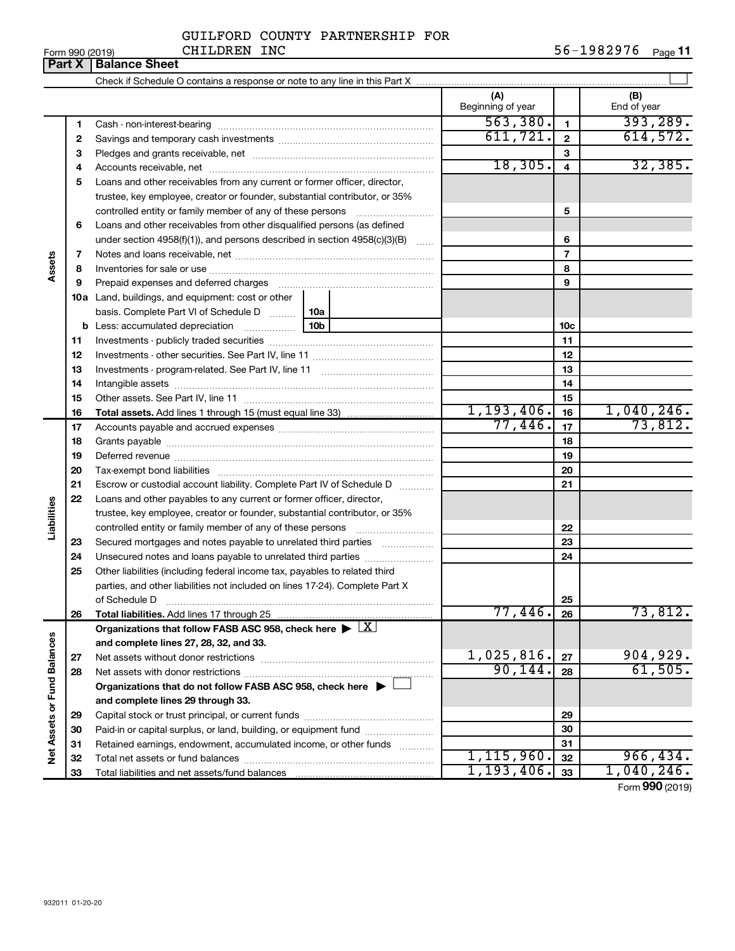|                                                                        | GUILFORD COUNTY PARTNERSHIP FOR |  |
|------------------------------------------------------------------------|---------------------------------|--|
| $\alpha$ <i>i</i> $\tau$ $\tau$ $\tau$ $\alpha$ $\tau$ $\alpha$ $\tau$ |                                 |  |

|        |        | CHILDREN INC<br>Form 990 (2019)                                            |  |                          |                 | 56-1982976 Page 11 |
|--------|--------|----------------------------------------------------------------------------|--|--------------------------|-----------------|--------------------|
|        | Part X | <b>Balance Sheet</b>                                                       |  |                          |                 |                    |
|        |        |                                                                            |  |                          |                 |                    |
|        |        |                                                                            |  | (A)<br>Beginning of year |                 | (B)<br>End of year |
|        | 1.     | Cash - non-interest-bearing                                                |  | 563,380.                 | $\mathbf{1}$    | 393, 289.          |
|        | 2      |                                                                            |  | 611,721.                 | $\overline{2}$  | 614,572.           |
|        | з      |                                                                            |  |                          | 3               |                    |
|        | 4      |                                                                            |  | 18,305.                  | $\overline{4}$  | 32,385.            |
|        | 5      | Loans and other receivables from any current or former officer, director,  |  |                          |                 |                    |
|        |        | trustee, key employee, creator or founder, substantial contributor, or 35% |  |                          |                 |                    |
|        |        |                                                                            |  | 5                        |                 |                    |
|        | 6      | Loans and other receivables from other disqualified persons (as defined    |  |                          |                 |                    |
|        |        | under section 4958(f)(1)), and persons described in section 4958(c)(3)(B)  |  |                          | 6               |                    |
|        | 7      |                                                                            |  |                          | $\overline{7}$  |                    |
| Assets | 8      |                                                                            |  |                          | 8               |                    |
|        | 9      | Prepaid expenses and deferred charges                                      |  |                          | 9               |                    |
|        | 10a    | Land, buildings, and equipment: cost or other                              |  |                          |                 |                    |
|        |        | basis. Complete Part VI of Schedule D  10a                                 |  |                          |                 |                    |
|        | b      |                                                                            |  |                          | 10 <sub>c</sub> |                    |
|        | 11     |                                                                            |  | 11                       |                 |                    |
|        | 12     |                                                                            |  |                          | 12              |                    |
|        | 13     |                                                                            |  |                          | 13              |                    |
|        | 14     | Intangible assets                                                          |  |                          | 14              |                    |

|    |                                                                                            |              | . . |            |
|----|--------------------------------------------------------------------------------------------|--------------|-----|------------|
| 12 |                                                                                            |              | 12  |            |
| 13 |                                                                                            |              | 13  |            |
| 14 |                                                                                            |              | 14  |            |
| 15 |                                                                                            |              | 15  |            |
| 16 |                                                                                            | 1,193,406.   | 16  | 1,040,246. |
| 17 |                                                                                            | 77,446.      | 17  | 73,812.    |
| 18 |                                                                                            |              | 18  |            |
| 19 |                                                                                            |              | 19  |            |
| 20 |                                                                                            |              | 20  |            |
| 21 | Escrow or custodial account liability. Complete Part IV of Schedule D                      |              | 21  |            |
| 22 | Loans and other payables to any current or former officer, director,                       |              |     |            |
|    | trustee, key employee, creator or founder, substantial contributor, or 35%                 |              |     |            |
|    | controlled entity or family member of any of these persons                                 |              | 22  |            |
| 23 | Secured mortgages and notes payable to unrelated third parties                             |              | 23  |            |
| 24 | Unsecured notes and loans payable to unrelated third parties                               |              | 24  |            |
| 25 | Other liabilities (including federal income tax, payables to related third                 |              |     |            |
|    | parties, and other liabilities not included on lines 17-24). Complete Part X               |              |     |            |
|    | of Schedule D                                                                              |              | 25  |            |
| 26 |                                                                                            | 77,446.      | 26  | 73,812.    |
|    | Organizations that follow FASB ASC 958, check here $\blacktriangleright \lfloor X \rfloor$ |              |     |            |
|    | and complete lines 27, 28, 32, and 33.                                                     |              |     |            |
| 27 |                                                                                            | 1,025,816.   | 27  | 904,929.   |
| 28 |                                                                                            | 90, 144.     | 28  | 61,505.    |
|    | Organizations that do not follow FASB ASC 958, check here $\blacktriangleright$            |              |     |            |
|    | and complete lines 29 through 33.                                                          |              |     |            |
| 29 |                                                                                            |              | 29  |            |
| 30 | Paid-in or capital surplus, or land, building, or equipment fund                           |              | 30  |            |
| 31 | Retained earnings, endowment, accumulated income, or other funds                           |              | 31  |            |
| 32 |                                                                                            | 1, 115, 960. | 32  | 966, 434.  |
| 33 |                                                                                            | 1, 193, 406. | 33  | 1,040,246. |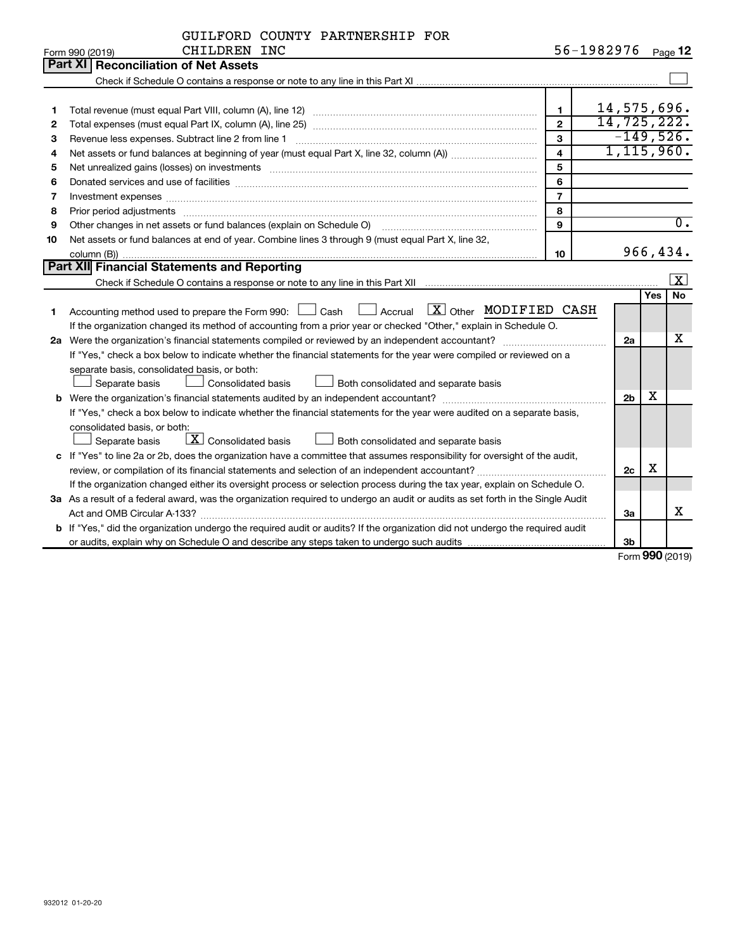|              | GUILFORD COUNTY PARTNERSHIP FOR |  |
|--------------|---------------------------------|--|
| CHTLDREN TNC |                                 |  |

|    | Form 990 (2019)<br>CHILDREN INC                                                                                                      |                         | $50 - 1982970$ |     | Page 12              |
|----|--------------------------------------------------------------------------------------------------------------------------------------|-------------------------|----------------|-----|----------------------|
|    | Part XI   Reconciliation of Net Assets                                                                                               |                         |                |     |                      |
|    |                                                                                                                                      |                         |                |     |                      |
|    |                                                                                                                                      |                         |                |     |                      |
| 1  |                                                                                                                                      | $\mathbf{1}$            | 14,575,696.    |     |                      |
| 2  |                                                                                                                                      | $\overline{2}$          | 14,725,222.    |     |                      |
| з  | Revenue less expenses. Subtract line 2 from line 1                                                                                   | $\mathbf{3}$            | $-149,526.$    |     |                      |
| 4  |                                                                                                                                      | $\overline{\mathbf{4}}$ | 1, 115, 960.   |     |                      |
| 5  |                                                                                                                                      | 5                       |                |     |                      |
| 6  | Donated services and use of facilities [[111] matter contracts and all the services and use of facilities [[11                       | 6                       |                |     |                      |
| 7  | Investment expenses www.communication.com/www.communication.com/www.communication.com/www.com                                        | $\overline{7}$          |                |     |                      |
| 8  |                                                                                                                                      | 8                       |                |     |                      |
| 9  | Other changes in net assets or fund balances (explain on Schedule O)                                                                 | $\mathbf{Q}$            |                |     | $\overline{0}$ .     |
| 10 | Net assets or fund balances at end of year. Combine lines 3 through 9 (must equal Part X, line 32,                                   |                         |                |     |                      |
|    |                                                                                                                                      | 10                      |                |     | 966,434.             |
|    | Part XII Financial Statements and Reporting                                                                                          |                         |                |     |                      |
|    |                                                                                                                                      |                         |                |     | $\boxed{\mathbf{X}}$ |
|    |                                                                                                                                      |                         |                | Yes | No                   |
| 1  | Accounting method used to prepare the Form 990: $\Box$ Cash $\Box$ Accrual $\Box X$ Other MODIFIED CASH                              |                         |                |     |                      |
|    | If the organization changed its method of accounting from a prior year or checked "Other," explain in Schedule O.                    |                         |                |     |                      |
|    |                                                                                                                                      |                         | 2a             |     | x                    |
|    | If "Yes," check a box below to indicate whether the financial statements for the year were compiled or reviewed on a                 |                         |                |     |                      |
|    | separate basis, consolidated basis, or both:                                                                                         |                         |                |     |                      |
|    | Separate basis<br>Consolidated basis<br>Both consolidated and separate basis                                                         |                         |                |     |                      |
|    |                                                                                                                                      |                         | 2 <sub>b</sub> | х   |                      |
|    | If "Yes," check a box below to indicate whether the financial statements for the year were audited on a separate basis,              |                         |                |     |                      |
|    | consolidated basis, or both:                                                                                                         |                         |                |     |                      |
|    | $\boxed{\textbf{X}}$ Consolidated basis<br>Both consolidated and separate basis<br>Separate basis                                    |                         |                |     |                      |
|    | c If "Yes" to line 2a or 2b, does the organization have a committee that assumes responsibility for oversight of the audit,          |                         |                |     |                      |
|    |                                                                                                                                      |                         | 2c             | х   |                      |
|    | If the organization changed either its oversight process or selection process during the tax year, explain on Schedule O.            |                         |                |     |                      |
|    | 3a As a result of a federal award, was the organization required to undergo an audit or audits as set forth in the Single Audit      |                         |                |     |                      |
|    |                                                                                                                                      |                         | За             |     | x                    |
|    | <b>b</b> If "Yes," did the organization undergo the required audit or audits? If the organization did not undergo the required audit |                         |                |     |                      |
|    |                                                                                                                                      |                         | 3 <sub>b</sub> |     |                      |

Form (2019) **990**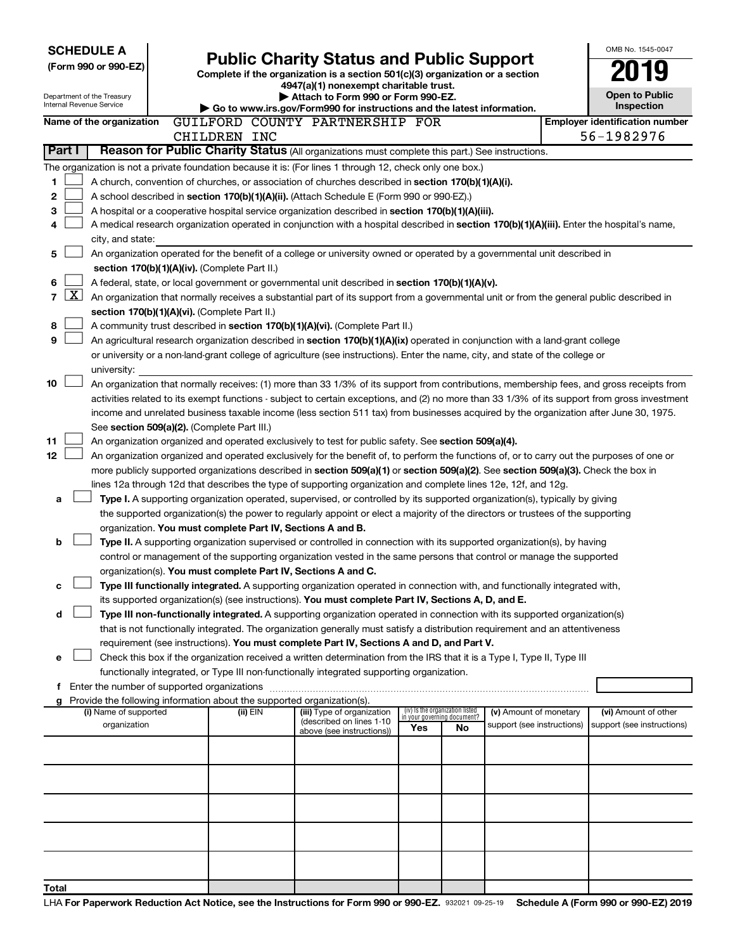| <b>SCHEDULE A</b><br>(Form 990 or 990-EZ)<br>Department of the Treasury<br>Internal Revenue Service |                         |                                               |                                               |              |          | <b>Public Charity Status and Public Support</b><br>Complete if the organization is a section 501(c)(3) organization or a section<br>4947(a)(1) nonexempt charitable trust.<br>Attach to Form 990 or Form 990-EZ.     |     |                                                                |                            |  | OMB No. 1545-0047<br><b>Open to Public</b>                                                                                                    |
|-----------------------------------------------------------------------------------------------------|-------------------------|-----------------------------------------------|-----------------------------------------------|--------------|----------|----------------------------------------------------------------------------------------------------------------------------------------------------------------------------------------------------------------------|-----|----------------------------------------------------------------|----------------------------|--|-----------------------------------------------------------------------------------------------------------------------------------------------|
|                                                                                                     |                         |                                               |                                               |              |          | Go to www.irs.gov/Form990 for instructions and the latest information.                                                                                                                                               |     |                                                                |                            |  | Inspection                                                                                                                                    |
|                                                                                                     |                         | Name of the organization                      |                                               | CHILDREN INC |          | GUILFORD COUNTY PARTNERSHIP FOR                                                                                                                                                                                      |     |                                                                |                            |  | <b>Employer identification number</b><br>56-1982976                                                                                           |
|                                                                                                     | Part I                  |                                               |                                               |              |          | Reason for Public Charity Status (All organizations must complete this part.) See instructions.                                                                                                                      |     |                                                                |                            |  |                                                                                                                                               |
|                                                                                                     |                         |                                               |                                               |              |          | The organization is not a private foundation because it is: (For lines 1 through 12, check only one box.)                                                                                                            |     |                                                                |                            |  |                                                                                                                                               |
| 1                                                                                                   |                         |                                               |                                               |              |          | A church, convention of churches, or association of churches described in section 170(b)(1)(A)(i).                                                                                                                   |     |                                                                |                            |  |                                                                                                                                               |
| 2                                                                                                   |                         |                                               |                                               |              |          | A school described in section 170(b)(1)(A)(ii). (Attach Schedule E (Form 990 or 990-EZ).)                                                                                                                            |     |                                                                |                            |  |                                                                                                                                               |
| 3                                                                                                   |                         |                                               |                                               |              |          | A hospital or a cooperative hospital service organization described in section 170(b)(1)(A)(iii).                                                                                                                    |     |                                                                |                            |  |                                                                                                                                               |
| 4                                                                                                   |                         |                                               |                                               |              |          | A medical research organization operated in conjunction with a hospital described in section 170(b)(1)(A)(iii). Enter the hospital's name,                                                                           |     |                                                                |                            |  |                                                                                                                                               |
|                                                                                                     |                         | city, and state:                              |                                               |              |          |                                                                                                                                                                                                                      |     |                                                                |                            |  |                                                                                                                                               |
| 5                                                                                                   |                         |                                               |                                               |              |          | An organization operated for the benefit of a college or university owned or operated by a governmental unit described in                                                                                            |     |                                                                |                            |  |                                                                                                                                               |
|                                                                                                     |                         |                                               | section 170(b)(1)(A)(iv). (Complete Part II.) |              |          |                                                                                                                                                                                                                      |     |                                                                |                            |  |                                                                                                                                               |
| 6                                                                                                   |                         |                                               |                                               |              |          | A federal, state, or local government or governmental unit described in section 170(b)(1)(A)(v).                                                                                                                     |     |                                                                |                            |  |                                                                                                                                               |
| 7                                                                                                   | $\overline{\mathbf{X}}$ |                                               |                                               |              |          | An organization that normally receives a substantial part of its support from a governmental unit or from the general public described in                                                                            |     |                                                                |                            |  |                                                                                                                                               |
|                                                                                                     |                         |                                               | section 170(b)(1)(A)(vi). (Complete Part II.) |              |          |                                                                                                                                                                                                                      |     |                                                                |                            |  |                                                                                                                                               |
| 8                                                                                                   |                         |                                               |                                               |              |          | A community trust described in section 170(b)(1)(A)(vi). (Complete Part II.)                                                                                                                                         |     |                                                                |                            |  |                                                                                                                                               |
| 9                                                                                                   |                         |                                               |                                               |              |          | An agricultural research organization described in section 170(b)(1)(A)(ix) operated in conjunction with a land-grant college                                                                                        |     |                                                                |                            |  |                                                                                                                                               |
|                                                                                                     |                         |                                               |                                               |              |          | or university or a non-land-grant college of agriculture (see instructions). Enter the name, city, and state of the college or                                                                                       |     |                                                                |                            |  |                                                                                                                                               |
| 10                                                                                                  |                         | university:                                   |                                               |              |          |                                                                                                                                                                                                                      |     |                                                                |                            |  |                                                                                                                                               |
|                                                                                                     |                         |                                               |                                               |              |          | An organization that normally receives: (1) more than 33 1/3% of its support from contributions, membership fees, and gross receipts from                                                                            |     |                                                                |                            |  | activities related to its exempt functions - subject to certain exceptions, and (2) no more than 33 1/3% of its support from gross investment |
|                                                                                                     |                         |                                               |                                               |              |          | income and unrelated business taxable income (less section 511 tax) from businesses acquired by the organization after June 30, 1975.                                                                                |     |                                                                |                            |  |                                                                                                                                               |
|                                                                                                     |                         |                                               | See section 509(a)(2). (Complete Part III.)   |              |          |                                                                                                                                                                                                                      |     |                                                                |                            |  |                                                                                                                                               |
| 11                                                                                                  |                         |                                               |                                               |              |          | An organization organized and operated exclusively to test for public safety. See section 509(a)(4).                                                                                                                 |     |                                                                |                            |  |                                                                                                                                               |
| 12                                                                                                  |                         |                                               |                                               |              |          | An organization organized and operated exclusively for the benefit of, to perform the functions of, or to carry out the purposes of one or                                                                           |     |                                                                |                            |  |                                                                                                                                               |
|                                                                                                     |                         |                                               |                                               |              |          | more publicly supported organizations described in section 509(a)(1) or section 509(a)(2). See section 509(a)(3). Check the box in                                                                                   |     |                                                                |                            |  |                                                                                                                                               |
|                                                                                                     |                         |                                               |                                               |              |          | lines 12a through 12d that describes the type of supporting organization and complete lines 12e, 12f, and 12g.                                                                                                       |     |                                                                |                            |  |                                                                                                                                               |
| a                                                                                                   |                         |                                               |                                               |              |          | Type I. A supporting organization operated, supervised, or controlled by its supported organization(s), typically by giving                                                                                          |     |                                                                |                            |  |                                                                                                                                               |
|                                                                                                     |                         |                                               |                                               |              |          | the supported organization(s) the power to regularly appoint or elect a majority of the directors or trustees of the supporting                                                                                      |     |                                                                |                            |  |                                                                                                                                               |
|                                                                                                     |                         |                                               |                                               |              |          | organization. You must complete Part IV, Sections A and B.                                                                                                                                                           |     |                                                                |                            |  |                                                                                                                                               |
| b                                                                                                   |                         |                                               |                                               |              |          | Type II. A supporting organization supervised or controlled in connection with its supported organization(s), by having                                                                                              |     |                                                                |                            |  |                                                                                                                                               |
|                                                                                                     |                         |                                               |                                               |              |          | control or management of the supporting organization vested in the same persons that control or manage the supported                                                                                                 |     |                                                                |                            |  |                                                                                                                                               |
|                                                                                                     |                         |                                               |                                               |              |          | organization(s). You must complete Part IV, Sections A and C.                                                                                                                                                        |     |                                                                |                            |  |                                                                                                                                               |
| c                                                                                                   |                         |                                               |                                               |              |          | Type III functionally integrated. A supporting organization operated in connection with, and functionally integrated with,                                                                                           |     |                                                                |                            |  |                                                                                                                                               |
|                                                                                                     |                         |                                               |                                               |              |          | its supported organization(s) (see instructions). You must complete Part IV, Sections A, D, and E.                                                                                                                   |     |                                                                |                            |  |                                                                                                                                               |
| d                                                                                                   |                         |                                               |                                               |              |          | Type III non-functionally integrated. A supporting organization operated in connection with its supported organization(s)                                                                                            |     |                                                                |                            |  |                                                                                                                                               |
|                                                                                                     |                         |                                               |                                               |              |          | that is not functionally integrated. The organization generally must satisfy a distribution requirement and an attentiveness                                                                                         |     |                                                                |                            |  |                                                                                                                                               |
|                                                                                                     |                         |                                               |                                               |              |          | requirement (see instructions). You must complete Part IV, Sections A and D, and Part V.                                                                                                                             |     |                                                                |                            |  |                                                                                                                                               |
| e                                                                                                   |                         |                                               |                                               |              |          | Check this box if the organization received a written determination from the IRS that it is a Type I, Type II, Type III<br>functionally integrated, or Type III non-functionally integrated supporting organization. |     |                                                                |                            |  |                                                                                                                                               |
|                                                                                                     |                         | f Enter the number of supported organizations |                                               |              |          |                                                                                                                                                                                                                      |     |                                                                |                            |  |                                                                                                                                               |
|                                                                                                     |                         |                                               |                                               |              |          | g Provide the following information about the supported organization(s).                                                                                                                                             |     |                                                                |                            |  |                                                                                                                                               |
|                                                                                                     |                         | (i) Name of supported                         |                                               |              | (ii) EIN | (iii) Type of organization                                                                                                                                                                                           |     | (iv) Is the organization listed<br>in your governing document? | (v) Amount of monetary     |  | (vi) Amount of other                                                                                                                          |
|                                                                                                     |                         | organization                                  |                                               |              |          | (described on lines 1-10<br>above (see instructions))                                                                                                                                                                | Yes | No                                                             | support (see instructions) |  | support (see instructions)                                                                                                                    |
|                                                                                                     |                         |                                               |                                               |              |          |                                                                                                                                                                                                                      |     |                                                                |                            |  |                                                                                                                                               |
|                                                                                                     |                         |                                               |                                               |              |          |                                                                                                                                                                                                                      |     |                                                                |                            |  |                                                                                                                                               |
|                                                                                                     |                         |                                               |                                               |              |          |                                                                                                                                                                                                                      |     |                                                                |                            |  |                                                                                                                                               |
|                                                                                                     |                         |                                               |                                               |              |          |                                                                                                                                                                                                                      |     |                                                                |                            |  |                                                                                                                                               |
|                                                                                                     |                         |                                               |                                               |              |          |                                                                                                                                                                                                                      |     |                                                                |                            |  |                                                                                                                                               |
|                                                                                                     |                         |                                               |                                               |              |          |                                                                                                                                                                                                                      |     |                                                                |                            |  |                                                                                                                                               |
|                                                                                                     |                         |                                               |                                               |              |          |                                                                                                                                                                                                                      |     |                                                                |                            |  |                                                                                                                                               |
| Total                                                                                               |                         |                                               |                                               |              |          |                                                                                                                                                                                                                      |     |                                                                |                            |  |                                                                                                                                               |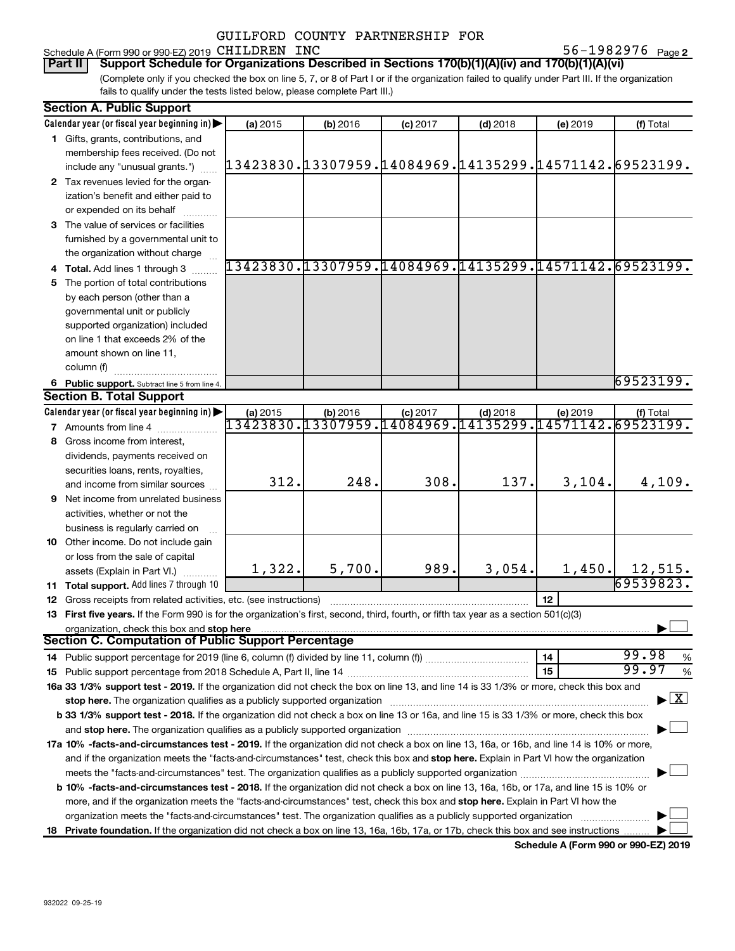#### Schedule A (Form 990 or 990-EZ) 2019 CHILDREN INC  $56-1982976$  Page

56-1982976 Page 2

(Complete only if you checked the box on line 5, 7, or 8 of Part I or if the organization failed to qualify under Part III. If the organization fails to qualify under the tests listed below, please complete Part III.) **Part II Support Schedule for Organizations Described in Sections 170(b)(1)(A)(iv) and 170(b)(1)(A)(vi)**

| <b>Section A. Public Support</b> |                                                                                                                                                                                                                                |                                                                    |          |            |            |          |                                    |
|----------------------------------|--------------------------------------------------------------------------------------------------------------------------------------------------------------------------------------------------------------------------------|--------------------------------------------------------------------|----------|------------|------------|----------|------------------------------------|
|                                  | Calendar year (or fiscal year beginning in)                                                                                                                                                                                    | (a) 2015                                                           | (b) 2016 | $(c)$ 2017 | $(d)$ 2018 | (e) 2019 | (f) Total                          |
|                                  | 1 Gifts, grants, contributions, and                                                                                                                                                                                            |                                                                    |          |            |            |          |                                    |
|                                  | membership fees received. (Do not                                                                                                                                                                                              |                                                                    |          |            |            |          |                                    |
|                                  | include any "unusual grants.")                                                                                                                                                                                                 | 13423830.13307959.14084969.14135299.14571142.69523199.             |          |            |            |          |                                    |
|                                  | 2 Tax revenues levied for the organ-                                                                                                                                                                                           |                                                                    |          |            |            |          |                                    |
|                                  | ization's benefit and either paid to                                                                                                                                                                                           |                                                                    |          |            |            |          |                                    |
|                                  | or expended on its behalf                                                                                                                                                                                                      |                                                                    |          |            |            |          |                                    |
|                                  | 3 The value of services or facilities                                                                                                                                                                                          |                                                                    |          |            |            |          |                                    |
|                                  | furnished by a governmental unit to                                                                                                                                                                                            |                                                                    |          |            |            |          |                                    |
|                                  | the organization without charge                                                                                                                                                                                                |                                                                    |          |            |            |          |                                    |
|                                  | 4 Total. Add lines 1 through 3                                                                                                                                                                                                 | 13423830.13307959.14084969.14135299.14571142.69523199.             |          |            |            |          |                                    |
|                                  | 5 The portion of total contributions                                                                                                                                                                                           |                                                                    |          |            |            |          |                                    |
|                                  | by each person (other than a                                                                                                                                                                                                   |                                                                    |          |            |            |          |                                    |
|                                  | governmental unit or publicly                                                                                                                                                                                                  |                                                                    |          |            |            |          |                                    |
|                                  | supported organization) included                                                                                                                                                                                               |                                                                    |          |            |            |          |                                    |
|                                  | on line 1 that exceeds 2% of the                                                                                                                                                                                               |                                                                    |          |            |            |          |                                    |
|                                  | amount shown on line 11,                                                                                                                                                                                                       |                                                                    |          |            |            |          |                                    |
|                                  | column (f)                                                                                                                                                                                                                     |                                                                    |          |            |            |          |                                    |
|                                  |                                                                                                                                                                                                                                |                                                                    |          |            |            |          | 69523199.                          |
|                                  | 6 Public support. Subtract line 5 from line 4.<br><b>Section B. Total Support</b>                                                                                                                                              |                                                                    |          |            |            |          |                                    |
|                                  | Calendar year (or fiscal year beginning in)                                                                                                                                                                                    |                                                                    |          |            |            |          |                                    |
|                                  |                                                                                                                                                                                                                                | (a) 2015<br>13423830.13307959.14084969.14135299.14571142.69523199. | (b) 2016 | $(c)$ 2017 | $(d)$ 2018 | (e) 2019 | (f) Total                          |
|                                  | <b>7</b> Amounts from line 4                                                                                                                                                                                                   |                                                                    |          |            |            |          |                                    |
|                                  | 8 Gross income from interest,                                                                                                                                                                                                  |                                                                    |          |            |            |          |                                    |
|                                  | dividends, payments received on                                                                                                                                                                                                |                                                                    |          |            |            |          |                                    |
|                                  | securities loans, rents, royalties,                                                                                                                                                                                            | 312.                                                               | 248.     | 308.       | 137.       |          |                                    |
|                                  | and income from similar sources                                                                                                                                                                                                |                                                                    |          |            |            | 3,104.   | 4,109.                             |
|                                  | <b>9</b> Net income from unrelated business                                                                                                                                                                                    |                                                                    |          |            |            |          |                                    |
|                                  | activities, whether or not the                                                                                                                                                                                                 |                                                                    |          |            |            |          |                                    |
|                                  | business is regularly carried on                                                                                                                                                                                               |                                                                    |          |            |            |          |                                    |
|                                  | 10 Other income. Do not include gain                                                                                                                                                                                           |                                                                    |          |            |            |          |                                    |
|                                  | or loss from the sale of capital                                                                                                                                                                                               |                                                                    |          |            |            |          |                                    |
|                                  | assets (Explain in Part VI.)                                                                                                                                                                                                   | 1,322.                                                             | 5,700.   | 989.       | 3,054.     | 1,450.   | 12,515.                            |
|                                  | 11 Total support. Add lines 7 through 10                                                                                                                                                                                       |                                                                    |          |            |            |          | 69539823.                          |
|                                  | <b>12</b> Gross receipts from related activities, etc. (see instructions)                                                                                                                                                      |                                                                    |          |            |            | 12       |                                    |
|                                  | 13 First five years. If the Form 990 is for the organization's first, second, third, fourth, or fifth tax year as a section 501(c)(3)                                                                                          |                                                                    |          |            |            |          |                                    |
|                                  | organization, check this box and stop here                                                                                                                                                                                     |                                                                    |          |            |            |          |                                    |
|                                  | <b>Section C. Computation of Public Support Percentage</b>                                                                                                                                                                     |                                                                    |          |            |            |          |                                    |
|                                  |                                                                                                                                                                                                                                |                                                                    |          |            |            | 14       | 99.98<br>%                         |
|                                  |                                                                                                                                                                                                                                |                                                                    |          |            |            | 15       | 99.97<br>%                         |
|                                  | 16a 33 1/3% support test - 2019. If the organization did not check the box on line 13, and line 14 is 33 1/3% or more, check this box and                                                                                      |                                                                    |          |            |            |          |                                    |
|                                  | stop here. The organization qualifies as a publicly supported organization manufactured content and the organization manufactured or an analyzing the stress of the stress of the stress of the stress of the stress of the st |                                                                    |          |            |            |          | $\blacktriangleright$ $\mathbf{X}$ |
|                                  | b 33 1/3% support test - 2018. If the organization did not check a box on line 13 or 16a, and line 15 is 33 1/3% or more, check this box                                                                                       |                                                                    |          |            |            |          |                                    |
|                                  |                                                                                                                                                                                                                                |                                                                    |          |            |            |          |                                    |
|                                  | 17a 10% -facts-and-circumstances test - 2019. If the organization did not check a box on line 13, 16a, or 16b, and line 14 is 10% or more,                                                                                     |                                                                    |          |            |            |          |                                    |
|                                  | and if the organization meets the "facts-and-circumstances" test, check this box and stop here. Explain in Part VI how the organization                                                                                        |                                                                    |          |            |            |          |                                    |
|                                  |                                                                                                                                                                                                                                |                                                                    |          |            |            |          |                                    |
|                                  | <b>b 10%</b> -facts-and-circumstances test - 2018. If the organization did not check a box on line 13, 16a, 16b, or 17a, and line 15 is 10% or                                                                                 |                                                                    |          |            |            |          |                                    |
|                                  | more, and if the organization meets the "facts-and-circumstances" test, check this box and stop here. Explain in Part VI how the                                                                                               |                                                                    |          |            |            |          |                                    |
|                                  | organization meets the "facts-and-circumstances" test. The organization qualifies as a publicly supported organization                                                                                                         |                                                                    |          |            |            |          |                                    |
|                                  | 18 Private foundation. If the organization did not check a box on line 13, 16a, 16b, 17a, or 17b, check this box and see instructions                                                                                          |                                                                    |          |            |            |          |                                    |
|                                  |                                                                                                                                                                                                                                |                                                                    |          |            |            |          |                                    |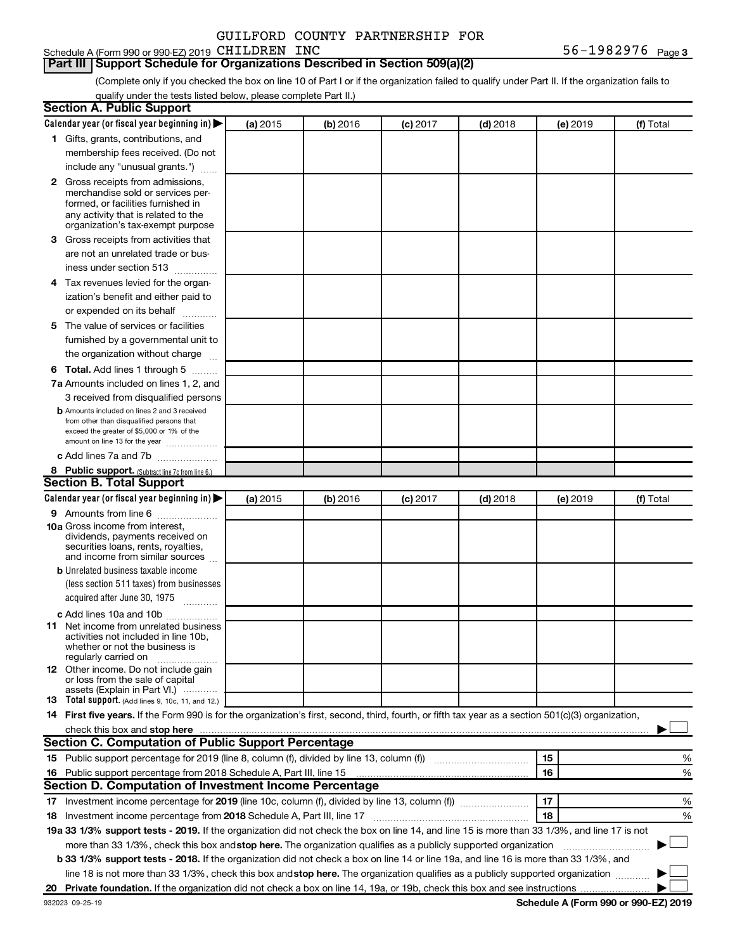#### Schedule A (Form 990 or 990-EZ) 2019 CHILDREN INC  $56-1982976$  Page

#### **Part III Support Schedule for Organizations Described in Section 509(a)(2)**

(Complete only if you checked the box on line 10 of Part I or if the organization failed to qualify under Part II. If the organization fails to qualify under the tests listed below, please complete Part II.)

| <b>Section A. Public Support</b>                                                                                                                                                                                                                                                                                                     |          |          |          |            |          |           |
|--------------------------------------------------------------------------------------------------------------------------------------------------------------------------------------------------------------------------------------------------------------------------------------------------------------------------------------|----------|----------|----------|------------|----------|-----------|
| Calendar year (or fiscal year beginning in)                                                                                                                                                                                                                                                                                          | (a) 2015 | (b) 2016 | (c) 2017 | $(d)$ 2018 | (e) 2019 | (f) Total |
| 1 Gifts, grants, contributions, and                                                                                                                                                                                                                                                                                                  |          |          |          |            |          |           |
| membership fees received. (Do not                                                                                                                                                                                                                                                                                                    |          |          |          |            |          |           |
| include any "unusual grants.")                                                                                                                                                                                                                                                                                                       |          |          |          |            |          |           |
| <b>2</b> Gross receipts from admissions,                                                                                                                                                                                                                                                                                             |          |          |          |            |          |           |
| merchandise sold or services per-                                                                                                                                                                                                                                                                                                    |          |          |          |            |          |           |
| formed, or facilities furnished in<br>any activity that is related to the                                                                                                                                                                                                                                                            |          |          |          |            |          |           |
| organization's tax-exempt purpose                                                                                                                                                                                                                                                                                                    |          |          |          |            |          |           |
| 3 Gross receipts from activities that                                                                                                                                                                                                                                                                                                |          |          |          |            |          |           |
| are not an unrelated trade or bus-                                                                                                                                                                                                                                                                                                   |          |          |          |            |          |           |
| iness under section 513                                                                                                                                                                                                                                                                                                              |          |          |          |            |          |           |
| 4 Tax revenues levied for the organ-                                                                                                                                                                                                                                                                                                 |          |          |          |            |          |           |
| ization's benefit and either paid to                                                                                                                                                                                                                                                                                                 |          |          |          |            |          |           |
| or expended on its behalf<br>.                                                                                                                                                                                                                                                                                                       |          |          |          |            |          |           |
| 5 The value of services or facilities                                                                                                                                                                                                                                                                                                |          |          |          |            |          |           |
| furnished by a governmental unit to                                                                                                                                                                                                                                                                                                  |          |          |          |            |          |           |
| the organization without charge                                                                                                                                                                                                                                                                                                      |          |          |          |            |          |           |
| <b>6 Total.</b> Add lines 1 through 5                                                                                                                                                                                                                                                                                                |          |          |          |            |          |           |
| 7a Amounts included on lines 1, 2, and                                                                                                                                                                                                                                                                                               |          |          |          |            |          |           |
| 3 received from disqualified persons                                                                                                                                                                                                                                                                                                 |          |          |          |            |          |           |
| <b>b</b> Amounts included on lines 2 and 3 received                                                                                                                                                                                                                                                                                  |          |          |          |            |          |           |
| from other than disqualified persons that                                                                                                                                                                                                                                                                                            |          |          |          |            |          |           |
| exceed the greater of \$5,000 or 1% of the<br>amount on line 13 for the year                                                                                                                                                                                                                                                         |          |          |          |            |          |           |
| c Add lines 7a and 7b                                                                                                                                                                                                                                                                                                                |          |          |          |            |          |           |
| 8 Public support. (Subtract line 7c from line 6.)                                                                                                                                                                                                                                                                                    |          |          |          |            |          |           |
| <b>Section B. Total Support</b>                                                                                                                                                                                                                                                                                                      |          |          |          |            |          |           |
| Calendar year (or fiscal year beginning in)                                                                                                                                                                                                                                                                                          | (a) 2015 | (b) 2016 | (c) 2017 | $(d)$ 2018 | (e) 2019 | (f) Total |
| <b>9</b> Amounts from line 6                                                                                                                                                                                                                                                                                                         |          |          |          |            |          |           |
| <b>10a</b> Gross income from interest,                                                                                                                                                                                                                                                                                               |          |          |          |            |          |           |
| dividends, payments received on                                                                                                                                                                                                                                                                                                      |          |          |          |            |          |           |
| securities loans, rents, royalties,<br>and income from similar sources                                                                                                                                                                                                                                                               |          |          |          |            |          |           |
| <b>b</b> Unrelated business taxable income                                                                                                                                                                                                                                                                                           |          |          |          |            |          |           |
| (less section 511 taxes) from businesses                                                                                                                                                                                                                                                                                             |          |          |          |            |          |           |
| acquired after June 30, 1975                                                                                                                                                                                                                                                                                                         |          |          |          |            |          |           |
|                                                                                                                                                                                                                                                                                                                                      |          |          |          |            |          |           |
| c Add lines 10a and 10b<br><b>11</b> Net income from unrelated business                                                                                                                                                                                                                                                              |          |          |          |            |          |           |
| activities not included in line 10b.                                                                                                                                                                                                                                                                                                 |          |          |          |            |          |           |
| whether or not the business is                                                                                                                                                                                                                                                                                                       |          |          |          |            |          |           |
| regularly carried on<br>12 Other income. Do not include gain                                                                                                                                                                                                                                                                         |          |          |          |            |          |           |
| or loss from the sale of capital                                                                                                                                                                                                                                                                                                     |          |          |          |            |          |           |
| assets (Explain in Part VI.)                                                                                                                                                                                                                                                                                                         |          |          |          |            |          |           |
| <b>13</b> Total support. (Add lines 9, 10c, 11, and 12.)                                                                                                                                                                                                                                                                             |          |          |          |            |          |           |
| 14 First five years. If the Form 990 is for the organization's first, second, third, fourth, or fifth tax year as a section 501(c)(3) organization,                                                                                                                                                                                  |          |          |          |            |          |           |
| check this box and stop here <b>construction and construction</b> and stop here <b>constructed</b> and stop here <b>constructed</b> and stop here <b>constructed</b> and <b>construction</b> and <b>construction</b> and <b>construction</b> and <b>construction</b> a<br><b>Section C. Computation of Public Support Percentage</b> |          |          |          |            |          |           |
|                                                                                                                                                                                                                                                                                                                                      |          |          |          |            |          |           |
| 15 Public support percentage for 2019 (line 8, column (f), divided by line 13, column (f) <i>manumeronominium</i>                                                                                                                                                                                                                    |          |          |          |            | 15       | %         |
| 16 Public support percentage from 2018 Schedule A, Part III, line 15                                                                                                                                                                                                                                                                 |          |          |          |            | 16       | %         |
| Section D. Computation of Investment Income Percentage                                                                                                                                                                                                                                                                               |          |          |          |            |          |           |
| 17 Investment income percentage for 2019 (line 10c, column (f), divided by line 13, column (f))                                                                                                                                                                                                                                      |          |          |          |            | 17       | %         |
| 18 Investment income percentage from 2018 Schedule A, Part III, line 17                                                                                                                                                                                                                                                              |          |          |          |            | 18       | %         |
| 19a 33 1/3% support tests - 2019. If the organization did not check the box on line 14, and line 15 is more than 33 1/3%, and line 17 is not                                                                                                                                                                                         |          |          |          |            |          |           |
| more than 33 1/3%, check this box and stop here. The organization qualifies as a publicly supported organization                                                                                                                                                                                                                     |          |          |          |            |          |           |
| b 33 1/3% support tests - 2018. If the organization did not check a box on line 14 or line 19a, and line 16 is more than 33 1/3%, and                                                                                                                                                                                                |          |          |          |            |          |           |
| line 18 is not more than 33 1/3%, check this box and stop here. The organization qualifies as a publicly supported organization                                                                                                                                                                                                      |          |          |          |            |          |           |
|                                                                                                                                                                                                                                                                                                                                      |          |          |          |            |          |           |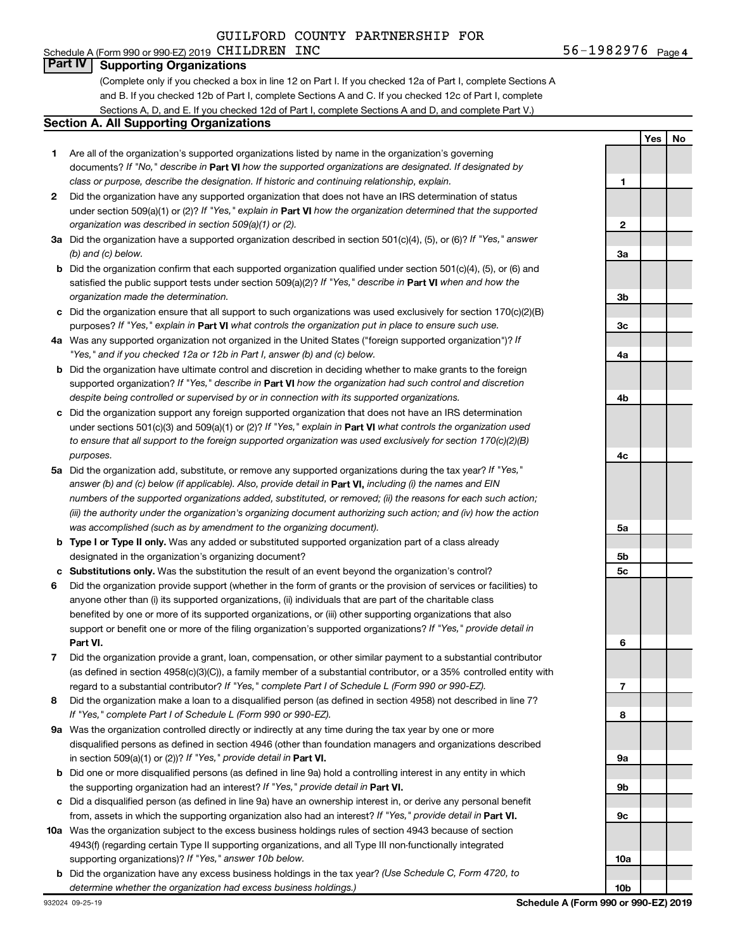#### Schedule A (Form 990 or 990-EZ) 2019 CHILDREN INC  $56-1982976$  Page **Part IV Supporting Organizations**

(Complete only if you checked a box in line 12 on Part I. If you checked 12a of Part I, complete Sections A and B. If you checked 12b of Part I, complete Sections A and C. If you checked 12c of Part I, complete Sections A, D, and E. If you checked 12d of Part I, complete Sections A and D, and complete Part V.)

#### **Section A. All Supporting Organizations**

- **1** Are all of the organization's supported organizations listed by name in the organization's governing documents? If "No," describe in Part VI how the supported organizations are designated. If designated by *class or purpose, describe the designation. If historic and continuing relationship, explain.*
- **2** Did the organization have any supported organization that does not have an IRS determination of status under section 509(a)(1) or (2)? If "Yes," explain in Part **VI** how the organization determined that the supported *organization was described in section 509(a)(1) or (2).*
- **3a** Did the organization have a supported organization described in section 501(c)(4), (5), or (6)? If "Yes," answer *(b) and (c) below.*
- **b** Did the organization confirm that each supported organization qualified under section 501(c)(4), (5), or (6) and satisfied the public support tests under section 509(a)(2)? If "Yes," describe in Part VI when and how the *organization made the determination.*
- **c** Did the organization ensure that all support to such organizations was used exclusively for section 170(c)(2)(B) purposes? If "Yes," explain in Part VI what controls the organization put in place to ensure such use.
- **4 a** *If* Was any supported organization not organized in the United States ("foreign supported organization")? *"Yes," and if you checked 12a or 12b in Part I, answer (b) and (c) below.*
- **b** Did the organization have ultimate control and discretion in deciding whether to make grants to the foreign supported organization? If "Yes," describe in Part VI how the organization had such control and discretion *despite being controlled or supervised by or in connection with its supported organizations.*
- **c** Did the organization support any foreign supported organization that does not have an IRS determination under sections 501(c)(3) and 509(a)(1) or (2)? If "Yes," explain in Part VI what controls the organization used *to ensure that all support to the foreign supported organization was used exclusively for section 170(c)(2)(B) purposes.*
- **5a** Did the organization add, substitute, or remove any supported organizations during the tax year? If "Yes," answer (b) and (c) below (if applicable). Also, provide detail in **Part VI,** including (i) the names and EIN *numbers of the supported organizations added, substituted, or removed; (ii) the reasons for each such action; (iii) the authority under the organization's organizing document authorizing such action; and (iv) how the action was accomplished (such as by amendment to the organizing document).*
- **b** Type I or Type II only. Was any added or substituted supported organization part of a class already designated in the organization's organizing document?
- **c Substitutions only.**  Was the substitution the result of an event beyond the organization's control?
- **6** Did the organization provide support (whether in the form of grants or the provision of services or facilities) to **Part VI.** support or benefit one or more of the filing organization's supported organizations? If "Yes," provide detail in anyone other than (i) its supported organizations, (ii) individuals that are part of the charitable class benefited by one or more of its supported organizations, or (iii) other supporting organizations that also
- **7** Did the organization provide a grant, loan, compensation, or other similar payment to a substantial contributor regard to a substantial contributor? If "Yes," complete Part I of Schedule L (Form 990 or 990-EZ). (as defined in section 4958(c)(3)(C)), a family member of a substantial contributor, or a 35% controlled entity with
- **8** Did the organization make a loan to a disqualified person (as defined in section 4958) not described in line 7? *If "Yes," complete Part I of Schedule L (Form 990 or 990-EZ).*
- **9 a** Was the organization controlled directly or indirectly at any time during the tax year by one or more in section 509(a)(1) or (2))? If "Yes," provide detail in **Part VI.** disqualified persons as defined in section 4946 (other than foundation managers and organizations described
- **b** Did one or more disqualified persons (as defined in line 9a) hold a controlling interest in any entity in which the supporting organization had an interest? If "Yes," provide detail in Part VI.
- **c** Did a disqualified person (as defined in line 9a) have an ownership interest in, or derive any personal benefit from, assets in which the supporting organization also had an interest? If "Yes," provide detail in Part VI.
- **10 a** Was the organization subject to the excess business holdings rules of section 4943 because of section supporting organizations)? If "Yes," answer 10b below. 4943(f) (regarding certain Type II supporting organizations, and all Type III non-functionally integrated
- **b** Did the organization have any excess business holdings in the tax year? (Use Schedule C, Form 4720, to *determine whether the organization had excess business holdings.)*

**Yes No 1 2 3a 3b 3c 4a 4b 4c 5a 5b 5c 6 7 8 9a 9b 9c 10a 10b**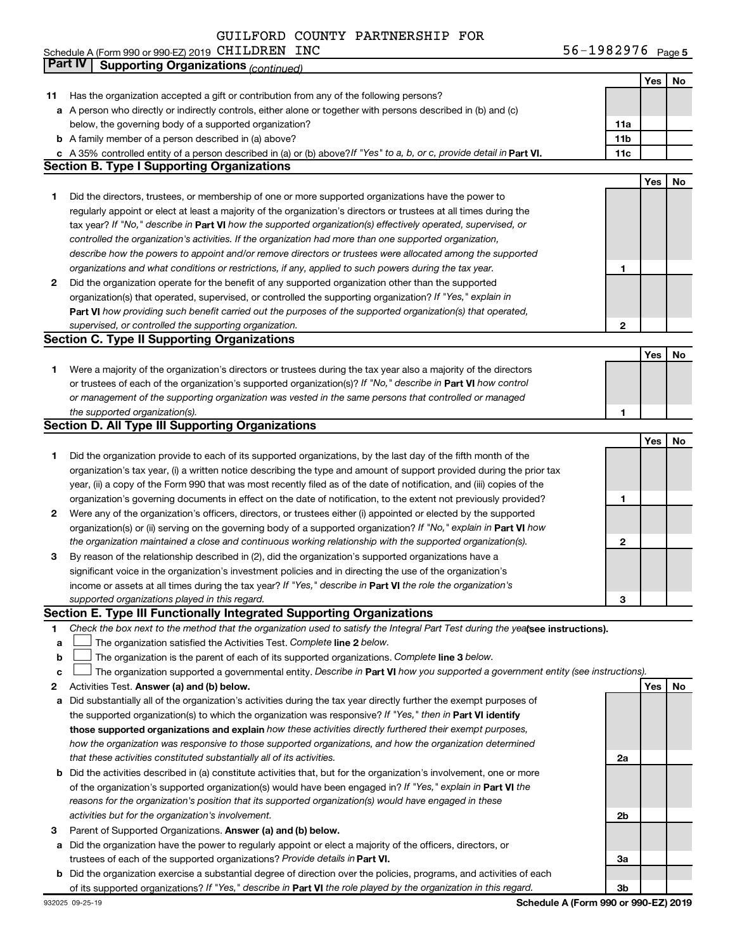Schedule A (Form 990 or 990-EZ) 2019 CHILDREN INC North Control of the Control of the Control of the Page of the Page

|    | Part IV<br><b>Supporting Organizations (continued)</b>                                                                                                                                                       |                 |     |    |
|----|--------------------------------------------------------------------------------------------------------------------------------------------------------------------------------------------------------------|-----------------|-----|----|
|    |                                                                                                                                                                                                              |                 | Yes | No |
| 11 | Has the organization accepted a gift or contribution from any of the following persons?                                                                                                                      |                 |     |    |
|    | a A person who directly or indirectly controls, either alone or together with persons described in (b) and (c)                                                                                               |                 |     |    |
|    | below, the governing body of a supported organization?                                                                                                                                                       | 11a             |     |    |
|    | <b>b</b> A family member of a person described in (a) above?                                                                                                                                                 | 11 <sub>b</sub> |     |    |
|    | c A 35% controlled entity of a person described in (a) or (b) above? If "Yes" to a, b, or c, provide detail in Part VI.                                                                                      | 11c             |     |    |
|    | <b>Section B. Type I Supporting Organizations</b>                                                                                                                                                            |                 |     |    |
|    |                                                                                                                                                                                                              |                 | Yes | No |
| 1  | Did the directors, trustees, or membership of one or more supported organizations have the power to                                                                                                          |                 |     |    |
|    | regularly appoint or elect at least a majority of the organization's directors or trustees at all times during the                                                                                           |                 |     |    |
|    | tax year? If "No," describe in Part VI how the supported organization(s) effectively operated, supervised, or                                                                                                |                 |     |    |
|    | controlled the organization's activities. If the organization had more than one supported organization,                                                                                                      |                 |     |    |
|    | describe how the powers to appoint and/or remove directors or trustees were allocated among the supported                                                                                                    |                 |     |    |
|    | organizations and what conditions or restrictions, if any, applied to such powers during the tax year.                                                                                                       | 1               |     |    |
| 2  | Did the organization operate for the benefit of any supported organization other than the supported                                                                                                          |                 |     |    |
|    | organization(s) that operated, supervised, or controlled the supporting organization? If "Yes," explain in                                                                                                   |                 |     |    |
|    | Part VI how providing such benefit carried out the purposes of the supported organization(s) that operated,                                                                                                  |                 |     |    |
|    | supervised, or controlled the supporting organization.                                                                                                                                                       | $\mathbf{2}$    |     |    |
|    | <b>Section C. Type II Supporting Organizations</b>                                                                                                                                                           |                 |     |    |
|    |                                                                                                                                                                                                              |                 | Yes | No |
| 1. | Were a majority of the organization's directors or trustees during the tax year also a majority of the directors                                                                                             |                 |     |    |
|    | or trustees of each of the organization's supported organization(s)? If "No," describe in Part VI how control                                                                                                |                 |     |    |
|    | or management of the supporting organization was vested in the same persons that controlled or managed                                                                                                       |                 |     |    |
|    | the supported organization(s).                                                                                                                                                                               | 1               |     |    |
|    | <b>Section D. All Type III Supporting Organizations</b>                                                                                                                                                      |                 |     |    |
|    |                                                                                                                                                                                                              |                 | Yes | No |
| 1  | Did the organization provide to each of its supported organizations, by the last day of the fifth month of the                                                                                               |                 |     |    |
|    | organization's tax year, (i) a written notice describing the type and amount of support provided during the prior tax                                                                                        |                 |     |    |
|    | year, (ii) a copy of the Form 990 that was most recently filed as of the date of notification, and (iii) copies of the                                                                                       |                 |     |    |
|    | organization's governing documents in effect on the date of notification, to the extent not previously provided?                                                                                             | 1               |     |    |
| 2  | Were any of the organization's officers, directors, or trustees either (i) appointed or elected by the supported                                                                                             |                 |     |    |
|    | organization(s) or (ii) serving on the governing body of a supported organization? If "No," explain in Part VI how                                                                                           |                 |     |    |
|    | the organization maintained a close and continuous working relationship with the supported organization(s).                                                                                                  | 2               |     |    |
| 3  | By reason of the relationship described in (2), did the organization's supported organizations have a                                                                                                        |                 |     |    |
|    | significant voice in the organization's investment policies and in directing the use of the organization's                                                                                                   |                 |     |    |
|    | income or assets at all times during the tax year? If "Yes," describe in Part VI the role the organization's                                                                                                 |                 |     |    |
|    | supported organizations played in this regard.                                                                                                                                                               |                 |     |    |
|    | Section E. Type III Functionally Integrated Supporting Organizations                                                                                                                                         | з               |     |    |
| 1  | Check the box next to the method that the organization used to satisfy the Integral Part Test during the yealsee instructions).                                                                              |                 |     |    |
| a  | The organization satisfied the Activities Test. Complete line 2 below.                                                                                                                                       |                 |     |    |
| b  | The organization is the parent of each of its supported organizations. Complete line 3 below.                                                                                                                |                 |     |    |
| с  | The organization supported a governmental entity. Describe in Part VI how you supported a government entity (see instructions).                                                                              |                 |     |    |
| 2  | Activities Test. Answer (a) and (b) below.                                                                                                                                                                   |                 | Yes | No |
| а  | Did substantially all of the organization's activities during the tax year directly further the exempt purposes of                                                                                           |                 |     |    |
|    | the supported organization(s) to which the organization was responsive? If "Yes," then in Part VI identify                                                                                                   |                 |     |    |
|    | those supported organizations and explain how these activities directly furthered their exempt purposes,                                                                                                     |                 |     |    |
|    | how the organization was responsive to those supported organizations, and how the organization determined                                                                                                    |                 |     |    |
|    | that these activities constituted substantially all of its activities.                                                                                                                                       | 2a              |     |    |
|    | <b>b</b> Did the activities described in (a) constitute activities that, but for the organization's involvement, one or more                                                                                 |                 |     |    |
|    | of the organization's supported organization(s) would have been engaged in? If "Yes," explain in Part VI the                                                                                                 |                 |     |    |
|    | reasons for the organization's position that its supported organization(s) would have engaged in these                                                                                                       |                 |     |    |
|    |                                                                                                                                                                                                              |                 |     |    |
|    | activities but for the organization's involvement.                                                                                                                                                           | 2b              |     |    |
| з  | Parent of Supported Organizations. Answer (a) and (b) below.                                                                                                                                                 |                 |     |    |
| а  | Did the organization have the power to regularly appoint or elect a majority of the officers, directors, or                                                                                                  |                 |     |    |
|    | trustees of each of the supported organizations? Provide details in Part VI.<br><b>b</b> Did the organization exercise a substantial degree of direction over the policies, programs, and activities of each | За              |     |    |
|    | of its supported organizations? If "Yes," describe in Part VI the role played by the organization in this regard.                                                                                            | 3b              |     |    |
|    |                                                                                                                                                                                                              |                 |     |    |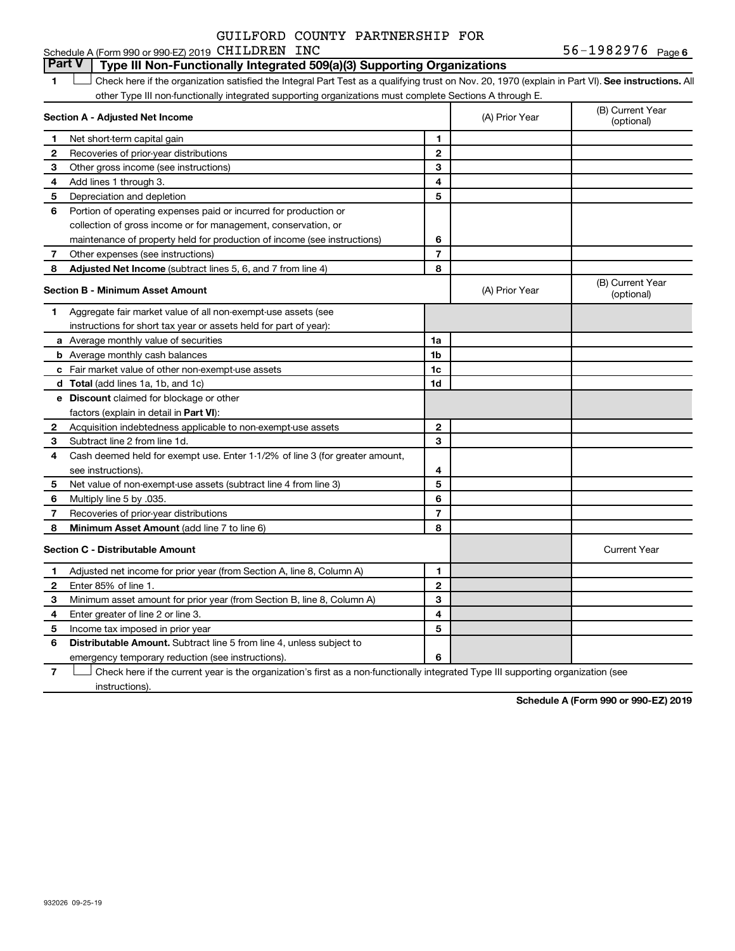#### **Part V Type III Non-Functionally Integrated 509(a)(3) Supporting Organizations**

1 **Letter See instructions.** All Check here if the organization satisfied the Integral Part Test as a qualifying trust on Nov. 20, 1970 (explain in Part VI). See instructions. All other Type III non-functionally integrated supporting organizations must complete Sections A through E.

|              | Section A - Adjusted Net Income                                              |                | (A) Prior Year | (B) Current Year<br>(optional) |
|--------------|------------------------------------------------------------------------------|----------------|----------------|--------------------------------|
| 1            | Net short-term capital gain                                                  | 1              |                |                                |
| 2            | Recoveries of prior-year distributions                                       | $\overline{2}$ |                |                                |
| з            | Other gross income (see instructions)                                        | 3              |                |                                |
| 4            | Add lines 1 through 3.                                                       | 4              |                |                                |
| 5            | Depreciation and depletion                                                   | 5              |                |                                |
| 6            | Portion of operating expenses paid or incurred for production or             |                |                |                                |
|              | collection of gross income or for management, conservation, or               |                |                |                                |
|              | maintenance of property held for production of income (see instructions)     | 6              |                |                                |
| 7            | Other expenses (see instructions)                                            | $\overline{7}$ |                |                                |
| 8            | Adjusted Net Income (subtract lines 5, 6, and 7 from line 4)                 | 8              |                |                                |
|              | <b>Section B - Minimum Asset Amount</b>                                      |                | (A) Prior Year | (B) Current Year<br>(optional) |
| 1.           | Aggregate fair market value of all non-exempt-use assets (see                |                |                |                                |
|              | instructions for short tax year or assets held for part of year):            |                |                |                                |
|              | a Average monthly value of securities                                        | 1a             |                |                                |
|              | <b>b</b> Average monthly cash balances                                       | 1b             |                |                                |
|              | c Fair market value of other non-exempt-use assets                           | 1c             |                |                                |
|              | <b>d</b> Total (add lines 1a, 1b, and 1c)                                    | 1d             |                |                                |
|              | e Discount claimed for blockage or other                                     |                |                |                                |
|              | factors (explain in detail in <b>Part VI</b> ):                              |                |                |                                |
| 2            | Acquisition indebtedness applicable to non-exempt-use assets                 | 2              |                |                                |
| 3            | Subtract line 2 from line 1d.                                                | 3              |                |                                |
| 4            | Cash deemed held for exempt use. Enter 1-1/2% of line 3 (for greater amount, |                |                |                                |
|              | see instructions).                                                           | 4              |                |                                |
| 5            | Net value of non-exempt-use assets (subtract line 4 from line 3)             | 5              |                |                                |
| 6            | Multiply line 5 by .035.                                                     | 6              |                |                                |
| 7            | Recoveries of prior-year distributions                                       | 7              |                |                                |
| 8            | Minimum Asset Amount (add line 7 to line 6)                                  | 8              |                |                                |
|              | <b>Section C - Distributable Amount</b>                                      |                |                | <b>Current Year</b>            |
| 1            | Adjusted net income for prior year (from Section A, line 8, Column A)        | 1              |                |                                |
| $\mathbf{2}$ | Enter 85% of line 1.                                                         | $\mathbf{2}$   |                |                                |
| 3            | Minimum asset amount for prior year (from Section B, line 8, Column A)       | 3              |                |                                |
| 4            | Enter greater of line 2 or line 3.                                           | 4              |                |                                |
| 5            | Income tax imposed in prior year                                             | 5              |                |                                |
| 6            | <b>Distributable Amount.</b> Subtract line 5 from line 4, unless subject to  |                |                |                                |
|              | emergency temporary reduction (see instructions).                            | 6              |                |                                |

**7** Let Check here if the current year is the organization's first as a non-functionally integrated Type III supporting organization (see instructions).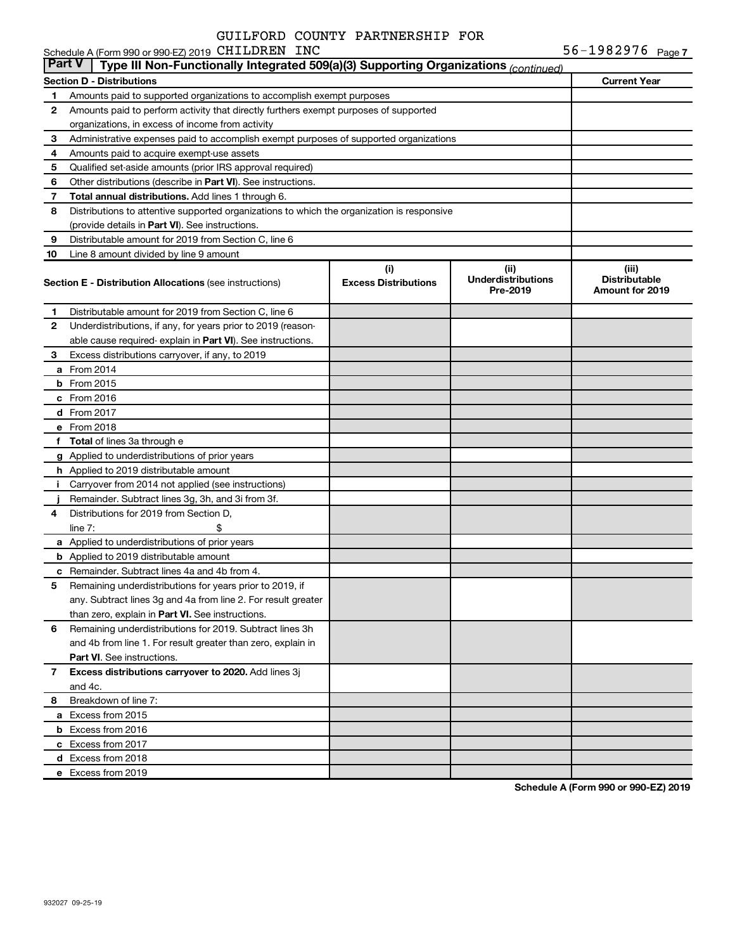|           | Schedule A (Form 990 or 990-EZ) 2019 CHILDREN INC                                          |                                    |                                               | 56-1982976 $_{Page 7}$                           |
|-----------|--------------------------------------------------------------------------------------------|------------------------------------|-----------------------------------------------|--------------------------------------------------|
| ∣ Part V∣ | Type III Non-Functionally Integrated 509(a)(3) Supporting Organizations (continued)        |                                    |                                               |                                                  |
|           | <b>Section D - Distributions</b>                                                           |                                    |                                               | <b>Current Year</b>                              |
| 1         | Amounts paid to supported organizations to accomplish exempt purposes                      |                                    |                                               |                                                  |
| 2         | Amounts paid to perform activity that directly furthers exempt purposes of supported       |                                    |                                               |                                                  |
|           | organizations, in excess of income from activity                                           |                                    |                                               |                                                  |
| З         | Administrative expenses paid to accomplish exempt purposes of supported organizations      |                                    |                                               |                                                  |
| 4         | Amounts paid to acquire exempt-use assets                                                  |                                    |                                               |                                                  |
| 5         | Qualified set-aside amounts (prior IRS approval required)                                  |                                    |                                               |                                                  |
| 6         | Other distributions (describe in <b>Part VI</b> ). See instructions.                       |                                    |                                               |                                                  |
| 7         | Total annual distributions. Add lines 1 through 6.                                         |                                    |                                               |                                                  |
| 8         | Distributions to attentive supported organizations to which the organization is responsive |                                    |                                               |                                                  |
|           | (provide details in Part VI). See instructions.                                            |                                    |                                               |                                                  |
| 9         | Distributable amount for 2019 from Section C, line 6                                       |                                    |                                               |                                                  |
| 10        | Line 8 amount divided by line 9 amount                                                     |                                    |                                               |                                                  |
|           | <b>Section E - Distribution Allocations (see instructions)</b>                             | (i)<br><b>Excess Distributions</b> | (ii)<br><b>Underdistributions</b><br>Pre-2019 | (iii)<br><b>Distributable</b><br>Amount for 2019 |
| 1.        | Distributable amount for 2019 from Section C, line 6                                       |                                    |                                               |                                                  |
| 2         | Underdistributions, if any, for years prior to 2019 (reason-                               |                                    |                                               |                                                  |
|           | able cause required- explain in Part VI). See instructions.                                |                                    |                                               |                                                  |
| З         | Excess distributions carryover, if any, to 2019                                            |                                    |                                               |                                                  |
|           | <b>a</b> From 2014                                                                         |                                    |                                               |                                                  |
|           | <b>b</b> From 2015                                                                         |                                    |                                               |                                                  |
|           | c From 2016                                                                                |                                    |                                               |                                                  |
|           | <b>d</b> From 2017                                                                         |                                    |                                               |                                                  |
|           | e From 2018                                                                                |                                    |                                               |                                                  |
| f         | <b>Total</b> of lines 3a through e                                                         |                                    |                                               |                                                  |
|           | g Applied to underdistributions of prior years                                             |                                    |                                               |                                                  |
|           | <b>h</b> Applied to 2019 distributable amount                                              |                                    |                                               |                                                  |
| Ť.        | Carryover from 2014 not applied (see instructions)                                         |                                    |                                               |                                                  |
|           | Remainder. Subtract lines 3g, 3h, and 3i from 3f.                                          |                                    |                                               |                                                  |
| 4         | Distributions for 2019 from Section D,                                                     |                                    |                                               |                                                  |
|           | line $7:$                                                                                  |                                    |                                               |                                                  |
|           | a Applied to underdistributions of prior years                                             |                                    |                                               |                                                  |
|           | <b>b</b> Applied to 2019 distributable amount                                              |                                    |                                               |                                                  |
|           | <b>c</b> Remainder. Subtract lines 4a and 4b from 4.                                       |                                    |                                               |                                                  |
|           | Remaining underdistributions for years prior to 2019, if                                   |                                    |                                               |                                                  |
|           | any. Subtract lines 3q and 4a from line 2. For result greater                              |                                    |                                               |                                                  |
|           | than zero, explain in Part VI. See instructions.                                           |                                    |                                               |                                                  |
| 6         | Remaining underdistributions for 2019. Subtract lines 3h                                   |                                    |                                               |                                                  |
|           | and 4b from line 1. For result greater than zero, explain in                               |                                    |                                               |                                                  |
|           | <b>Part VI.</b> See instructions.                                                          |                                    |                                               |                                                  |
| 7         | Excess distributions carryover to 2020. Add lines 3j                                       |                                    |                                               |                                                  |
|           | and 4c.                                                                                    |                                    |                                               |                                                  |
| 8         | Breakdown of line 7:                                                                       |                                    |                                               |                                                  |
|           | a Excess from 2015                                                                         |                                    |                                               |                                                  |
|           | <b>b</b> Excess from 2016                                                                  |                                    |                                               |                                                  |
|           | c Excess from 2017                                                                         |                                    |                                               |                                                  |
|           | d Excess from 2018                                                                         |                                    |                                               |                                                  |
|           | e Excess from 2019                                                                         |                                    |                                               |                                                  |
|           |                                                                                            |                                    |                                               |                                                  |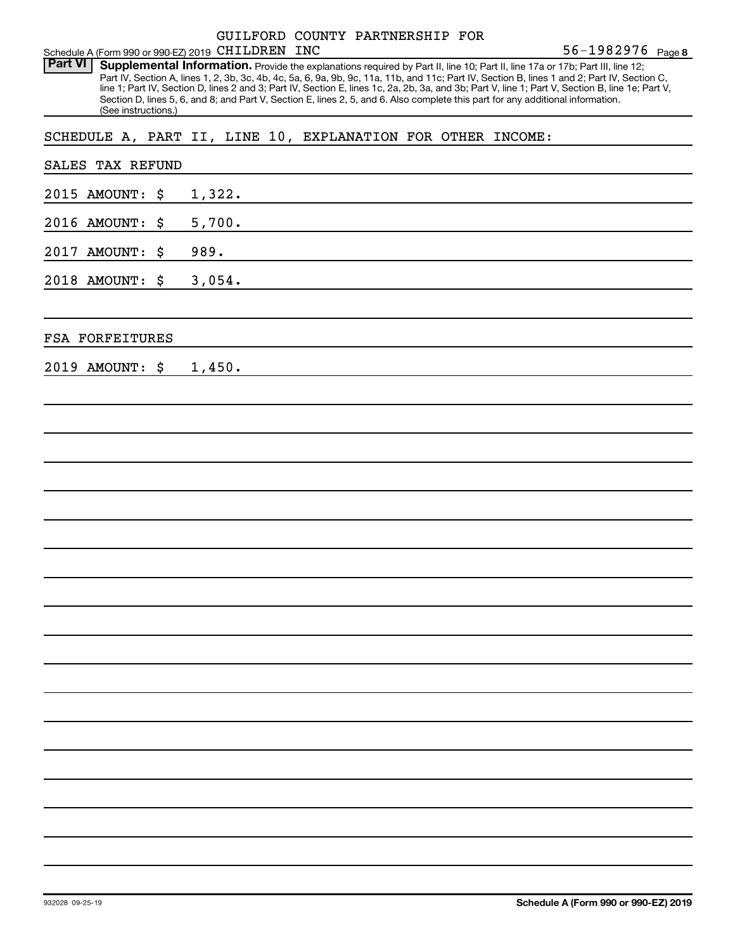| Schedule A (Form 990 or 990-EZ) 2019 CHILDREN INC           |                                                                                                                                 | GUILFORD COUNTY PARTNERSHIP FOR | 56-1982976 Page 8                                                                                                                                                                                                                                                                                                                                                                                                                 |
|-------------------------------------------------------------|---------------------------------------------------------------------------------------------------------------------------------|---------------------------------|-----------------------------------------------------------------------------------------------------------------------------------------------------------------------------------------------------------------------------------------------------------------------------------------------------------------------------------------------------------------------------------------------------------------------------------|
| <b>Part VI</b><br>(See instructions.)                       | Section D, lines 5, 6, and 8; and Part V, Section E, lines 2, 5, and 6. Also complete this part for any additional information. |                                 | Supplemental Information. Provide the explanations required by Part II, line 10; Part II, line 17a or 17b; Part III, line 12;<br>Part IV, Section A, lines 1, 2, 3b, 3c, 4b, 4c, 5a, 6, 9a, 9b, 9c, 11a, 11b, and 11c; Part IV, Section B, lines 1 and 2; Part IV, Section C,<br>line 1; Part IV, Section D, lines 2 and 3; Part IV, Section E, lines 1c, 2a, 2b, 3a, and 3b; Part V, line 1; Part V, Section B, line 1e; Part V, |
| SCHEDULE A, PART II, LINE 10, EXPLANATION FOR OTHER INCOME: |                                                                                                                                 |                                 |                                                                                                                                                                                                                                                                                                                                                                                                                                   |
| TAX REFUND<br>SALES                                         |                                                                                                                                 |                                 |                                                                                                                                                                                                                                                                                                                                                                                                                                   |
| 2015 AMOUNT:<br>\$                                          | 1,322.                                                                                                                          |                                 |                                                                                                                                                                                                                                                                                                                                                                                                                                   |
| 2016 AMOUNT:<br>\$                                          | 5,700.                                                                                                                          |                                 |                                                                                                                                                                                                                                                                                                                                                                                                                                   |
| \$<br>2017 AMOUNT:                                          | 989.                                                                                                                            |                                 |                                                                                                                                                                                                                                                                                                                                                                                                                                   |
| 2018 AMOUNT:<br>\$                                          | 3,054.                                                                                                                          |                                 |                                                                                                                                                                                                                                                                                                                                                                                                                                   |
| <b>FSA FORFEITURES</b>                                      |                                                                                                                                 |                                 |                                                                                                                                                                                                                                                                                                                                                                                                                                   |
| 2019 AMOUNT:<br>\$                                          | 1,450.                                                                                                                          |                                 |                                                                                                                                                                                                                                                                                                                                                                                                                                   |
|                                                             |                                                                                                                                 |                                 |                                                                                                                                                                                                                                                                                                                                                                                                                                   |
|                                                             |                                                                                                                                 |                                 |                                                                                                                                                                                                                                                                                                                                                                                                                                   |
|                                                             |                                                                                                                                 |                                 |                                                                                                                                                                                                                                                                                                                                                                                                                                   |
|                                                             |                                                                                                                                 |                                 |                                                                                                                                                                                                                                                                                                                                                                                                                                   |
|                                                             |                                                                                                                                 |                                 |                                                                                                                                                                                                                                                                                                                                                                                                                                   |
|                                                             |                                                                                                                                 |                                 |                                                                                                                                                                                                                                                                                                                                                                                                                                   |
|                                                             |                                                                                                                                 |                                 |                                                                                                                                                                                                                                                                                                                                                                                                                                   |
|                                                             |                                                                                                                                 |                                 |                                                                                                                                                                                                                                                                                                                                                                                                                                   |
|                                                             |                                                                                                                                 |                                 |                                                                                                                                                                                                                                                                                                                                                                                                                                   |
|                                                             |                                                                                                                                 |                                 |                                                                                                                                                                                                                                                                                                                                                                                                                                   |
|                                                             |                                                                                                                                 |                                 |                                                                                                                                                                                                                                                                                                                                                                                                                                   |
|                                                             |                                                                                                                                 |                                 |                                                                                                                                                                                                                                                                                                                                                                                                                                   |
|                                                             |                                                                                                                                 |                                 |                                                                                                                                                                                                                                                                                                                                                                                                                                   |
|                                                             |                                                                                                                                 |                                 |                                                                                                                                                                                                                                                                                                                                                                                                                                   |
|                                                             |                                                                                                                                 |                                 |                                                                                                                                                                                                                                                                                                                                                                                                                                   |
|                                                             |                                                                                                                                 |                                 |                                                                                                                                                                                                                                                                                                                                                                                                                                   |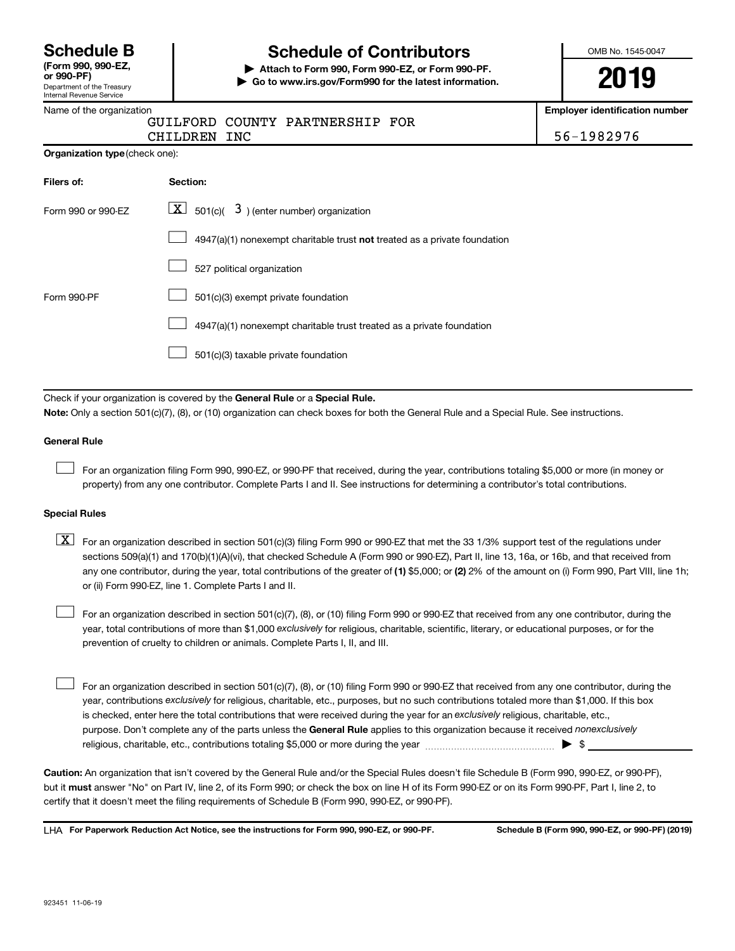Department of the Treasury Internal Revenue Service **(Form 990, 990-EZ,**

# **Schedule B Schedule of Contributors**

**or 990-PF) | Attach to Form 990, Form 990-EZ, or Form 990-PF. | Go to www.irs.gov/Form990 for the latest information.** OMB No. 1545-0047

**2019**

**umber** 

|  |  | Name of the organization |
|--|--|--------------------------|
|--|--|--------------------------|

| Name of the organization       |                                                                                                                                                                                                                                                                                  | Employer identification nu |  |  |  |  |  |
|--------------------------------|----------------------------------------------------------------------------------------------------------------------------------------------------------------------------------------------------------------------------------------------------------------------------------|----------------------------|--|--|--|--|--|
|                                | COUNTY PARTNERSHIP FOR<br>GUILFORD                                                                                                                                                                                                                                               |                            |  |  |  |  |  |
|                                | <b>CHILDREN</b><br>INC                                                                                                                                                                                                                                                           | 56-1982976                 |  |  |  |  |  |
| Organization type (check one): |                                                                                                                                                                                                                                                                                  |                            |  |  |  |  |  |
| Filers of:                     | Section:                                                                                                                                                                                                                                                                         |                            |  |  |  |  |  |
| Form 990 or 990-EZ             | $3$ ) (enter number) organization<br>$X$ 501(c)(                                                                                                                                                                                                                                 |                            |  |  |  |  |  |
|                                | 4947(a)(1) nonexempt charitable trust not treated as a private foundation                                                                                                                                                                                                        |                            |  |  |  |  |  |
|                                | 527 political organization                                                                                                                                                                                                                                                       |                            |  |  |  |  |  |
| Form 990-PF                    | 501(c)(3) exempt private foundation                                                                                                                                                                                                                                              |                            |  |  |  |  |  |
|                                | 4947(a)(1) nonexempt charitable trust treated as a private foundation                                                                                                                                                                                                            |                            |  |  |  |  |  |
|                                | 501(c)(3) taxable private foundation                                                                                                                                                                                                                                             |                            |  |  |  |  |  |
|                                |                                                                                                                                                                                                                                                                                  |                            |  |  |  |  |  |
|                                | Check if your organization is covered by the General Rule or a Special Rule.                                                                                                                                                                                                     |                            |  |  |  |  |  |
|                                | Note: Only a section 501(c)(7), (8), or (10) organization can check boxes for both the General Rule and a Special Rule. See instructions.                                                                                                                                        |                            |  |  |  |  |  |
| <b>General Rule</b>            |                                                                                                                                                                                                                                                                                  |                            |  |  |  |  |  |
|                                | For an organization filing Form 990, 990-EZ, or 990-PF that received, during the year, contributions totaling \$5,000 or more (in money or<br>property) from any one contributor. Complete Parts I and II. See instructions for determining a contributor's total contributions. |                            |  |  |  |  |  |

#### **Special Rules**

| $\boxed{\text{X}}$ For an organization described in section 501(c)(3) filing Form 990 or 990-EZ that met the 33 1/3% support test of the regulations under |
|------------------------------------------------------------------------------------------------------------------------------------------------------------|
| sections 509(a)(1) and 170(b)(1)(A)(vi), that checked Schedule A (Form 990 or 990-EZ), Part II, line 13, 16a, or 16b, and that received from               |
| any one contributor, during the year, total contributions of the greater of (1) \$5,000; or (2) 2% of the amount on (i) Form 990, Part VIII, line 1h;      |
| or (ii) Form 990-EZ, line 1. Complete Parts I and II.                                                                                                      |

year, total contributions of more than \$1,000 *exclusively* for religious, charitable, scientific, literary, or educational purposes, or for the For an organization described in section 501(c)(7), (8), or (10) filing Form 990 or 990-EZ that received from any one contributor, during the prevention of cruelty to children or animals. Complete Parts I, II, and III.  $\Box$ 

purpose. Don't complete any of the parts unless the General Rule applies to this organization because it received nonexclusively year, contributions exclusively for religious, charitable, etc., purposes, but no such contributions totaled more than \$1,000. If this box is checked, enter here the total contributions that were received during the year for an exclusively religious, charitable, etc., For an organization described in section 501(c)(7), (8), or (10) filing Form 990 or 990-EZ that received from any one contributor, during the religious, charitable, etc., contributions totaling \$5,000 or more during the year  $\ldots$  $\ldots$  $\ldots$  $\ldots$  $\ldots$  $\ldots$  $\Box$ 

**Caution:**  An organization that isn't covered by the General Rule and/or the Special Rules doesn't file Schedule B (Form 990, 990-EZ, or 990-PF),  **must** but it answer "No" on Part IV, line 2, of its Form 990; or check the box on line H of its Form 990-EZ or on its Form 990-PF, Part I, line 2, to certify that it doesn't meet the filing requirements of Schedule B (Form 990, 990-EZ, or 990-PF).

**For Paperwork Reduction Act Notice, see the instructions for Form 990, 990-EZ, or 990-PF. Schedule B (Form 990, 990-EZ, or 990-PF) (2019)** LHA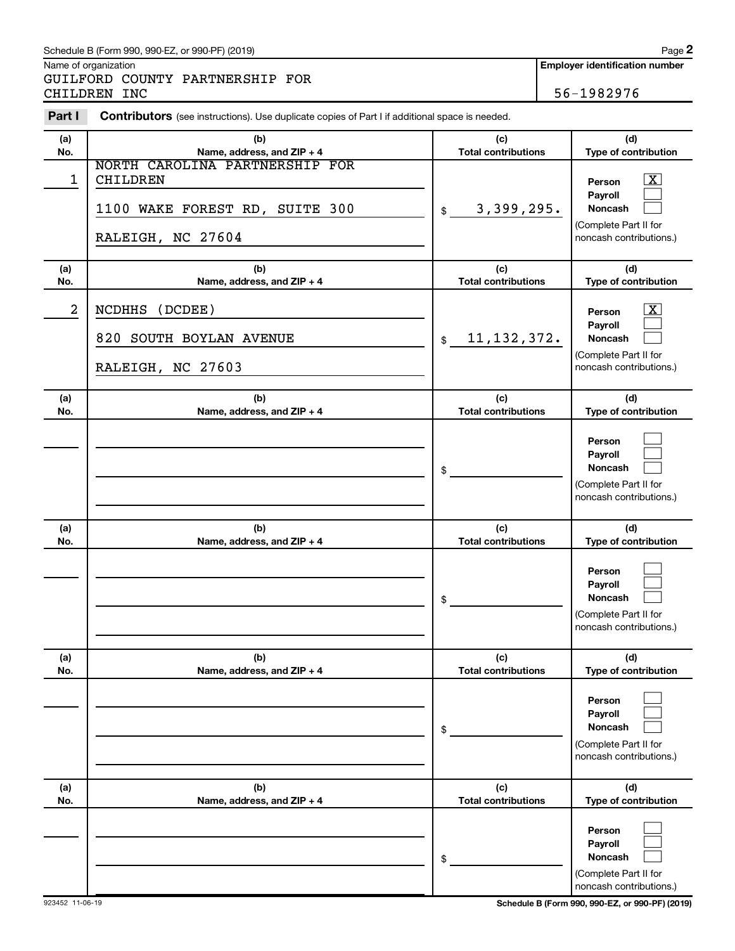#### Schedule B (Form 990, 990-EZ, or 990-PF) (2019)

Name of organization

GUILFORD COUNTY PARTNERSHIP FOR CHILDREN INC 36-1982976

| Part I     | <b>Contributors</b> (see instructions). Use duplicate copies of Part I if additional space is needed.    |                                   |                                                                                                        |
|------------|----------------------------------------------------------------------------------------------------------|-----------------------------------|--------------------------------------------------------------------------------------------------------|
| (a)<br>No. | (b)<br>Name, address, and ZIP + 4                                                                        | (c)<br><b>Total contributions</b> | (d)<br>Type of contribution                                                                            |
| 1          | NORTH CAROLINA PARTNERSHIP FOR<br><b>CHILDREN</b><br>1100 WAKE FOREST RD, SUITE 300<br>RALEIGH, NC 27604 | 3,399,295.<br>\$                  | $\boxed{\text{X}}$<br>Person<br>Payroll<br>Noncash<br>(Complete Part II for<br>noncash contributions.) |
| (a)<br>No. | (b)<br>Name, address, and ZIP + 4                                                                        | (c)<br><b>Total contributions</b> | (d)<br>Type of contribution                                                                            |
| 2          | (DOB)<br><b>NCDHHS</b><br>820<br>SOUTH BOYLAN AVENUE<br>RALEIGH, NC 27603                                | 11, 132, 372.<br>\$               | $\boxed{\text{X}}$<br>Person<br>Payroll<br>Noncash<br>(Complete Part II for<br>noncash contributions.) |
| (a)<br>No. | (b)<br>Name, address, and ZIP + 4                                                                        | (c)<br><b>Total contributions</b> | (d)<br>Type of contribution                                                                            |
|            |                                                                                                          | \$                                | Person<br>Payroll<br>Noncash<br>(Complete Part II for<br>noncash contributions.)                       |
| (a)<br>No. | (b)<br>Name, address, and ZIP + 4                                                                        | (c)<br><b>Total contributions</b> | (d)<br>Type of contribution                                                                            |
|            |                                                                                                          | \$                                | Person<br>Payroll<br>Noncash<br>(Complete Part II for<br>noncash contributions.)                       |
| (a)<br>No. | (b)<br>Name, address, and ZIP + 4                                                                        | (c)<br><b>Total contributions</b> | (d)<br>Type of contribution                                                                            |
|            |                                                                                                          | \$                                | Person<br>Payroll<br>Noncash<br>(Complete Part II for<br>noncash contributions.)                       |
| (a)<br>No. | (b)<br>Name, address, and ZIP + 4                                                                        | (c)<br><b>Total contributions</b> | (d)<br>Type of contribution                                                                            |
|            |                                                                                                          | \$                                | Person<br>Payroll<br><b>Noncash</b><br>(Complete Part II for<br>noncash contributions.                 |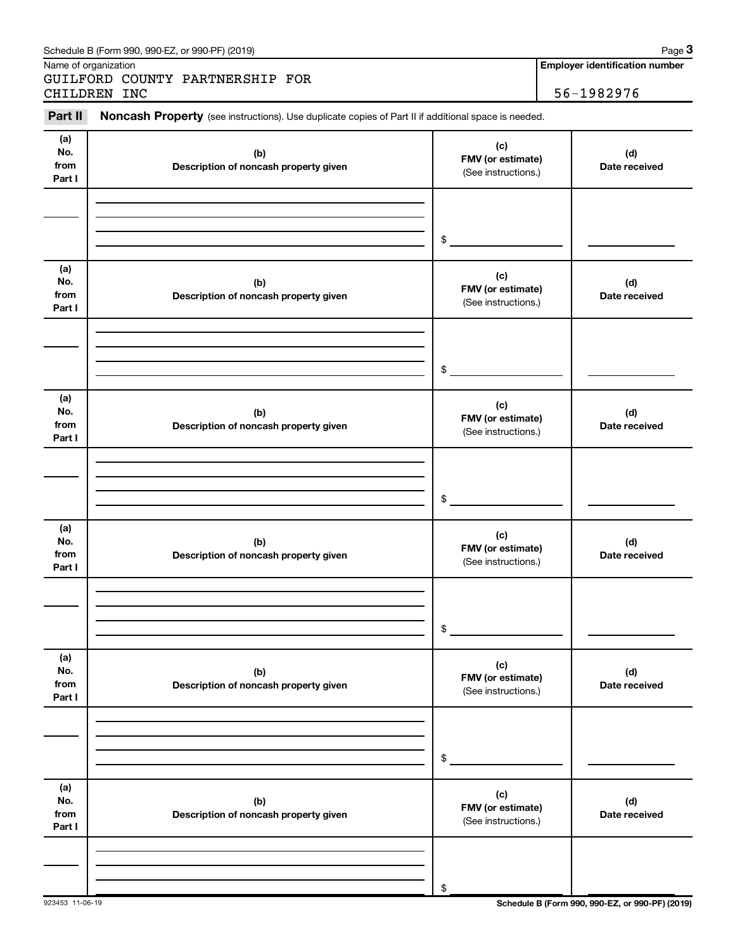| Name of organization         |                                                                                                     | <b>Employer identification number</b>           |                      |  |
|------------------------------|-----------------------------------------------------------------------------------------------------|-------------------------------------------------|----------------------|--|
|                              | GUILFORD COUNTY PARTNERSHIP FOR<br>CHILDREN INC                                                     |                                                 | 56-1982976           |  |
|                              |                                                                                                     |                                                 |                      |  |
| Part II                      | Noncash Property (see instructions). Use duplicate copies of Part II if additional space is needed. |                                                 |                      |  |
| (a)<br>No.<br>from<br>Part I | (b)<br>Description of noncash property given                                                        | (c)<br>FMV (or estimate)<br>(See instructions.) | (d)<br>Date received |  |
|                              |                                                                                                     | \$                                              |                      |  |
| (a)<br>No.<br>from<br>Part I | (b)<br>Description of noncash property given                                                        | (c)<br>FMV (or estimate)<br>(See instructions.) | (d)<br>Date received |  |
|                              |                                                                                                     | \$                                              |                      |  |
| (a)<br>No.<br>from<br>Part I | (b)<br>Description of noncash property given                                                        | (c)<br>FMV (or estimate)<br>(See instructions.) | (d)<br>Date received |  |
|                              |                                                                                                     | \$                                              |                      |  |
| (a)<br>No.<br>from<br>Part I | (b)<br>Description of noncash property given                                                        | (c)<br>FMV (or estimate)<br>(See instructions.) | (d)<br>Date received |  |
|                              |                                                                                                     | \$                                              |                      |  |
| (a)<br>No.<br>from<br>Part I | (b)<br>Description of noncash property given                                                        | (c)<br>FMV (or estimate)<br>(See instructions.) | (d)<br>Date received |  |
|                              |                                                                                                     | \$                                              |                      |  |
| (a)<br>No.<br>from<br>Part I | (b)<br>Description of noncash property given                                                        | (c)<br>FMV (or estimate)<br>(See instructions.) | (d)<br>Date received |  |
|                              |                                                                                                     | \$                                              |                      |  |

Schedule B (Form 990, 990-EZ, or 990-PF) (2019)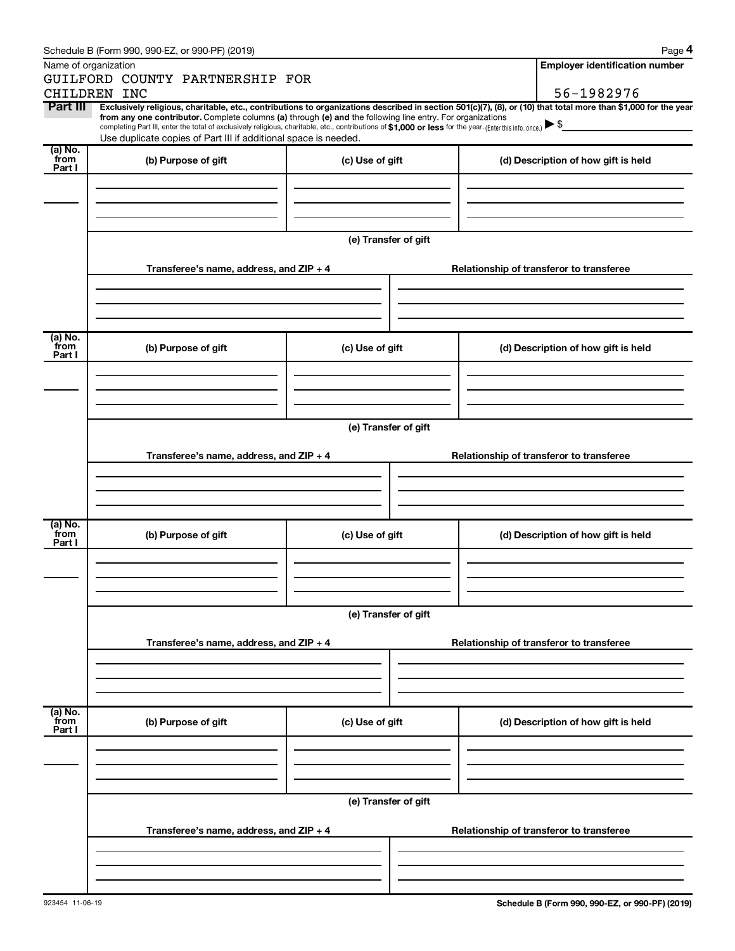| Schedule B (Form 990, 990-EZ, or 990-PF) (2019) |  |  |  |  |
|-------------------------------------------------|--|--|--|--|
|-------------------------------------------------|--|--|--|--|

|--|--|

|                 | Schedule B (Form 990, 990-EZ, or 990-PF) (2019)                                                                                                                                                                                                                              |                      |                                          | Page 4                                   |  |  |  |  |  |
|-----------------|------------------------------------------------------------------------------------------------------------------------------------------------------------------------------------------------------------------------------------------------------------------------------|----------------------|------------------------------------------|------------------------------------------|--|--|--|--|--|
|                 | Name of organization<br>GUILFORD COUNTY PARTNERSHIP FOR                                                                                                                                                                                                                      |                      |                                          | <b>Employer identification number</b>    |  |  |  |  |  |
|                 | CHILDREN INC                                                                                                                                                                                                                                                                 |                      |                                          | 56-1982976                               |  |  |  |  |  |
| Part III        | Exclusively religious, charitable, etc., contributions to organizations described in section 501(c)(7), (8), or (10) that total more than \$1,000 for the year<br>from any one contributor. Complete columns (a) through (e) and the following line entry. For organizations |                      |                                          |                                          |  |  |  |  |  |
|                 | completing Part III, enter the total of exclusively religious, charitable, etc., contributions of \$1,000 or less for the year. (Enter this info. once.)                                                                                                                     |                      |                                          |                                          |  |  |  |  |  |
|                 | Use duplicate copies of Part III if additional space is needed.                                                                                                                                                                                                              |                      |                                          |                                          |  |  |  |  |  |
| (a) No.<br>from | (b) Purpose of gift                                                                                                                                                                                                                                                          | (c) Use of gift      |                                          | (d) Description of how gift is held      |  |  |  |  |  |
| Part I          |                                                                                                                                                                                                                                                                              |                      |                                          |                                          |  |  |  |  |  |
|                 |                                                                                                                                                                                                                                                                              |                      |                                          |                                          |  |  |  |  |  |
|                 |                                                                                                                                                                                                                                                                              |                      |                                          |                                          |  |  |  |  |  |
|                 |                                                                                                                                                                                                                                                                              |                      |                                          |                                          |  |  |  |  |  |
|                 |                                                                                                                                                                                                                                                                              | (e) Transfer of gift |                                          |                                          |  |  |  |  |  |
|                 |                                                                                                                                                                                                                                                                              |                      |                                          |                                          |  |  |  |  |  |
|                 | Transferee's name, address, and ZIP + 4                                                                                                                                                                                                                                      |                      |                                          | Relationship of transferor to transferee |  |  |  |  |  |
|                 |                                                                                                                                                                                                                                                                              |                      |                                          |                                          |  |  |  |  |  |
|                 |                                                                                                                                                                                                                                                                              |                      |                                          |                                          |  |  |  |  |  |
|                 |                                                                                                                                                                                                                                                                              |                      |                                          |                                          |  |  |  |  |  |
| (a) No.         |                                                                                                                                                                                                                                                                              |                      |                                          |                                          |  |  |  |  |  |
| from<br>Part I  | (b) Purpose of gift                                                                                                                                                                                                                                                          | (c) Use of gift      |                                          | (d) Description of how gift is held      |  |  |  |  |  |
|                 |                                                                                                                                                                                                                                                                              |                      |                                          |                                          |  |  |  |  |  |
|                 |                                                                                                                                                                                                                                                                              |                      |                                          |                                          |  |  |  |  |  |
|                 |                                                                                                                                                                                                                                                                              |                      |                                          |                                          |  |  |  |  |  |
|                 |                                                                                                                                                                                                                                                                              |                      |                                          |                                          |  |  |  |  |  |
|                 | (e) Transfer of gift                                                                                                                                                                                                                                                         |                      |                                          |                                          |  |  |  |  |  |
|                 | Transferee's name, address, and ZIP + 4                                                                                                                                                                                                                                      |                      |                                          | Relationship of transferor to transferee |  |  |  |  |  |
|                 |                                                                                                                                                                                                                                                                              |                      |                                          |                                          |  |  |  |  |  |
|                 |                                                                                                                                                                                                                                                                              |                      |                                          |                                          |  |  |  |  |  |
|                 |                                                                                                                                                                                                                                                                              |                      |                                          |                                          |  |  |  |  |  |
|                 |                                                                                                                                                                                                                                                                              |                      |                                          |                                          |  |  |  |  |  |
| (a) No.<br>from | (b) Purpose of gift                                                                                                                                                                                                                                                          | (c) Use of gift      |                                          | (d) Description of how gift is held      |  |  |  |  |  |
| Part I          |                                                                                                                                                                                                                                                                              |                      |                                          |                                          |  |  |  |  |  |
|                 |                                                                                                                                                                                                                                                                              |                      |                                          |                                          |  |  |  |  |  |
|                 |                                                                                                                                                                                                                                                                              |                      |                                          |                                          |  |  |  |  |  |
|                 |                                                                                                                                                                                                                                                                              |                      |                                          |                                          |  |  |  |  |  |
|                 |                                                                                                                                                                                                                                                                              | (e) Transfer of gift |                                          |                                          |  |  |  |  |  |
|                 |                                                                                                                                                                                                                                                                              |                      |                                          |                                          |  |  |  |  |  |
|                 | Transferee's name, address, and ZIP + 4                                                                                                                                                                                                                                      |                      |                                          | Relationship of transferor to transferee |  |  |  |  |  |
|                 |                                                                                                                                                                                                                                                                              |                      |                                          |                                          |  |  |  |  |  |
|                 |                                                                                                                                                                                                                                                                              |                      |                                          |                                          |  |  |  |  |  |
|                 |                                                                                                                                                                                                                                                                              |                      |                                          |                                          |  |  |  |  |  |
| (a) No.<br>from |                                                                                                                                                                                                                                                                              |                      |                                          |                                          |  |  |  |  |  |
| Part I          | (b) Purpose of gift                                                                                                                                                                                                                                                          | (c) Use of gift      |                                          | (d) Description of how gift is held      |  |  |  |  |  |
|                 |                                                                                                                                                                                                                                                                              |                      |                                          |                                          |  |  |  |  |  |
|                 |                                                                                                                                                                                                                                                                              |                      |                                          |                                          |  |  |  |  |  |
|                 |                                                                                                                                                                                                                                                                              |                      |                                          |                                          |  |  |  |  |  |
|                 |                                                                                                                                                                                                                                                                              |                      |                                          |                                          |  |  |  |  |  |
|                 |                                                                                                                                                                                                                                                                              | (e) Transfer of gift |                                          |                                          |  |  |  |  |  |
|                 | Transferee's name, address, and ZIP + 4                                                                                                                                                                                                                                      |                      | Relationship of transferor to transferee |                                          |  |  |  |  |  |
|                 |                                                                                                                                                                                                                                                                              |                      |                                          |                                          |  |  |  |  |  |
|                 |                                                                                                                                                                                                                                                                              |                      |                                          |                                          |  |  |  |  |  |
|                 |                                                                                                                                                                                                                                                                              |                      |                                          |                                          |  |  |  |  |  |
|                 |                                                                                                                                                                                                                                                                              |                      |                                          |                                          |  |  |  |  |  |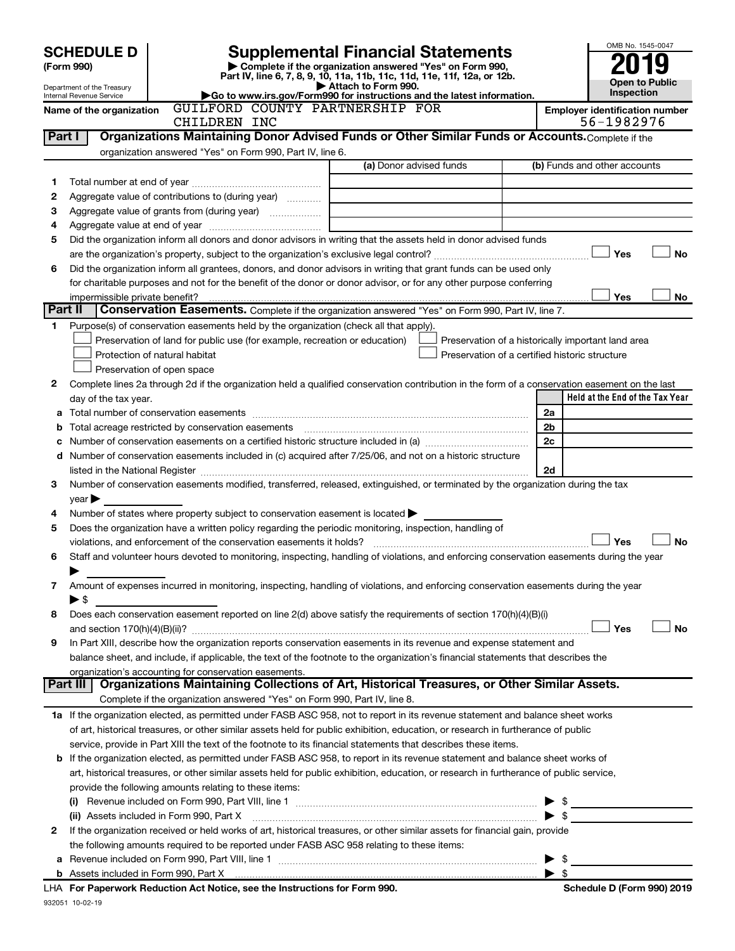|                                 |                                          |                                                                                                                                                                           |                                                                            |  |  |                                                                                                                                                |                                                    |  |                         |                                       | OMB No. 1545-0047     |           |  |
|---------------------------------|------------------------------------------|---------------------------------------------------------------------------------------------------------------------------------------------------------------------------|----------------------------------------------------------------------------|--|--|------------------------------------------------------------------------------------------------------------------------------------------------|----------------------------------------------------|--|-------------------------|---------------------------------------|-----------------------|-----------|--|
| <b>SCHEDULE D</b><br>(Form 990) |                                          | Supplemental Financial Statements<br>Complete if the organization answered "Yes" on Form 990,<br>Part IV, line 6, 7, 8, 9, 10, 11a, 11b, 11c, 11d, 11e, 11f, 12a, or 12b. |                                                                            |  |  |                                                                                                                                                |                                                    |  |                         |                                       |                       |           |  |
| Department of the Treasury      |                                          |                                                                                                                                                                           |                                                                            |  |  | Attach to Form 990.                                                                                                                            |                                                    |  |                         |                                       | <b>Open to Public</b> |           |  |
|                                 | Internal Revenue Service                 |                                                                                                                                                                           |                                                                            |  |  | Go to www.irs.gov/Form990 for instructions and the latest information.<br>GUILFORD COUNTY PARTNERSHIP FOR                                      |                                                    |  |                         |                                       | Inspection            |           |  |
|                                 | Name of the organization                 |                                                                                                                                                                           | CHILDREN INC                                                               |  |  |                                                                                                                                                |                                                    |  |                         | <b>Employer identification number</b> | 56-1982976            |           |  |
| Part I                          |                                          |                                                                                                                                                                           |                                                                            |  |  | Organizations Maintaining Donor Advised Funds or Other Similar Funds or Accounts. Complete if the                                              |                                                    |  |                         |                                       |                       |           |  |
|                                 |                                          |                                                                                                                                                                           | organization answered "Yes" on Form 990, Part IV, line 6.                  |  |  |                                                                                                                                                |                                                    |  |                         |                                       |                       |           |  |
|                                 |                                          |                                                                                                                                                                           |                                                                            |  |  | (a) Donor advised funds                                                                                                                        |                                                    |  |                         | (b) Funds and other accounts          |                       |           |  |
| 1                               |                                          |                                                                                                                                                                           |                                                                            |  |  |                                                                                                                                                |                                                    |  |                         |                                       |                       |           |  |
| 2                               |                                          |                                                                                                                                                                           | Aggregate value of contributions to (during year)                          |  |  |                                                                                                                                                |                                                    |  |                         |                                       |                       |           |  |
| 3                               |                                          |                                                                                                                                                                           | Aggregate value of grants from (during year)                               |  |  |                                                                                                                                                |                                                    |  |                         |                                       |                       |           |  |
| 4                               |                                          |                                                                                                                                                                           |                                                                            |  |  |                                                                                                                                                |                                                    |  |                         |                                       |                       |           |  |
| 5                               |                                          |                                                                                                                                                                           |                                                                            |  |  | Did the organization inform all donors and donor advisors in writing that the assets held in donor advised funds                               |                                                    |  |                         |                                       | Yes                   | No        |  |
| 6                               |                                          |                                                                                                                                                                           |                                                                            |  |  | Did the organization inform all grantees, donors, and donor advisors in writing that grant funds can be used only                              |                                                    |  |                         |                                       |                       |           |  |
|                                 |                                          |                                                                                                                                                                           |                                                                            |  |  | for charitable purposes and not for the benefit of the donor or donor advisor, or for any other purpose conferring                             |                                                    |  |                         |                                       |                       |           |  |
|                                 | impermissible private benefit?           |                                                                                                                                                                           |                                                                            |  |  |                                                                                                                                                |                                                    |  |                         |                                       | Yes                   | No        |  |
| Part II                         |                                          |                                                                                                                                                                           |                                                                            |  |  | Conservation Easements. Complete if the organization answered "Yes" on Form 990, Part IV, line 7.                                              |                                                    |  |                         |                                       |                       |           |  |
| 1.                              |                                          |                                                                                                                                                                           |                                                                            |  |  | Purpose(s) of conservation easements held by the organization (check all that apply).                                                          |                                                    |  |                         |                                       |                       |           |  |
|                                 |                                          |                                                                                                                                                                           | Preservation of land for public use (for example, recreation or education) |  |  |                                                                                                                                                | Preservation of a historically important land area |  |                         |                                       |                       |           |  |
|                                 | Protection of natural habitat            |                                                                                                                                                                           |                                                                            |  |  |                                                                                                                                                | Preservation of a certified historic structure     |  |                         |                                       |                       |           |  |
|                                 | Preservation of open space               |                                                                                                                                                                           |                                                                            |  |  |                                                                                                                                                |                                                    |  |                         |                                       |                       |           |  |
| 2                               |                                          |                                                                                                                                                                           |                                                                            |  |  | Complete lines 2a through 2d if the organization held a qualified conservation contribution in the form of a conservation easement on the last |                                                    |  |                         |                                       |                       |           |  |
|                                 | day of the tax year.                     |                                                                                                                                                                           |                                                                            |  |  |                                                                                                                                                |                                                    |  |                         | Held at the End of the Tax Year       |                       |           |  |
| a                               |                                          |                                                                                                                                                                           |                                                                            |  |  |                                                                                                                                                |                                                    |  | 2a                      |                                       |                       |           |  |
| b                               |                                          |                                                                                                                                                                           | Total acreage restricted by conservation easements                         |  |  |                                                                                                                                                |                                                    |  | 2 <sub>b</sub>          |                                       |                       |           |  |
| с                               |                                          |                                                                                                                                                                           |                                                                            |  |  |                                                                                                                                                |                                                    |  | 2c                      |                                       |                       |           |  |
| d                               |                                          |                                                                                                                                                                           |                                                                            |  |  | Number of conservation easements included in (c) acquired after 7/25/06, and not on a historic structure                                       |                                                    |  |                         |                                       |                       |           |  |
|                                 |                                          |                                                                                                                                                                           |                                                                            |  |  |                                                                                                                                                |                                                    |  | 2d                      |                                       |                       |           |  |
| 3                               |                                          |                                                                                                                                                                           |                                                                            |  |  | Number of conservation easements modified, transferred, released, extinguished, or terminated by the organization during the tax               |                                                    |  |                         |                                       |                       |           |  |
|                                 | year                                     |                                                                                                                                                                           |                                                                            |  |  |                                                                                                                                                |                                                    |  |                         |                                       |                       |           |  |
| 4                               |                                          |                                                                                                                                                                           |                                                                            |  |  | Number of states where property subject to conservation easement is located >                                                                  |                                                    |  |                         |                                       |                       |           |  |
| 5                               |                                          |                                                                                                                                                                           | violations, and enforcement of the conservation easements it holds?        |  |  | Does the organization have a written policy regarding the periodic monitoring, inspection, handling of                                         |                                                    |  |                         |                                       | Yes                   | <b>No</b> |  |
| 6                               |                                          |                                                                                                                                                                           |                                                                            |  |  | Staff and volunteer hours devoted to monitoring, inspecting, handling of violations, and enforcing conservation easements during the year      |                                                    |  |                         |                                       |                       |           |  |
|                                 |                                          |                                                                                                                                                                           |                                                                            |  |  |                                                                                                                                                |                                                    |  |                         |                                       |                       |           |  |
| 7                               |                                          |                                                                                                                                                                           |                                                                            |  |  | Amount of expenses incurred in monitoring, inspecting, handling of violations, and enforcing conservation easements during the year            |                                                    |  |                         |                                       |                       |           |  |
|                                 | $\blacktriangleright$ \$                 |                                                                                                                                                                           |                                                                            |  |  |                                                                                                                                                |                                                    |  |                         |                                       |                       |           |  |
| 8                               |                                          |                                                                                                                                                                           |                                                                            |  |  | Does each conservation easement reported on line 2(d) above satisfy the requirements of section 170(h)(4)(B)(i)                                |                                                    |  |                         |                                       |                       |           |  |
|                                 |                                          |                                                                                                                                                                           |                                                                            |  |  |                                                                                                                                                |                                                    |  |                         |                                       | Yes                   | No        |  |
| 9                               |                                          |                                                                                                                                                                           |                                                                            |  |  | In Part XIII, describe how the organization reports conservation easements in its revenue and expense statement and                            |                                                    |  |                         |                                       |                       |           |  |
|                                 |                                          |                                                                                                                                                                           |                                                                            |  |  | balance sheet, and include, if applicable, the text of the footnote to the organization's financial statements that describes the              |                                                    |  |                         |                                       |                       |           |  |
|                                 |                                          |                                                                                                                                                                           | organization's accounting for conservation easements.                      |  |  |                                                                                                                                                |                                                    |  |                         |                                       |                       |           |  |
|                                 | Part III                                 |                                                                                                                                                                           |                                                                            |  |  | Organizations Maintaining Collections of Art, Historical Treasures, or Other Similar Assets.                                                   |                                                    |  |                         |                                       |                       |           |  |
|                                 |                                          |                                                                                                                                                                           |                                                                            |  |  | Complete if the organization answered "Yes" on Form 990, Part IV, line 8.                                                                      |                                                    |  |                         |                                       |                       |           |  |
|                                 |                                          |                                                                                                                                                                           |                                                                            |  |  | 1a If the organization elected, as permitted under FASB ASC 958, not to report in its revenue statement and balance sheet works                |                                                    |  |                         |                                       |                       |           |  |
|                                 |                                          |                                                                                                                                                                           |                                                                            |  |  | of art, historical treasures, or other similar assets held for public exhibition, education, or research in furtherance of public              |                                                    |  |                         |                                       |                       |           |  |
|                                 |                                          |                                                                                                                                                                           |                                                                            |  |  | service, provide in Part XIII the text of the footnote to its financial statements that describes these items.                                 |                                                    |  |                         |                                       |                       |           |  |
| b                               |                                          |                                                                                                                                                                           |                                                                            |  |  | If the organization elected, as permitted under FASB ASC 958, to report in its revenue statement and balance sheet works of                    |                                                    |  |                         |                                       |                       |           |  |
|                                 |                                          |                                                                                                                                                                           |                                                                            |  |  | art, historical treasures, or other similar assets held for public exhibition, education, or research in furtherance of public service,        |                                                    |  |                         |                                       |                       |           |  |
|                                 |                                          |                                                                                                                                                                           | provide the following amounts relating to these items:                     |  |  |                                                                                                                                                |                                                    |  |                         |                                       |                       |           |  |
|                                 | (ii) Assets included in Form 990, Part X |                                                                                                                                                                           |                                                                            |  |  |                                                                                                                                                |                                                    |  | $\blacktriangleright$ s |                                       |                       |           |  |
| 2                               |                                          |                                                                                                                                                                           |                                                                            |  |  | If the organization received or held works of art, historical treasures, or other similar assets for financial gain, provide                   |                                                    |  |                         |                                       |                       |           |  |
|                                 |                                          |                                                                                                                                                                           |                                                                            |  |  | the following amounts required to be reported under FASB ASC 958 relating to these items:                                                      |                                                    |  |                         |                                       |                       |           |  |
|                                 |                                          |                                                                                                                                                                           |                                                                            |  |  |                                                                                                                                                |                                                    |  | - \$                    |                                       |                       |           |  |
|                                 |                                          |                                                                                                                                                                           |                                                                            |  |  |                                                                                                                                                |                                                    |  |                         |                                       |                       |           |  |

932051 10-02-19 **For Paperwork Reduction Act Notice, see the Instructions for Form 990. Schedule D (Form 990) 2019** LHA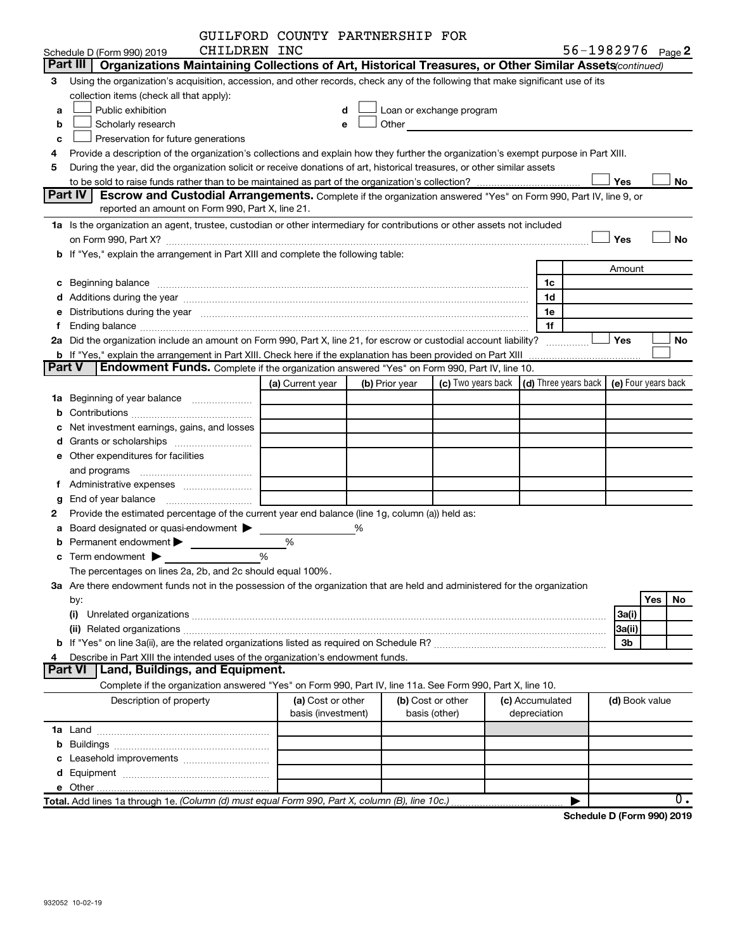|               |                                                                                                                                                                                                                                | GUILFORD COUNTY PARTNERSHIP FOR         |   |                |                                                                                                                                                                                                                                |                                                                             |                                 |                              |           |  |
|---------------|--------------------------------------------------------------------------------------------------------------------------------------------------------------------------------------------------------------------------------|-----------------------------------------|---|----------------|--------------------------------------------------------------------------------------------------------------------------------------------------------------------------------------------------------------------------------|-----------------------------------------------------------------------------|---------------------------------|------------------------------|-----------|--|
|               | CHILDREN INC<br>Schedule D (Form 990) 2019                                                                                                                                                                                     |                                         |   |                |                                                                                                                                                                                                                                |                                                                             |                                 | 56-1982976 <sub>Page</sub> 2 |           |  |
|               | Part III<br>Organizations Maintaining Collections of Art, Historical Treasures, or Other Similar Assets (continued)                                                                                                            |                                         |   |                |                                                                                                                                                                                                                                |                                                                             |                                 |                              |           |  |
| 3             | Using the organization's acquisition, accession, and other records, check any of the following that make significant use of its                                                                                                |                                         |   |                |                                                                                                                                                                                                                                |                                                                             |                                 |                              |           |  |
|               | collection items (check all that apply):                                                                                                                                                                                       |                                         |   |                |                                                                                                                                                                                                                                |                                                                             |                                 |                              |           |  |
| a             | Public exhibition                                                                                                                                                                                                              |                                         | d |                | Loan or exchange program                                                                                                                                                                                                       |                                                                             |                                 |                              |           |  |
| b             | Scholarly research                                                                                                                                                                                                             |                                         | e |                | Other the contract of the contract of the contract of the contract of the contract of the contract of the contract of the contract of the contract of the contract of the contract of the contract of the contract of the cont |                                                                             |                                 |                              |           |  |
| c             | Preservation for future generations                                                                                                                                                                                            |                                         |   |                |                                                                                                                                                                                                                                |                                                                             |                                 |                              |           |  |
| 4             | Provide a description of the organization's collections and explain how they further the organization's exempt purpose in Part XIII.                                                                                           |                                         |   |                |                                                                                                                                                                                                                                |                                                                             |                                 |                              |           |  |
| 5             | During the year, did the organization solicit or receive donations of art, historical treasures, or other similar assets                                                                                                       |                                         |   |                |                                                                                                                                                                                                                                |                                                                             |                                 |                              |           |  |
|               |                                                                                                                                                                                                                                |                                         |   |                |                                                                                                                                                                                                                                |                                                                             |                                 | Yes                          | No        |  |
|               | Part IV<br><b>Escrow and Custodial Arrangements.</b> Complete if the organization answered "Yes" on Form 990, Part IV, line 9, or                                                                                              |                                         |   |                |                                                                                                                                                                                                                                |                                                                             |                                 |                              |           |  |
|               | reported an amount on Form 990, Part X, line 21.                                                                                                                                                                               |                                         |   |                |                                                                                                                                                                                                                                |                                                                             |                                 |                              |           |  |
|               | 1a Is the organization an agent, trustee, custodian or other intermediary for contributions or other assets not included                                                                                                       |                                         |   |                |                                                                                                                                                                                                                                |                                                                             |                                 |                              |           |  |
|               | on Form 990, Part X? [11] matter contracts and contracts and contracts are contracted and contracts are contracted and contract and contract of the contract of the contract of the contract of the contract of the contract o |                                         |   |                |                                                                                                                                                                                                                                |                                                                             |                                 | Yes                          | <b>No</b> |  |
|               | b If "Yes," explain the arrangement in Part XIII and complete the following table:                                                                                                                                             |                                         |   |                |                                                                                                                                                                                                                                |                                                                             |                                 |                              |           |  |
|               |                                                                                                                                                                                                                                |                                         |   |                |                                                                                                                                                                                                                                |                                                                             |                                 | Amount                       |           |  |
|               |                                                                                                                                                                                                                                |                                         |   |                |                                                                                                                                                                                                                                |                                                                             | 1c                              |                              |           |  |
|               |                                                                                                                                                                                                                                |                                         |   |                |                                                                                                                                                                                                                                |                                                                             | 1d                              |                              |           |  |
| е             | Distributions during the year manufactured and an account of the state of the state of the state of the state o                                                                                                                |                                         |   |                |                                                                                                                                                                                                                                |                                                                             | 1e                              |                              |           |  |
| f             |                                                                                                                                                                                                                                |                                         |   |                |                                                                                                                                                                                                                                |                                                                             | 1f                              |                              |           |  |
|               | 2a Did the organization include an amount on Form 990, Part X, line 21, for escrow or custodial account liability?                                                                                                             |                                         |   |                |                                                                                                                                                                                                                                |                                                                             |                                 | Yes                          | <b>No</b> |  |
| <b>Part V</b> | <b>b</b> If "Yes," explain the arrangement in Part XIII. Check here if the explanation has been provided on Part XIII<br><b>Endowment Funds.</b> Complete if the organization answered "Yes" on Form 990, Part IV, line 10.    |                                         |   |                |                                                                                                                                                                                                                                |                                                                             |                                 |                              |           |  |
|               |                                                                                                                                                                                                                                | (a) Current year                        |   | (b) Prior year |                                                                                                                                                                                                                                | (c) Two years back $\vert$ (d) Three years back $\vert$ (e) Four years back |                                 |                              |           |  |
|               | 1a Beginning of year balance                                                                                                                                                                                                   |                                         |   |                |                                                                                                                                                                                                                                |                                                                             |                                 |                              |           |  |
| b             |                                                                                                                                                                                                                                |                                         |   |                |                                                                                                                                                                                                                                |                                                                             |                                 |                              |           |  |
| с             | Net investment earnings, gains, and losses                                                                                                                                                                                     |                                         |   |                |                                                                                                                                                                                                                                |                                                                             |                                 |                              |           |  |
| d             |                                                                                                                                                                                                                                |                                         |   |                |                                                                                                                                                                                                                                |                                                                             |                                 |                              |           |  |
|               | e Other expenditures for facilities                                                                                                                                                                                            |                                         |   |                |                                                                                                                                                                                                                                |                                                                             |                                 |                              |           |  |
|               |                                                                                                                                                                                                                                |                                         |   |                |                                                                                                                                                                                                                                |                                                                             |                                 |                              |           |  |
|               |                                                                                                                                                                                                                                |                                         |   |                |                                                                                                                                                                                                                                |                                                                             |                                 |                              |           |  |
| g             |                                                                                                                                                                                                                                |                                         |   |                |                                                                                                                                                                                                                                |                                                                             |                                 |                              |           |  |
| 2             | Provide the estimated percentage of the current year end balance (line 1g, column (a)) held as:                                                                                                                                |                                         |   |                |                                                                                                                                                                                                                                |                                                                             |                                 |                              |           |  |
| а             | Board designated or quasi-endowment >                                                                                                                                                                                          |                                         | % |                |                                                                                                                                                                                                                                |                                                                             |                                 |                              |           |  |
|               | Permanent endowment >                                                                                                                                                                                                          | %                                       |   |                |                                                                                                                                                                                                                                |                                                                             |                                 |                              |           |  |
|               | $\frac{0}{0}$<br>$\mathbf c$ Term endowment $\blacktriangleright$                                                                                                                                                              |                                         |   |                |                                                                                                                                                                                                                                |                                                                             |                                 |                              |           |  |
|               | The percentages on lines 2a, 2b, and 2c should equal 100%.                                                                                                                                                                     |                                         |   |                |                                                                                                                                                                                                                                |                                                                             |                                 |                              |           |  |
|               | 3a Are there endowment funds not in the possession of the organization that are held and administered for the organization                                                                                                     |                                         |   |                |                                                                                                                                                                                                                                |                                                                             |                                 |                              |           |  |
|               | by:                                                                                                                                                                                                                            |                                         |   |                |                                                                                                                                                                                                                                |                                                                             |                                 |                              | Yes<br>No |  |
|               | (i)                                                                                                                                                                                                                            |                                         |   |                |                                                                                                                                                                                                                                |                                                                             |                                 | 3a(i)                        |           |  |
|               |                                                                                                                                                                                                                                |                                         |   |                |                                                                                                                                                                                                                                |                                                                             |                                 | 3a(ii)                       |           |  |
|               |                                                                                                                                                                                                                                |                                         |   |                |                                                                                                                                                                                                                                |                                                                             |                                 | 3b                           |           |  |
| 4             | Describe in Part XIII the intended uses of the organization's endowment funds.                                                                                                                                                 |                                         |   |                |                                                                                                                                                                                                                                |                                                                             |                                 |                              |           |  |
|               | Land, Buildings, and Equipment.<br><b>Part VI</b>                                                                                                                                                                              |                                         |   |                |                                                                                                                                                                                                                                |                                                                             |                                 |                              |           |  |
|               | Complete if the organization answered "Yes" on Form 990, Part IV, line 11a. See Form 990, Part X, line 10.                                                                                                                     |                                         |   |                |                                                                                                                                                                                                                                |                                                                             |                                 |                              |           |  |
|               | Description of property                                                                                                                                                                                                        | (a) Cost or other<br>basis (investment) |   |                | (b) Cost or other<br>basis (other)                                                                                                                                                                                             |                                                                             | (c) Accumulated<br>depreciation | (d) Book value               |           |  |
|               |                                                                                                                                                                                                                                |                                         |   |                |                                                                                                                                                                                                                                |                                                                             |                                 |                              |           |  |
| b             |                                                                                                                                                                                                                                |                                         |   |                |                                                                                                                                                                                                                                |                                                                             |                                 |                              |           |  |
| с             | Leasehold improvements                                                                                                                                                                                                         |                                         |   |                |                                                                                                                                                                                                                                |                                                                             |                                 |                              |           |  |
| d             |                                                                                                                                                                                                                                |                                         |   |                |                                                                                                                                                                                                                                |                                                                             |                                 |                              |           |  |
|               |                                                                                                                                                                                                                                |                                         |   |                |                                                                                                                                                                                                                                |                                                                             |                                 |                              |           |  |
|               | Total. Add lines 1a through 1e. (Column (d) must equal Form 990, Part X, column (B), line 10c.)                                                                                                                                |                                         |   |                |                                                                                                                                                                                                                                |                                                                             |                                 |                              | 0.        |  |

**Schedule D (Form 990) 2019**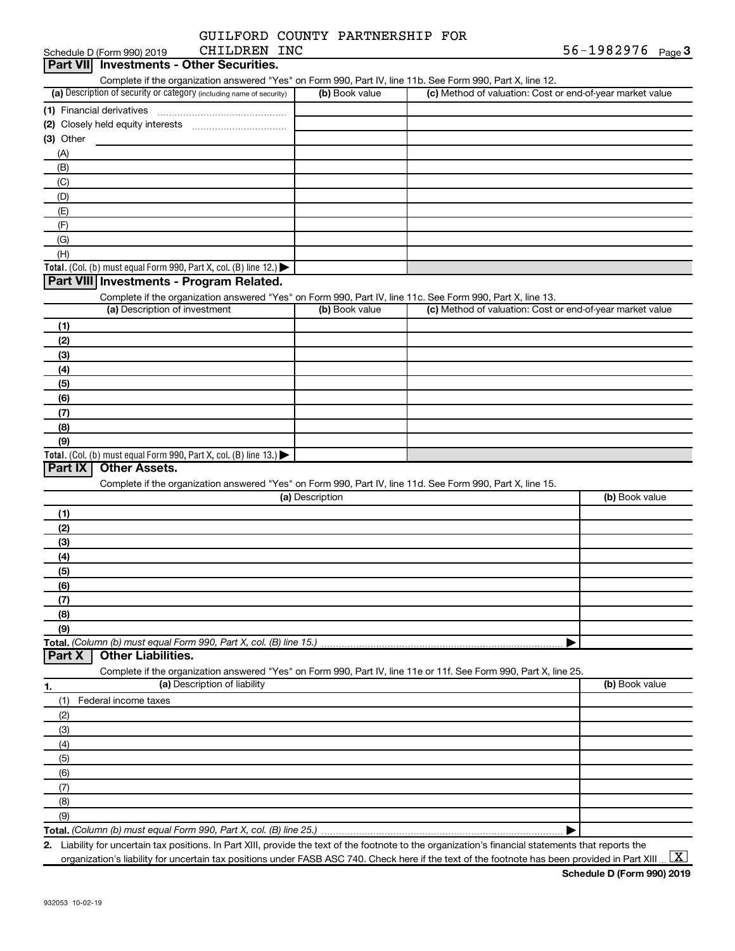|  | GUILFORD COUNTY PARTNERSHIP FOR |  |
|--|---------------------------------|--|
|  |                                 |  |

|                 | CHILDREN INC<br>Schedule D (Form 990) 2019                                                                        |                 |                                                           | 56-1982976 $_{Page}$ 3 |
|-----------------|-------------------------------------------------------------------------------------------------------------------|-----------------|-----------------------------------------------------------|------------------------|
| <b>Part VII</b> | <b>Investments - Other Securities.</b>                                                                            |                 |                                                           |                        |
|                 | Complete if the organization answered "Yes" on Form 990, Part IV, line 11b. See Form 990, Part X, line 12.        |                 |                                                           |                        |
|                 | (a) Description of security or category (including name of security)                                              | (b) Book value  | (c) Method of valuation: Cost or end-of-year market value |                        |
|                 |                                                                                                                   |                 |                                                           |                        |
|                 |                                                                                                                   |                 |                                                           |                        |
| (3) Other       |                                                                                                                   |                 |                                                           |                        |
| (A)             |                                                                                                                   |                 |                                                           |                        |
| (B)             |                                                                                                                   |                 |                                                           |                        |
| (C)             |                                                                                                                   |                 |                                                           |                        |
| (D)             |                                                                                                                   |                 |                                                           |                        |
| (E)             |                                                                                                                   |                 |                                                           |                        |
| (F)             |                                                                                                                   |                 |                                                           |                        |
| (G)             |                                                                                                                   |                 |                                                           |                        |
| (H)             |                                                                                                                   |                 |                                                           |                        |
|                 | Total. (Col. (b) must equal Form 990, Part X, col. (B) line 12.)                                                  |                 |                                                           |                        |
|                 | Part VIII Investments - Program Related.                                                                          |                 |                                                           |                        |
|                 | Complete if the organization answered "Yes" on Form 990, Part IV, line 11c. See Form 990, Part X, line 13.        |                 |                                                           |                        |
|                 | (a) Description of investment                                                                                     | (b) Book value  | (c) Method of valuation: Cost or end-of-year market value |                        |
| (1)             |                                                                                                                   |                 |                                                           |                        |
| (2)             |                                                                                                                   |                 |                                                           |                        |
| (3)             |                                                                                                                   |                 |                                                           |                        |
| (4)             |                                                                                                                   |                 |                                                           |                        |
| (5)             |                                                                                                                   |                 |                                                           |                        |
|                 |                                                                                                                   |                 |                                                           |                        |
| (6)             |                                                                                                                   |                 |                                                           |                        |
| (7)             |                                                                                                                   |                 |                                                           |                        |
| (8)             |                                                                                                                   |                 |                                                           |                        |
| (9)             |                                                                                                                   |                 |                                                           |                        |
| Part IX         | Total. (Col. (b) must equal Form 990, Part X, col. (B) line 13.)<br><b>Other Assets.</b>                          |                 |                                                           |                        |
|                 | Complete if the organization answered "Yes" on Form 990, Part IV, line 11d. See Form 990, Part X, line 15.        |                 |                                                           |                        |
|                 |                                                                                                                   | (a) Description |                                                           | (b) Book value         |
|                 |                                                                                                                   |                 |                                                           |                        |
| (1)             |                                                                                                                   |                 |                                                           |                        |
| (2)             |                                                                                                                   |                 |                                                           |                        |
| (3)             |                                                                                                                   |                 |                                                           |                        |
| (4)             |                                                                                                                   |                 |                                                           |                        |
| (5)             |                                                                                                                   |                 |                                                           |                        |
| (6)             |                                                                                                                   |                 |                                                           |                        |
| (7)             |                                                                                                                   |                 |                                                           |                        |
| (8)             |                                                                                                                   |                 |                                                           |                        |
| (9)             |                                                                                                                   |                 |                                                           |                        |
|                 | Total. (Column (b) must equal Form 990, Part X, col. (B) line 15.)                                                |                 |                                                           |                        |
| Part X          | <b>Other Liabilities.</b>                                                                                         |                 |                                                           |                        |
|                 | Complete if the organization answered "Yes" on Form 990, Part IV, line 11e or 11f. See Form 990, Part X, line 25. |                 |                                                           |                        |
| 1.              | (a) Description of liability                                                                                      |                 |                                                           | (b) Book value         |
| (1)             | Federal income taxes                                                                                              |                 |                                                           |                        |
| (2)             |                                                                                                                   |                 |                                                           |                        |
| (3)             |                                                                                                                   |                 |                                                           |                        |
| (4)             |                                                                                                                   |                 |                                                           |                        |
| (5)             |                                                                                                                   |                 |                                                           |                        |
| (6)             |                                                                                                                   |                 |                                                           |                        |
| (7)             |                                                                                                                   |                 |                                                           |                        |
| (8)             |                                                                                                                   |                 |                                                           |                        |
| (9)             |                                                                                                                   |                 |                                                           |                        |
|                 | Total. (Column (b) must equal Form 990, Part X, col. (B) line 25.).                                               |                 |                                                           |                        |

**2.** Liability for uncertain tax positions. In Part XIII, provide the text of the footnote to the organization's financial statements that reports the organization's liability for uncertain tax positions under FASB ASC 740. Check here if the text of the footnote has been provided in Part XIII ...  $\fbox{\bf X}$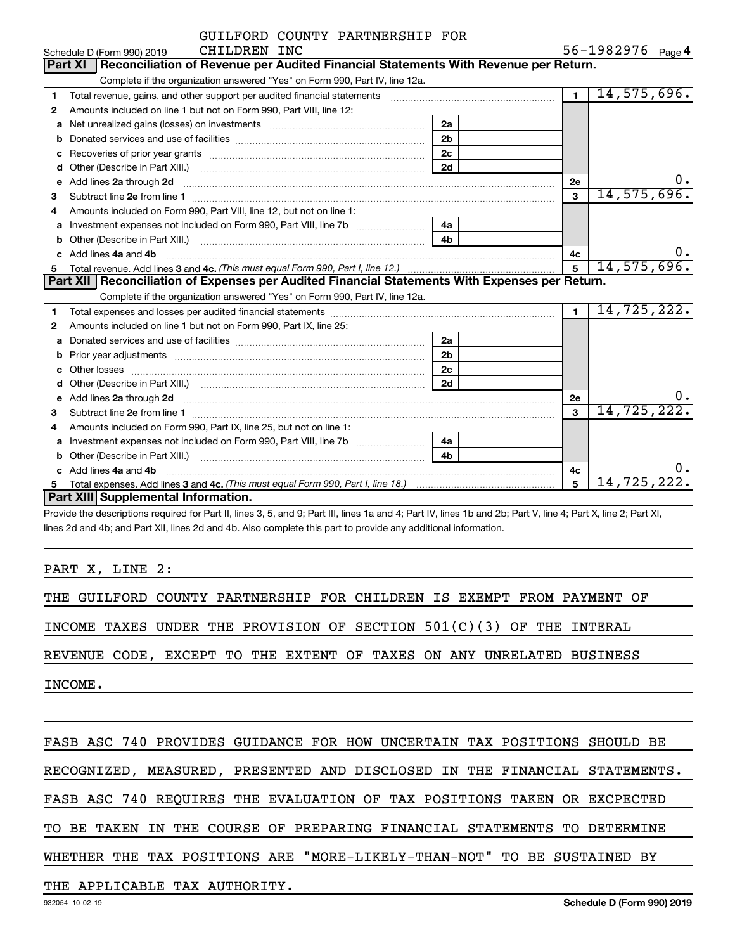|   | GUILFORD COUNTY PARTNERSHIP FOR                                                                                                                             |                |                |                   |
|---|-------------------------------------------------------------------------------------------------------------------------------------------------------------|----------------|----------------|-------------------|
|   | CHILDREN INC<br>Schedule D (Form 990) 2019                                                                                                                  |                |                | 56-1982976 Page 4 |
|   | Reconciliation of Revenue per Audited Financial Statements With Revenue per Return.<br><b>Part XI</b>                                                       |                |                |                   |
|   | Complete if the organization answered "Yes" on Form 990, Part IV, line 12a.                                                                                 |                |                |                   |
| 1 | Total revenue, gains, and other support per audited financial statements [11] [11] Total revenue, gains, and other support per audited financial statements |                | $\overline{1}$ | 14,575,696.       |
| 2 | Amounts included on line 1 but not on Form 990, Part VIII, line 12:                                                                                         |                |                |                   |
| a |                                                                                                                                                             | 2a             |                |                   |
| b |                                                                                                                                                             | 2 <sub>b</sub> |                |                   |
|   |                                                                                                                                                             | 2 <sub>c</sub> |                |                   |
| d |                                                                                                                                                             | 2d             |                |                   |
| e | Add lines 2a through 2d                                                                                                                                     |                | 2e             | υ.                |
| 3 |                                                                                                                                                             |                | $\mathbf{a}$   | 14,575,696.       |
| 4 | Amounts included on Form 990, Part VIII, line 12, but not on line 1:                                                                                        |                |                |                   |
| a | Investment expenses not included on Form 990, Part VIII, line 7b [11, 111, 120]                                                                             | 4a             |                |                   |
| b |                                                                                                                                                             | 4b             |                |                   |
|   | Add lines 4a and 4b                                                                                                                                         |                | 4с             | 0.                |
| 5 |                                                                                                                                                             | 5              | 14,575,696.    |                   |
|   | Part XII   Reconciliation of Expenses per Audited Financial Statements With Expenses per Return.                                                            |                |                |                   |
|   | Complete if the organization answered "Yes" on Form 990, Part IV, line 12a.                                                                                 |                |                |                   |
| 1 |                                                                                                                                                             |                | $\overline{1}$ | 14,725,222.       |
| 2 | Amounts included on line 1 but not on Form 990, Part IX, line 25:                                                                                           |                |                |                   |
| a |                                                                                                                                                             | 2a             |                |                   |
| b |                                                                                                                                                             | 2 <sub>b</sub> |                |                   |
|   |                                                                                                                                                             | 2 <sub>c</sub> |                |                   |
|   |                                                                                                                                                             | 2d             |                |                   |
| e |                                                                                                                                                             |                | 2e             |                   |
| 3 |                                                                                                                                                             |                | $\mathbf{a}$   | 14,725,222.       |
| 4 | Amounts included on Form 990, Part IX, line 25, but not on line 1:                                                                                          |                |                |                   |
| a |                                                                                                                                                             | 4a             |                |                   |
| b |                                                                                                                                                             | 4 <sub>h</sub> |                |                   |
|   | Add lines 4a and 4b                                                                                                                                         |                | 4c             | о.                |
|   |                                                                                                                                                             |                | 5              | 14,725,222.       |
|   | Part XIII Supplemental Information.                                                                                                                         |                |                |                   |

Provide the descriptions required for Part II, lines 3, 5, and 9; Part III, lines 1a and 4; Part IV, lines 1b and 2b; Part V, line 4; Part X, line 2; Part XI, lines 2d and 4b; and Part XII, lines 2d and 4b. Also complete this part to provide any additional information.

PART X, LINE 2:

THE GUILFORD COUNTY PARTNERSHIP FOR CHILDREN IS EXEMPT FROM PAYMENT OF

INCOME TAXES UNDER THE PROVISION OF SECTION 501(C)(3) OF THE INTERAL

REVENUE CODE, EXCEPT TO THE EXTENT OF TAXES ON ANY UNRELATED BUSINESS

INCOME.

FASB ASC 740 PROVIDES GUIDANCE FOR HOW UNCERTAIN TAX POSITIONS SHOULD BE

RECOGNIZED, MEASURED, PRESENTED AND DISCLOSED IN THE FINANCIAL STATEMENTS.

FASB ASC 740 REQUIRES THE EVALUATION OF TAX POSITIONS TAKEN OR EXCPECTED

TO BE TAKEN IN THE COURSE OF PREPARING FINANCIAL STATEMENTS TO DETERMINE

WHETHER THE TAX POSITIONS ARE "MORE-LIKELY-THAN-NOT" TO BE SUSTAINED BY

THE APPLICABLE TAX AUTHORITY.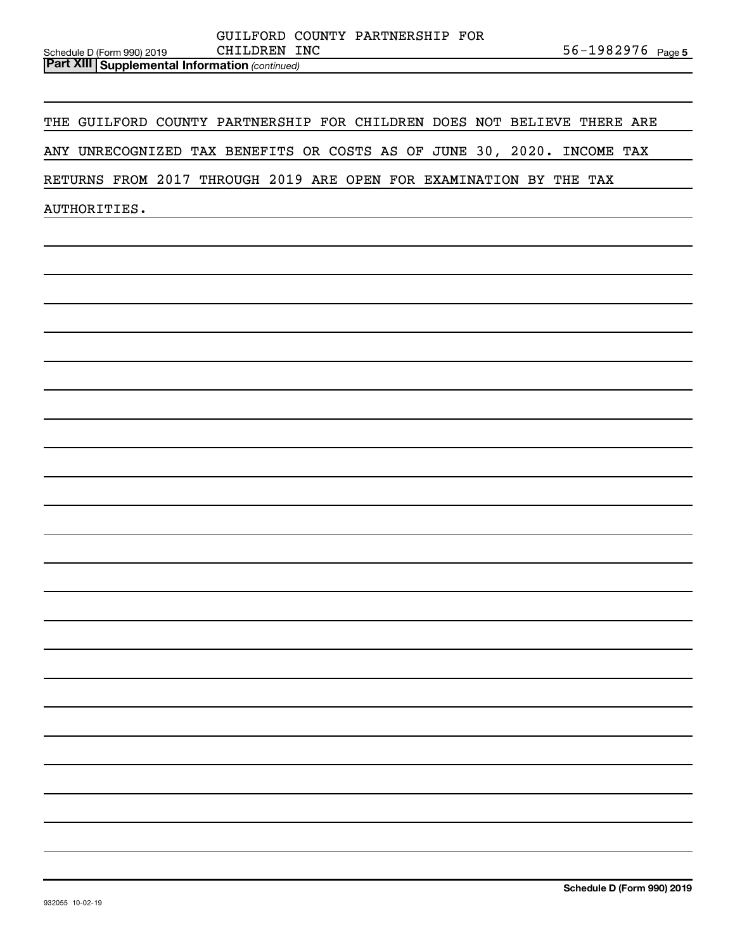| Schedule D (Form 990) 2019 |                                                         | CHILDREN INC |  | 56-1982976 <sub>Page 5</sub> |  |
|----------------------------|---------------------------------------------------------|--------------|--|------------------------------|--|
|                            | <b>Part XIII   Supplemental Information (continued)</b> |              |  |                              |  |

THE GUILFORD COUNTY PARTNERSHIP FOR CHILDREN DOES NOT BELIEVE THERE ARE

ANY UNRECOGNIZED TAX BENEFITS OR COSTS AS OF JUNE 30, 2020. INCOME TAX

RETURNS FROM 2017 THROUGH 2019 ARE OPEN FOR EXAMINATION BY THE TAX

AUTHORITIES.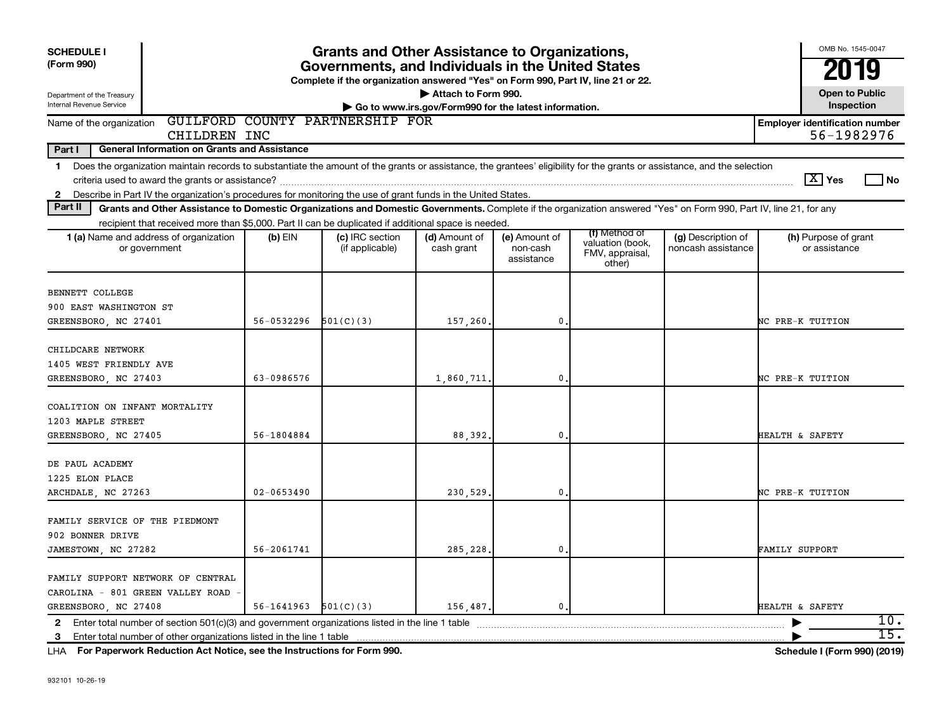| <b>SCHEDULE I</b>                                                                                                                                                                                                                                                                                   |                | <b>Grants and Other Assistance to Organizations,</b>                                                                                  |                                                                              |                                         |                                               |                                          | OMB No. 1545-0047                                   |
|-----------------------------------------------------------------------------------------------------------------------------------------------------------------------------------------------------------------------------------------------------------------------------------------------------|----------------|---------------------------------------------------------------------------------------------------------------------------------------|------------------------------------------------------------------------------|-----------------------------------------|-----------------------------------------------|------------------------------------------|-----------------------------------------------------|
| (Form 990)                                                                                                                                                                                                                                                                                          |                | Governments, and Individuals in the United States<br>Complete if the organization answered "Yes" on Form 990, Part IV, line 21 or 22. |                                                                              |                                         |                                               |                                          | 2019                                                |
| Department of the Treasury<br>Internal Revenue Service                                                                                                                                                                                                                                              |                |                                                                                                                                       | Attach to Form 990.<br>Go to www.irs.gov/Form990 for the latest information. |                                         |                                               |                                          | <b>Open to Public</b><br>Inspection                 |
| Name of the organization<br>CHILDREN INC                                                                                                                                                                                                                                                            |                | GUILFORD COUNTY PARTNERSHIP FOR                                                                                                       |                                                                              |                                         |                                               |                                          | <b>Employer identification number</b><br>56-1982976 |
| Part I<br><b>General Information on Grants and Assistance</b>                                                                                                                                                                                                                                       |                |                                                                                                                                       |                                                                              |                                         |                                               |                                          |                                                     |
| Does the organization maintain records to substantiate the amount of the grants or assistance, the grantees' eligibility for the grants or assistance, and the selection<br>1<br>Describe in Part IV the organization's procedures for monitoring the use of grant funds in the United States.<br>2 |                |                                                                                                                                       |                                                                              |                                         |                                               |                                          | $ \mathrm{X} $ Yes<br>l No                          |
| Part II<br>Grants and Other Assistance to Domestic Organizations and Domestic Governments. Complete if the organization answered "Yes" on Form 990, Part IV, line 21, for any                                                                                                                       |                |                                                                                                                                       |                                                                              |                                         |                                               |                                          |                                                     |
| recipient that received more than \$5,000. Part II can be duplicated if additional space is needed.                                                                                                                                                                                                 |                |                                                                                                                                       |                                                                              |                                         | (f) Method of                                 |                                          |                                                     |
| 1 (a) Name and address of organization<br>or government                                                                                                                                                                                                                                             | $(b)$ EIN      | (c) IRC section<br>(if applicable)                                                                                                    | (d) Amount of<br>cash grant                                                  | (e) Amount of<br>non-cash<br>assistance | valuation (book,<br>FMV, appraisal,<br>other) | (g) Description of<br>noncash assistance | (h) Purpose of grant<br>or assistance               |
| BENNETT COLLEGE                                                                                                                                                                                                                                                                                     |                |                                                                                                                                       |                                                                              |                                         |                                               |                                          |                                                     |
| 900 EAST WASHINGTON ST                                                                                                                                                                                                                                                                              |                |                                                                                                                                       |                                                                              |                                         |                                               |                                          |                                                     |
| GREENSBORO, NC 27401                                                                                                                                                                                                                                                                                | 56-0532296     | 501(C)(3)                                                                                                                             | 157,260                                                                      | $\mathbf{0}$                            |                                               |                                          | NC PRE-K TUITION                                    |
| CHILDCARE NETWORK<br>1405 WEST FRIENDLY AVE                                                                                                                                                                                                                                                         |                |                                                                                                                                       |                                                                              |                                         |                                               |                                          |                                                     |
| GREENSBORO, NC 27403                                                                                                                                                                                                                                                                                | 63-0986576     |                                                                                                                                       | 1,860,711,                                                                   | $\mathbf{0}$                            |                                               |                                          | NC PRE-K TUITION                                    |
| COALITION ON INFANT MORTALITY<br>1203 MAPLE STREET                                                                                                                                                                                                                                                  |                |                                                                                                                                       |                                                                              |                                         |                                               |                                          |                                                     |
| GREENSBORO, NC 27405                                                                                                                                                                                                                                                                                | 56-1804884     |                                                                                                                                       | 88,392.                                                                      | $\mathbf{0}$                            |                                               |                                          | HEALTH & SAFETY                                     |
| DE PAUL ACADEMY<br>1225 ELON PLACE                                                                                                                                                                                                                                                                  |                |                                                                                                                                       |                                                                              |                                         |                                               |                                          |                                                     |
| ARCHDALE, NC 27263                                                                                                                                                                                                                                                                                  | $02 - 0653490$ |                                                                                                                                       | 230,529                                                                      | $\mathbf 0$                             |                                               |                                          | NC PRE-K TUITION                                    |
| FAMILY SERVICE OF THE PIEDMONT<br>902 BONNER DRIVE                                                                                                                                                                                                                                                  |                |                                                                                                                                       |                                                                              |                                         |                                               |                                          |                                                     |
| JAMESTOWN, NC 27282                                                                                                                                                                                                                                                                                 | 56-2061741     |                                                                                                                                       | 285,228                                                                      | 0.                                      |                                               |                                          | FAMILY SUPPORT                                      |
| FAMILY SUPPORT NETWORK OF CENTRAL<br>CAROLINA - 801 GREEN VALLEY ROAD                                                                                                                                                                                                                               |                |                                                                                                                                       |                                                                              |                                         |                                               |                                          |                                                     |
| GREENSBORO, NC 27408                                                                                                                                                                                                                                                                                | 56-1641963     | 501(C)(3)                                                                                                                             | 156,487.                                                                     | $\mathbf 0$                             |                                               |                                          | HEALTH & SAFETY<br>10.                              |
| 2 Enter total number of section 501(c)(3) and government organizations listed in the line 1 table<br>3 Enter total number of other organizations listed in the line 1 table                                                                                                                         |                |                                                                                                                                       |                                                                              |                                         |                                               |                                          | 15.                                                 |

**For Paperwork Reduction Act Notice, see the Instructions for Form 990. Schedule I (Form 990) (2019)** LHA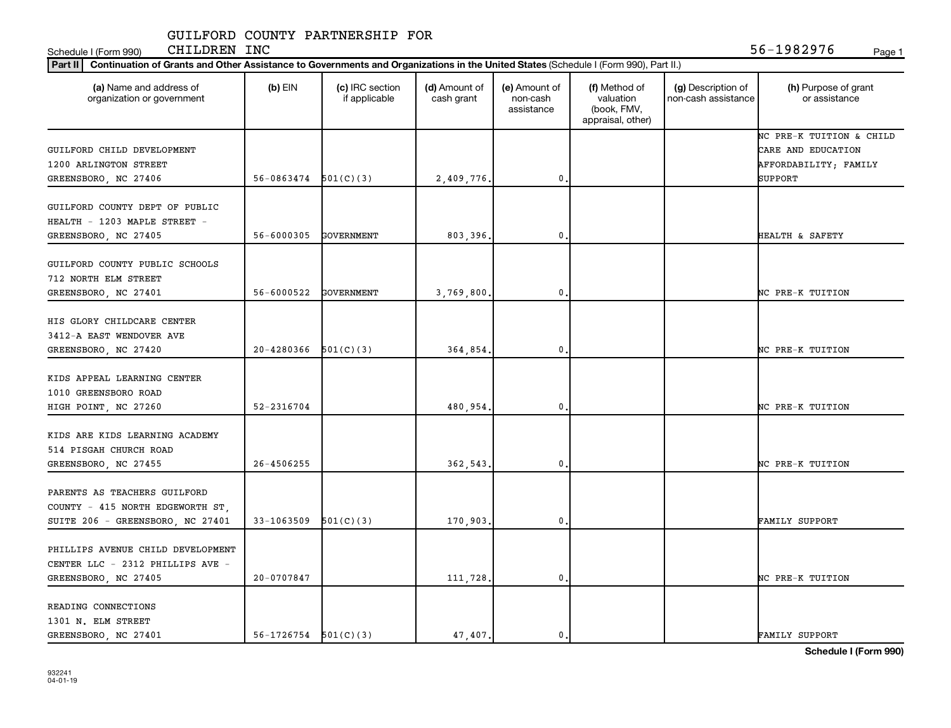Schedule I (Form 990) CHILDREN INC 56-1982976 <sub>Page 1</sub>

| (a) Name and address of<br>organization or government                                  | $(b)$ EIN                | (c) IRC section<br>if applicable | (d) Amount of<br>cash grant | (e) Amount of<br>non-cash<br>assistance | (f) Method of<br>valuation<br>(book, FMV,<br>appraisal, other) | (g) Description of<br>non-cash assistance | (h) Purpose of grant<br>or assistance                                              |
|----------------------------------------------------------------------------------------|--------------------------|----------------------------------|-----------------------------|-----------------------------------------|----------------------------------------------------------------|-------------------------------------------|------------------------------------------------------------------------------------|
| GUILFORD CHILD DEVELOPMENT<br>1200 ARLINGTON STREET                                    | 56-0863474               | 501(C)(3)                        |                             | $\mathbf 0$                             |                                                                |                                           | NC PRE-K TUITION & CHILD<br>CARE AND EDUCATION<br>AFFORDABILITY; FAMILY<br>SUPPORT |
| GREENSBORO, NC 27406                                                                   |                          |                                  | 2,409,776.                  |                                         |                                                                |                                           |                                                                                    |
| GUILFORD COUNTY DEPT OF PUBLIC<br>HEALTH - 1203 MAPLE STREET -<br>GREENSBORO, NC 27405 | 56-6000305               | GOVERNMENT                       | 803,396.                    | $\mathbf{0}$                            |                                                                |                                           | HEALTH & SAFETY                                                                    |
|                                                                                        |                          |                                  |                             |                                         |                                                                |                                           |                                                                                    |
| GUILFORD COUNTY PUBLIC SCHOOLS<br>712 NORTH ELM STREET                                 |                          |                                  |                             |                                         |                                                                |                                           |                                                                                    |
| GREENSBORO, NC 27401                                                                   | 56-6000522               | GOVERNMENT                       | 3,769,800.                  | $\mathbf 0$                             |                                                                |                                           | NC PRE-K TUITION                                                                   |
| HIS GLORY CHILDCARE CENTER<br>3412-A EAST WENDOVER AVE                                 |                          |                                  |                             |                                         |                                                                |                                           |                                                                                    |
| GREENSBORO, NC 27420                                                                   | 20-4280366               | 501(C)(3)                        | 364,854.                    | $\mathbf{0}$                            |                                                                |                                           | NC PRE-K TUITION                                                                   |
| KIDS APPEAL LEARNING CENTER<br>1010 GREENSBORO ROAD                                    |                          |                                  |                             |                                         |                                                                |                                           |                                                                                    |
| HIGH POINT, NC 27260                                                                   | 52-2316704               |                                  | 480.954.                    | $\mathbf{0}$                            |                                                                |                                           | NC PRE-K TUITION                                                                   |
| KIDS ARE KIDS LEARNING ACADEMY<br>514 PISGAH CHURCH ROAD                               |                          |                                  |                             |                                         |                                                                |                                           |                                                                                    |
| GREENSBORO, NC 27455                                                                   | 26-4506255               |                                  | 362,543.                    | $\mathbf{0}$                            |                                                                |                                           | NC PRE-K TUITION                                                                   |
| PARENTS AS TEACHERS GUILFORD<br>COUNTY - 415 NORTH EDGEWORTH ST,                       |                          |                                  |                             |                                         |                                                                |                                           |                                                                                    |
| SUITE 206 - GREENSBORO, NC 27401                                                       | 33-1063509               | 501(C)(3)                        | 170,903.                    | $\mathbf{0}$                            |                                                                |                                           | FAMILY SUPPORT                                                                     |
| PHILLIPS AVENUE CHILD DEVELOPMENT<br>CENTER LLC - 2312 PHILLIPS AVE -                  |                          |                                  |                             |                                         |                                                                |                                           |                                                                                    |
| GREENSBORO, NC 27405                                                                   | 20-0707847               |                                  | 111,728.                    | $\mathbf{0}$                            |                                                                |                                           | NC PRE-K TUITION                                                                   |
| READING CONNECTIONS<br>1301 N. ELM STREET                                              |                          |                                  |                             |                                         |                                                                |                                           |                                                                                    |
| GREENSBORO, NC 27401                                                                   | $56-1726754$ $501(C)(3)$ |                                  | 47,407.                     | $\mathbf 0$ .                           |                                                                |                                           | FAMILY SUPPORT                                                                     |

**Schedule I (Form 990)**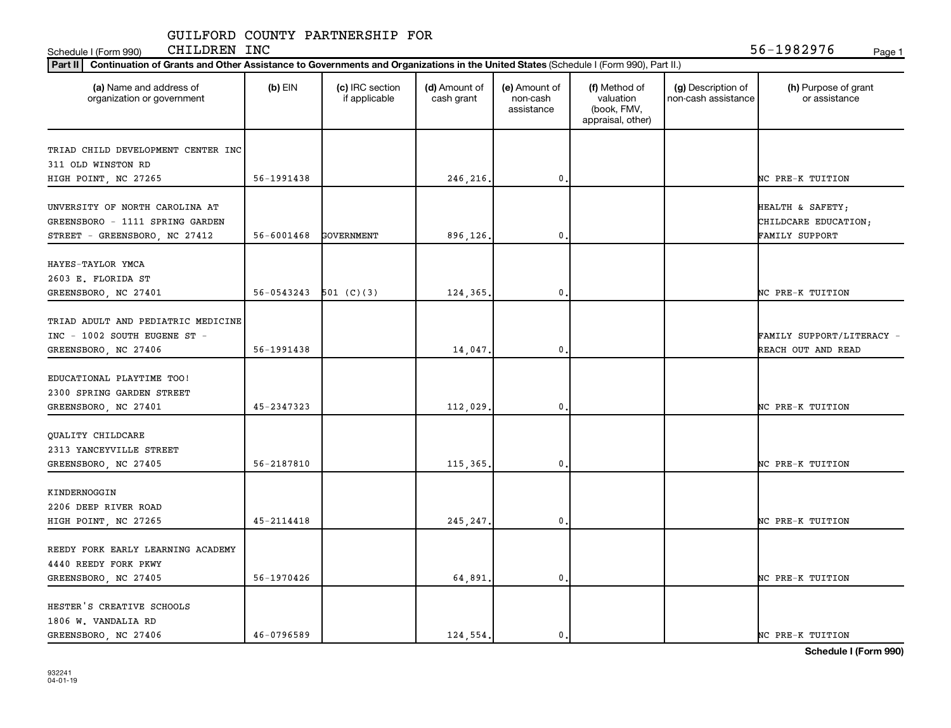Schedule I (Form 990) CHILDREN INC 56-1982976 <sub>Page 1</sub>

| (a) Name and address of<br>organization or government | $(b)$ EIN                 | (c) IRC section<br>if applicable | (d) Amount of<br>cash grant | (e) Amount of<br>non-cash<br>assistance | (f) Method of<br>valuation<br>(book, FMV,<br>appraisal, other) | (g) Description of<br>non-cash assistance | (h) Purpose of grant<br>or assistance |
|-------------------------------------------------------|---------------------------|----------------------------------|-----------------------------|-----------------------------------------|----------------------------------------------------------------|-------------------------------------------|---------------------------------------|
| TRIAD CHILD DEVELOPMENT CENTER INC                    |                           |                                  |                             |                                         |                                                                |                                           |                                       |
| 311 OLD WINSTON RD                                    |                           |                                  |                             |                                         |                                                                |                                           |                                       |
| HIGH POINT, NC 27265                                  | 56-1991438                |                                  | 246,216.                    | 0                                       |                                                                |                                           | NC PRE-K TUITION                      |
|                                                       |                           |                                  |                             |                                         |                                                                |                                           |                                       |
| UNVERSITY OF NORTH CAROLINA AT                        |                           |                                  |                             |                                         |                                                                |                                           | HEALTH & SAFETY;                      |
| GREENSBORO - 1111 SPRING GARDEN                       |                           |                                  |                             |                                         |                                                                |                                           | CHILDCARE EDUCATION;                  |
| STREET - GREENSBORO, NC 27412                         | 56-6001468                | GOVERNMENT                       | 896,126.                    | 0                                       |                                                                |                                           | <b>FAMILY SUPPORT</b>                 |
| HAYES-TAYLOR YMCA                                     |                           |                                  |                             |                                         |                                                                |                                           |                                       |
| 2603 E. FLORIDA ST                                    |                           |                                  |                             |                                         |                                                                |                                           |                                       |
| GREENSBORO, NC 27401                                  | $56-0543243$ $501$ (C)(3) |                                  | 124,365.                    | $\mathbf{0}$                            |                                                                |                                           | NC PRE-K TUITION                      |
|                                                       |                           |                                  |                             |                                         |                                                                |                                           |                                       |
| TRIAD ADULT AND PEDIATRIC MEDICINE                    |                           |                                  |                             |                                         |                                                                |                                           |                                       |
| INC - 1002 SOUTH EUGENE ST -                          |                           |                                  |                             |                                         |                                                                |                                           | FAMILY SUPPORT/LITERACY -             |
| GREENSBORO, NC 27406                                  | 56-1991438                |                                  | 14,047.                     | 0                                       |                                                                |                                           | REACH OUT AND READ                    |
| EDUCATIONAL PLAYTIME TOO!                             |                           |                                  |                             |                                         |                                                                |                                           |                                       |
| 2300 SPRING GARDEN STREET                             |                           |                                  |                             |                                         |                                                                |                                           |                                       |
| GREENSBORO, NC 27401                                  | 45-2347323                |                                  | 112,029.                    | 0                                       |                                                                |                                           | NC PRE-K TUITION                      |
|                                                       |                           |                                  |                             |                                         |                                                                |                                           |                                       |
| QUALITY CHILDCARE                                     |                           |                                  |                             |                                         |                                                                |                                           |                                       |
| 2313 YANCEYVILLE STREET                               |                           |                                  |                             |                                         |                                                                |                                           |                                       |
| GREENSBORO, NC 27405                                  | 56-2187810                |                                  | 115,365.                    | 0                                       |                                                                |                                           | NC PRE-K TUITION                      |
| KINDERNOGGIN                                          |                           |                                  |                             |                                         |                                                                |                                           |                                       |
| 2206 DEEP RIVER ROAD                                  |                           |                                  |                             |                                         |                                                                |                                           |                                       |
| HIGH POINT, NC 27265                                  | 45-2114418                |                                  | 245, 247.                   | $\mathbf 0$ .                           |                                                                |                                           | NC PRE-K TUITION                      |
|                                                       |                           |                                  |                             |                                         |                                                                |                                           |                                       |
| REEDY FORK EARLY LEARNING ACADEMY                     |                           |                                  |                             |                                         |                                                                |                                           |                                       |
| 4440 REEDY FORK PKWY                                  |                           |                                  |                             |                                         |                                                                |                                           |                                       |
| GREENSBORO, NC 27405                                  | 56-1970426                |                                  | 64,891.                     | $\mathbf{0}$                            |                                                                |                                           | NC PRE-K TUITION                      |
| HESTER'S CREATIVE SCHOOLS                             |                           |                                  |                             |                                         |                                                                |                                           |                                       |
| 1806 W. VANDALIA RD                                   |                           |                                  |                             |                                         |                                                                |                                           |                                       |
| GREENSBORO, NC 27406                                  | 46-0796589                |                                  | 124,554.                    | $\mathbf 0$ .                           |                                                                |                                           | NC PRE-K TUITION                      |
|                                                       |                           |                                  |                             |                                         |                                                                |                                           |                                       |

**Schedule I (Form 990)**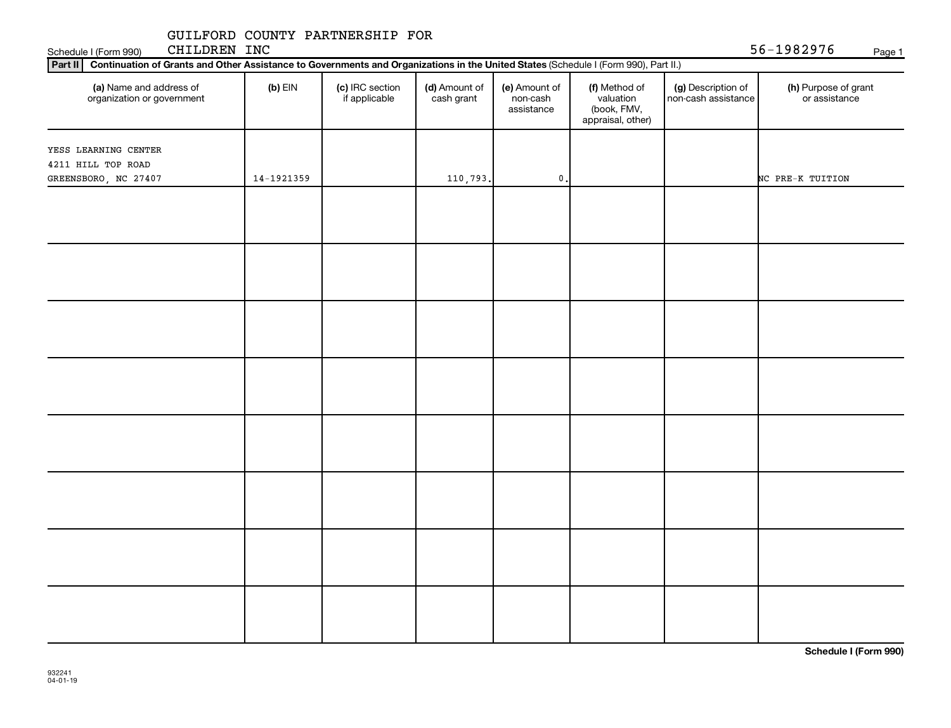Schedule I (Form 990) CHILDREN INC 56-1982976 <sub>Page 1</sub>

| Part II   Continuation of Grants and Other Assistance to Governments and Organizations in the United States (Schedule I (Form 990), Part II.) |            |                                  |                             |                                         |                                                                |                                           |                                       |
|-----------------------------------------------------------------------------------------------------------------------------------------------|------------|----------------------------------|-----------------------------|-----------------------------------------|----------------------------------------------------------------|-------------------------------------------|---------------------------------------|
| (a) Name and address of<br>organization or government                                                                                         | $(b)$ EIN  | (c) IRC section<br>if applicable | (d) Amount of<br>cash grant | (e) Amount of<br>non-cash<br>assistance | (f) Method of<br>valuation<br>(book, FMV,<br>appraisal, other) | (g) Description of<br>non-cash assistance | (h) Purpose of grant<br>or assistance |
| YESS LEARNING CENTER                                                                                                                          |            |                                  |                             |                                         |                                                                |                                           |                                       |
| 4211 HILL TOP ROAD                                                                                                                            |            |                                  |                             |                                         |                                                                |                                           |                                       |
| GREENSBORO, NC 27407                                                                                                                          | 14-1921359 |                                  | 110,793.                    | $\mathbf 0$ .                           |                                                                |                                           | NC PRE-K TUITION                      |
|                                                                                                                                               |            |                                  |                             |                                         |                                                                |                                           |                                       |
|                                                                                                                                               |            |                                  |                             |                                         |                                                                |                                           |                                       |
|                                                                                                                                               |            |                                  |                             |                                         |                                                                |                                           |                                       |
|                                                                                                                                               |            |                                  |                             |                                         |                                                                |                                           |                                       |
|                                                                                                                                               |            |                                  |                             |                                         |                                                                |                                           |                                       |
|                                                                                                                                               |            |                                  |                             |                                         |                                                                |                                           |                                       |
|                                                                                                                                               |            |                                  |                             |                                         |                                                                |                                           |                                       |
|                                                                                                                                               |            |                                  |                             |                                         |                                                                |                                           |                                       |
|                                                                                                                                               |            |                                  |                             |                                         |                                                                |                                           |                                       |
|                                                                                                                                               |            |                                  |                             |                                         |                                                                |                                           |                                       |
|                                                                                                                                               |            |                                  |                             |                                         |                                                                |                                           |                                       |
|                                                                                                                                               |            |                                  |                             |                                         |                                                                |                                           |                                       |
|                                                                                                                                               |            |                                  |                             |                                         |                                                                |                                           |                                       |
|                                                                                                                                               |            |                                  |                             |                                         |                                                                |                                           |                                       |
|                                                                                                                                               |            |                                  |                             |                                         |                                                                |                                           |                                       |
|                                                                                                                                               |            |                                  |                             |                                         |                                                                |                                           |                                       |
|                                                                                                                                               |            |                                  |                             |                                         |                                                                |                                           |                                       |
|                                                                                                                                               |            |                                  |                             |                                         |                                                                |                                           |                                       |
|                                                                                                                                               |            |                                  |                             |                                         |                                                                |                                           |                                       |
|                                                                                                                                               |            |                                  |                             |                                         |                                                                |                                           |                                       |
|                                                                                                                                               |            |                                  |                             |                                         |                                                                |                                           |                                       |
|                                                                                                                                               |            |                                  |                             |                                         |                                                                |                                           |                                       |
|                                                                                                                                               |            |                                  |                             |                                         |                                                                |                                           |                                       |
|                                                                                                                                               |            |                                  |                             |                                         |                                                                |                                           |                                       |
|                                                                                                                                               |            |                                  |                             |                                         |                                                                |                                           |                                       |
|                                                                                                                                               |            |                                  |                             |                                         |                                                                |                                           |                                       |
|                                                                                                                                               |            |                                  |                             |                                         |                                                                |                                           |                                       |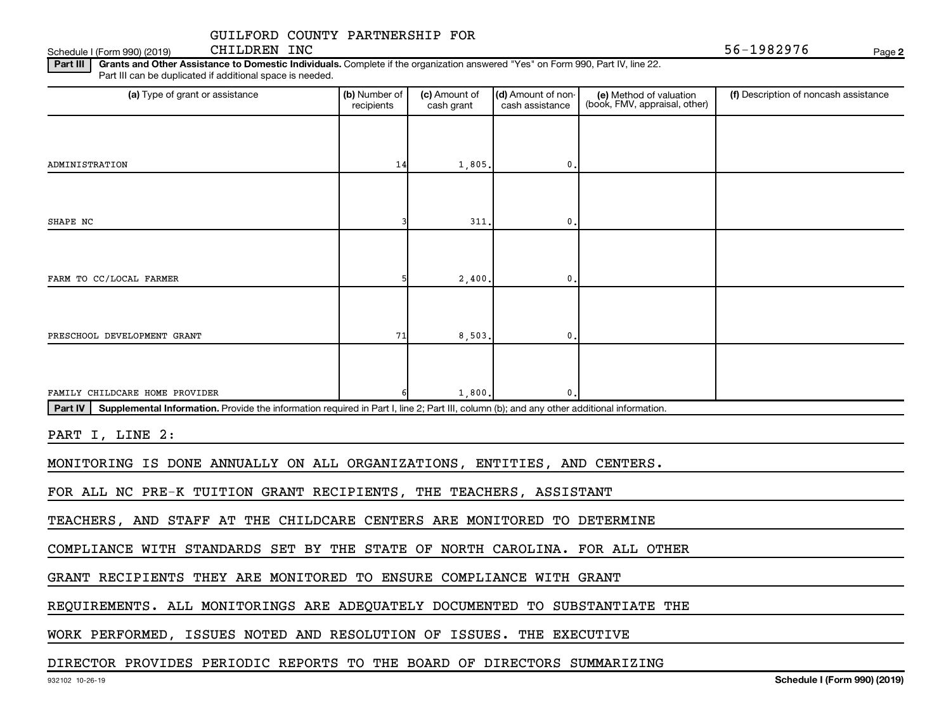Schedule I (Form 990) (2019) CHILDREN INC  $56-1982976$ CHILDREN INC

**2**

Part III | Grants and Other Assistance to Domestic Individuals. Complete if the organization answered "Yes" on Form 990, Part IV, line 22. Part III can be duplicated if additional space is needed.

| (a) Type of grant or assistance                                                                                                                      | (b) Number of<br>recipients | (c) Amount of<br>cash grant | (d) Amount of non-<br>cash assistance | (e) Method of valuation<br>(book, FMV, appraisal, other) | (f) Description of noncash assistance |
|------------------------------------------------------------------------------------------------------------------------------------------------------|-----------------------------|-----------------------------|---------------------------------------|----------------------------------------------------------|---------------------------------------|
|                                                                                                                                                      |                             |                             |                                       |                                                          |                                       |
|                                                                                                                                                      |                             |                             |                                       |                                                          |                                       |
| ADMINISTRATION                                                                                                                                       | 14                          | 1,805.                      | 0.                                    |                                                          |                                       |
|                                                                                                                                                      |                             |                             |                                       |                                                          |                                       |
|                                                                                                                                                      |                             | 311.                        |                                       |                                                          |                                       |
| SHAPE NC                                                                                                                                             |                             |                             | 0                                     |                                                          |                                       |
|                                                                                                                                                      |                             |                             |                                       |                                                          |                                       |
| FARM TO CC/LOCAL FARMER                                                                                                                              |                             | 2,400.                      | 0.                                    |                                                          |                                       |
|                                                                                                                                                      |                             |                             |                                       |                                                          |                                       |
|                                                                                                                                                      |                             |                             |                                       |                                                          |                                       |
| PRESCHOOL DEVELOPMENT GRANT                                                                                                                          | 71                          | 8,503,                      | 0                                     |                                                          |                                       |
|                                                                                                                                                      |                             |                             |                                       |                                                          |                                       |
| FAMILY CHILDCARE HOME PROVIDER                                                                                                                       |                             | 1,800.                      | $\mathbf{0}$                          |                                                          |                                       |
| Part IV<br>Supplemental Information. Provide the information required in Part I, line 2; Part III, column (b); and any other additional information. |                             |                             |                                       |                                                          |                                       |
|                                                                                                                                                      |                             |                             |                                       |                                                          |                                       |
| PART I, LINE 2:                                                                                                                                      |                             |                             |                                       |                                                          |                                       |
| MONITORING IS DONE ANNUALLY ON ALL ORGANIZATIONS, ENTITIES, AND CENTERS.                                                                             |                             |                             |                                       |                                                          |                                       |
| FOR ALL NC PRE-K TUITION GRANT RECIPIENTS, THE TEACHERS, ASSISTANT                                                                                   |                             |                             |                                       |                                                          |                                       |
| TEACHERS, AND STAFF AT THE CHILDCARE CENTERS ARE MONITORED TO DETERMINE                                                                              |                             |                             |                                       |                                                          |                                       |
|                                                                                                                                                      |                             |                             |                                       |                                                          |                                       |
| COMPLIANCE WITH STANDARDS SET BY THE STATE OF NORTH CAROLINA. FOR ALL OTHER                                                                          |                             |                             |                                       |                                                          |                                       |

GRANT RECIPIENTS THEY ARE MONITORED TO ENSURE COMPLIANCE WITH GRANT

REQUIREMENTS. ALL MONITORINGS ARE ADEQUATELY DOCUMENTED TO SUBSTANTIATE THE

WORK PERFORMED, ISSUES NOTED AND RESOLUTION OF ISSUES. THE EXECUTIVE

#### DIRECTOR PROVIDES PERIODIC REPORTS TO THE BOARD OF DIRECTORS SUMMARIZING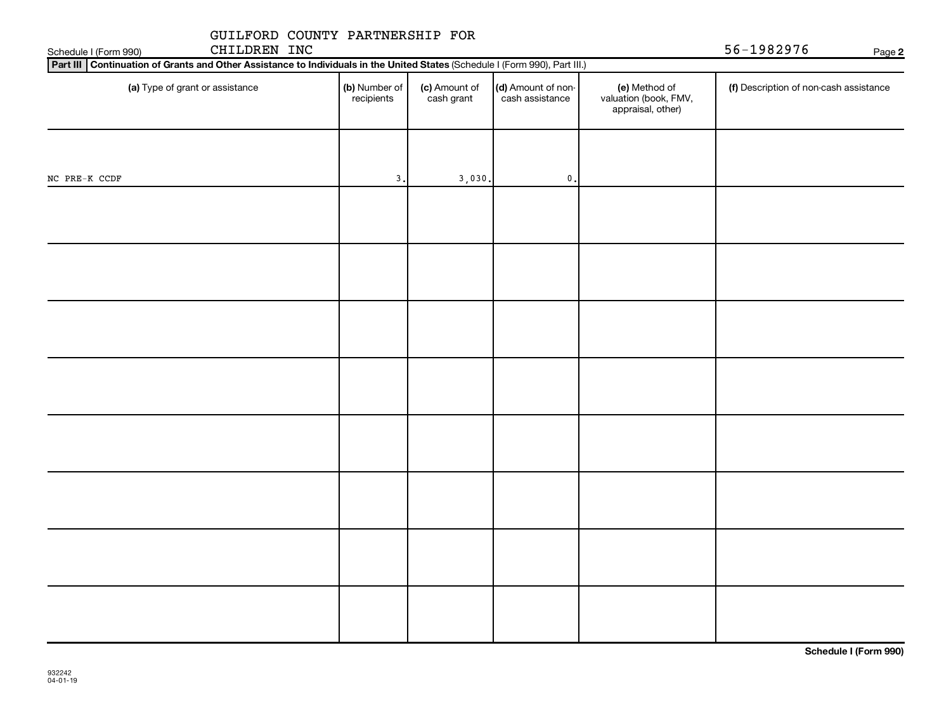| GUILFORD COUNTY PARTNERSHIP FOR<br>CHILDREN INC<br>Schedule I (Form 990)                                                    | 56-1982976                  |                             |                                       |                                                             |                                        |
|-----------------------------------------------------------------------------------------------------------------------------|-----------------------------|-----------------------------|---------------------------------------|-------------------------------------------------------------|----------------------------------------|
| Part III Continuation of Grants and Other Assistance to Individuals in the United States (Schedule I (Form 990), Part III.) |                             |                             |                                       |                                                             | Page 2                                 |
| (a) Type of grant or assistance                                                                                             | (b) Number of<br>recipients | (c) Amount of<br>cash grant | (d) Amount of non-<br>cash assistance | (e) Method of<br>valuation (book, FMV,<br>appraisal, other) | (f) Description of non-cash assistance |
|                                                                                                                             |                             |                             |                                       |                                                             |                                        |
| NC PRE-K CCDF                                                                                                               | 3.                          | 3,030.                      | $\mathbf 0$ .                         |                                                             |                                        |
|                                                                                                                             |                             |                             |                                       |                                                             |                                        |
|                                                                                                                             |                             |                             |                                       |                                                             |                                        |
|                                                                                                                             |                             |                             |                                       |                                                             |                                        |
|                                                                                                                             |                             |                             |                                       |                                                             |                                        |
|                                                                                                                             |                             |                             |                                       |                                                             |                                        |
|                                                                                                                             |                             |                             |                                       |                                                             |                                        |
|                                                                                                                             |                             |                             |                                       |                                                             |                                        |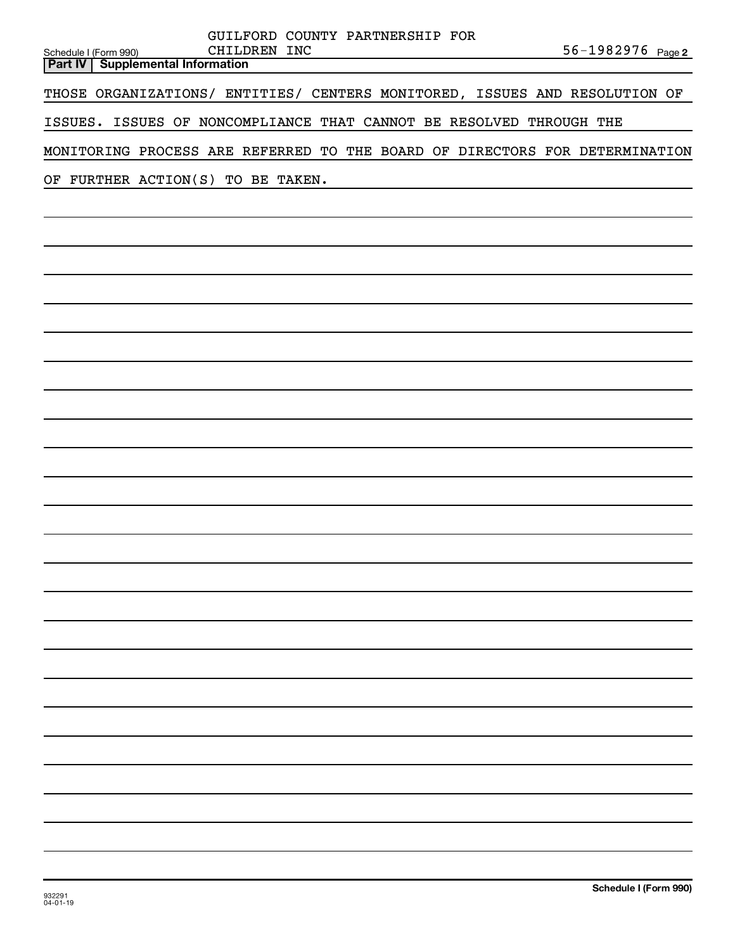| GUILFORD COUNTY PARTNERSHIP FOR                                                                          |
|----------------------------------------------------------------------------------------------------------|
| CHILDREN INC<br>56-1982976 Page 2<br>Schedule I (Form 990)<br><b>Supplemental Information</b><br>Part IV |
|                                                                                                          |
| THOSE ORGANIZATIONS/ ENTITIES/ CENTERS MONITORED, ISSUES AND RESOLUTION OF                               |
| ISSUES. ISSUES OF NONCOMPLIANCE THAT CANNOT BE RESOLVED THROUGH THE                                      |
| MONITORING PROCESS ARE REFERRED TO THE BOARD OF DIRECTORS FOR DETERMINATION                              |
| FURTHER ACTION(S) TO BE TAKEN.<br>OF                                                                     |
|                                                                                                          |
|                                                                                                          |
|                                                                                                          |
|                                                                                                          |
|                                                                                                          |
|                                                                                                          |
|                                                                                                          |
|                                                                                                          |
|                                                                                                          |
|                                                                                                          |
|                                                                                                          |
|                                                                                                          |
|                                                                                                          |
|                                                                                                          |
|                                                                                                          |
|                                                                                                          |
|                                                                                                          |
|                                                                                                          |
|                                                                                                          |
|                                                                                                          |
|                                                                                                          |
|                                                                                                          |
|                                                                                                          |
|                                                                                                          |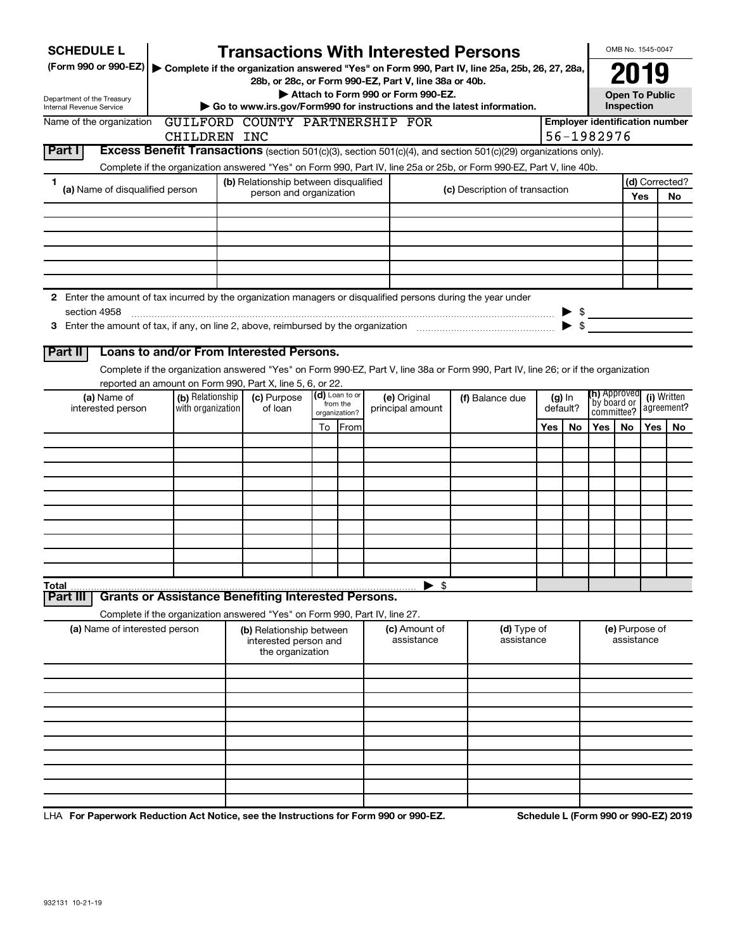|              | <b>SCHEDULE L</b>                                                                                             |                   | <b>Transactions With Interested Persons</b>                                                                                                                   |    |               |  |                                    |                                |     |                          |                     | OMB No. 1545-0047                   |              |                                       |
|--------------|---------------------------------------------------------------------------------------------------------------|-------------------|---------------------------------------------------------------------------------------------------------------------------------------------------------------|----|---------------|--|------------------------------------|--------------------------------|-----|--------------------------|---------------------|-------------------------------------|--------------|---------------------------------------|
|              | (Form 990 or 990-EZ)                                                                                          |                   | ▶ Complete if the organization answered "Yes" on Form 990, Part IV, line 25a, 25b, 26, 27, 28a,                                                               |    |               |  |                                    |                                |     |                          |                     | 2019                                |              |                                       |
|              |                                                                                                               |                   | 28b, or 28c, or Form 990-EZ, Part V, line 38a or 40b.                                                                                                         |    |               |  | Attach to Form 990 or Form 990-EZ. |                                |     |                          |                     | <b>Open To Public</b>               |              |                                       |
|              | Department of the Treasury<br>Internal Revenue Service                                                        |                   | Go to www.irs.gov/Form990 for instructions and the latest information.                                                                                        |    |               |  |                                    |                                |     |                          |                     | Inspection                          |              |                                       |
|              | Name of the organization                                                                                      |                   | GUILFORD COUNTY PARTNERSHIP FOR                                                                                                                               |    |               |  |                                    |                                |     |                          |                     |                                     |              | <b>Employer identification number</b> |
|              |                                                                                                               | CHILDREN INC      |                                                                                                                                                               |    |               |  |                                    |                                |     |                          | 56-1982976          |                                     |              |                                       |
| Part I       |                                                                                                               |                   | Excess Benefit Transactions (section 501(c)(3), section 501(c)(4), and section 501(c)(29) organizations only).                                                |    |               |  |                                    |                                |     |                          |                     |                                     |              |                                       |
| 1            |                                                                                                               |                   | Complete if the organization answered "Yes" on Form 990, Part IV, line 25a or 25b, or Form 990-EZ, Part V, line 40b.<br>(b) Relationship between disqualified |    |               |  |                                    |                                |     |                          |                     |                                     |              | (d) Corrected?                        |
|              | (a) Name of disqualified person                                                                               |                   | person and organization                                                                                                                                       |    |               |  |                                    | (c) Description of transaction |     |                          |                     |                                     | Yes          | No                                    |
|              |                                                                                                               |                   |                                                                                                                                                               |    |               |  |                                    |                                |     |                          |                     |                                     |              |                                       |
|              |                                                                                                               |                   |                                                                                                                                                               |    |               |  |                                    |                                |     |                          |                     |                                     |              |                                       |
|              |                                                                                                               |                   |                                                                                                                                                               |    |               |  |                                    |                                |     |                          |                     |                                     |              |                                       |
|              |                                                                                                               |                   |                                                                                                                                                               |    |               |  |                                    |                                |     |                          |                     |                                     |              |                                       |
|              |                                                                                                               |                   |                                                                                                                                                               |    |               |  |                                    |                                |     |                          |                     |                                     |              |                                       |
|              | 2 Enter the amount of tax incurred by the organization managers or disqualified persons during the year under |                   |                                                                                                                                                               |    |               |  |                                    |                                |     |                          |                     |                                     |              |                                       |
|              | section 4958                                                                                                  |                   |                                                                                                                                                               |    |               |  |                                    |                                |     |                          | $\triangleright$ \$ |                                     |              |                                       |
|              |                                                                                                               |                   |                                                                                                                                                               |    |               |  |                                    |                                |     | $\blacktriangleright$ \$ |                     |                                     |              |                                       |
| Part II      |                                                                                                               |                   | Loans to and/or From Interested Persons.                                                                                                                      |    |               |  |                                    |                                |     |                          |                     |                                     |              |                                       |
|              |                                                                                                               |                   | Complete if the organization answered "Yes" on Form 990-EZ, Part V, line 38a or Form 990, Part IV, line 26; or if the organization                            |    |               |  |                                    |                                |     |                          |                     |                                     |              |                                       |
|              |                                                                                                               |                   | reported an amount on Form 990, Part X, line 5, 6, or 22.                                                                                                     |    |               |  |                                    |                                |     |                          |                     |                                     |              |                                       |
|              | (a) Name of                                                                                                   | (b) Relationship  | (d) Loan to or<br>(c) Purpose<br>from the                                                                                                                     |    |               |  | (e) Original                       | (f) Balance due                |     | $(g)$ In                 |                     | <b>(h)</b> Approved<br>`by board or |              | (i) Written                           |
|              | interested person                                                                                             | with organization | of loan                                                                                                                                                       |    | organization? |  | principal amount                   |                                |     | default?                 |                     | committee?                          |              | agreement?                            |
|              |                                                                                                               |                   |                                                                                                                                                               | To | From          |  |                                    |                                | Yes | No.                      | Yes                 | No.                                 | Yes          | No.                                   |
|              |                                                                                                               |                   |                                                                                                                                                               |    |               |  |                                    |                                |     |                          |                     |                                     |              |                                       |
|              |                                                                                                               |                   |                                                                                                                                                               |    |               |  |                                    |                                |     |                          |                     |                                     |              |                                       |
|              |                                                                                                               |                   |                                                                                                                                                               |    |               |  |                                    |                                |     |                          |                     |                                     |              |                                       |
|              |                                                                                                               |                   |                                                                                                                                                               |    |               |  |                                    |                                |     |                          |                     |                                     |              |                                       |
|              |                                                                                                               |                   |                                                                                                                                                               |    |               |  |                                    |                                |     |                          |                     |                                     |              |                                       |
|              |                                                                                                               |                   |                                                                                                                                                               |    |               |  |                                    |                                |     |                          |                     |                                     |              |                                       |
|              |                                                                                                               |                   |                                                                                                                                                               |    |               |  |                                    |                                |     |                          |                     |                                     |              |                                       |
|              |                                                                                                               |                   |                                                                                                                                                               |    |               |  |                                    |                                |     |                          |                     |                                     |              |                                       |
| <b>Total</b> |                                                                                                               |                   |                                                                                                                                                               |    |               |  | -\$                                |                                |     |                          |                     |                                     |              |                                       |
| Part II      |                                                                                                               |                   | <b>Grants or Assistance Benefiting Interested Persons.</b>                                                                                                    |    |               |  |                                    |                                |     |                          |                     |                                     |              |                                       |
|              |                                                                                                               |                   | Complete if the organization answered "Yes" on Form 990, Part IV, line 27.                                                                                    |    |               |  |                                    |                                |     |                          |                     |                                     |              |                                       |
|              | (a) Name of interested person                                                                                 |                   | (b) Relationship between<br>interested person and<br>the organization                                                                                         |    |               |  | (c) Amount of<br>assistance        | (d) Type of<br>assistance      |     |                          |                     | (e) Purpose of<br>assistance        |              |                                       |
|              |                                                                                                               |                   |                                                                                                                                                               |    |               |  |                                    |                                |     |                          |                     |                                     |              |                                       |
|              |                                                                                                               |                   |                                                                                                                                                               |    |               |  |                                    |                                |     |                          |                     |                                     |              |                                       |
|              |                                                                                                               |                   |                                                                                                                                                               |    |               |  |                                    |                                |     |                          |                     |                                     |              |                                       |
|              |                                                                                                               |                   |                                                                                                                                                               |    |               |  |                                    |                                |     |                          |                     |                                     |              |                                       |
|              |                                                                                                               |                   |                                                                                                                                                               |    |               |  |                                    |                                |     |                          |                     |                                     |              |                                       |
|              |                                                                                                               |                   |                                                                                                                                                               |    |               |  |                                    |                                |     |                          |                     |                                     |              |                                       |
|              |                                                                                                               |                   |                                                                                                                                                               |    |               |  |                                    |                                |     |                          |                     |                                     |              |                                       |
|              |                                                                                                               |                   |                                                                                                                                                               |    |               |  |                                    |                                |     |                          |                     |                                     |              |                                       |
|              |                                                                                                               |                   |                                                                                                                                                               |    |               |  | 000F7                              |                                |     |                          |                     |                                     | 0.00.520.004 |                                       |

LHA For Paperwork Reduction Act Notice, see the Instructions for Form 990 or 990-EZ. Schedule L (Form 990 or 990-EZ) 2019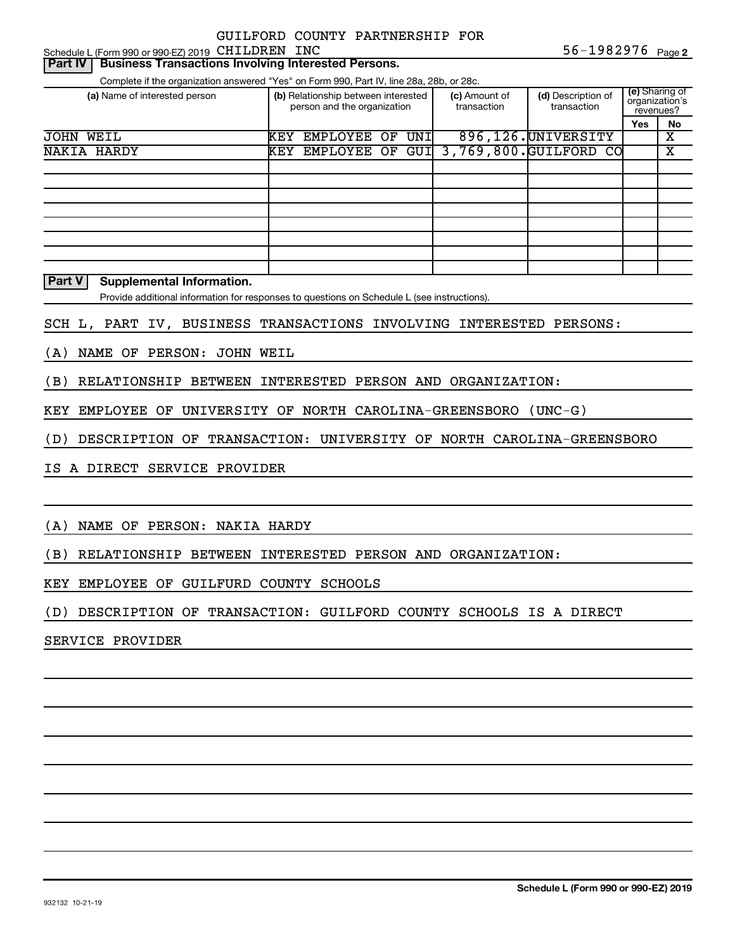Schedule L (Form 990 or 990-EZ) 2019 CHILDREN INC  $56-1982976$  Page

#### **Part IV** Business Transactions Involving Interested Persons.

Complete if the organization answered "Yes" on Form 990, Part IV, line 28a, 28b, or 28c.

| (a) Name of interested person | (b) Relationship between interested<br>person and the organization |                 | (c) Amount of<br>transaction | (d) Description of<br>transaction | (e) Sharing of<br>organization's<br>revenues? |                                        |     |    |
|-------------------------------|--------------------------------------------------------------------|-----------------|------------------------------|-----------------------------------|-----------------------------------------------|----------------------------------------|-----|----|
|                               |                                                                    |                 |                              |                                   |                                               |                                        | Yes | No |
| <b>JOHN WEIL</b>              | KEY                                                                | <b>EMPLOYEE</b> | OF                           | UNI                               |                                               | 896, 126. UNIVERSITY                   |     | х  |
| NAKIA HARDY                   | KEY                                                                |                 |                              |                                   |                                               | EMPLOYEE OF GUI 3,769,800. GUILFORD CO |     | х  |
|                               |                                                                    |                 |                              |                                   |                                               |                                        |     |    |
|                               |                                                                    |                 |                              |                                   |                                               |                                        |     |    |
|                               |                                                                    |                 |                              |                                   |                                               |                                        |     |    |
|                               |                                                                    |                 |                              |                                   |                                               |                                        |     |    |
|                               |                                                                    |                 |                              |                                   |                                               |                                        |     |    |
|                               |                                                                    |                 |                              |                                   |                                               |                                        |     |    |
|                               |                                                                    |                 |                              |                                   |                                               |                                        |     |    |
|                               |                                                                    |                 |                              |                                   |                                               |                                        |     |    |

**Part V Supplemental Information.**

Provide additional information for responses to questions on Schedule L (see instructions).

SCH L, PART IV, BUSINESS TRANSACTIONS INVOLVING INTERESTED PERSONS:

(A) NAME OF PERSON: JOHN WEIL

(B) RELATIONSHIP BETWEEN INTERESTED PERSON AND ORGANIZATION:

KEY EMPLOYEE OF UNIVERSITY OF NORTH CAROLINA-GREENSBORO (UNC-G)

(D) DESCRIPTION OF TRANSACTION: UNIVERSITY OF NORTH CAROLINA-GREENSBORO

IS A DIRECT SERVICE PROVIDER

(A) NAME OF PERSON: NAKIA HARDY

(B) RELATIONSHIP BETWEEN INTERESTED PERSON AND ORGANIZATION:

KEY EMPLOYEE OF GUILFURD COUNTY SCHOOLS

(D) DESCRIPTION OF TRANSACTION: GUILFORD COUNTY SCHOOLS IS A DIRECT

SERVICE PROVIDER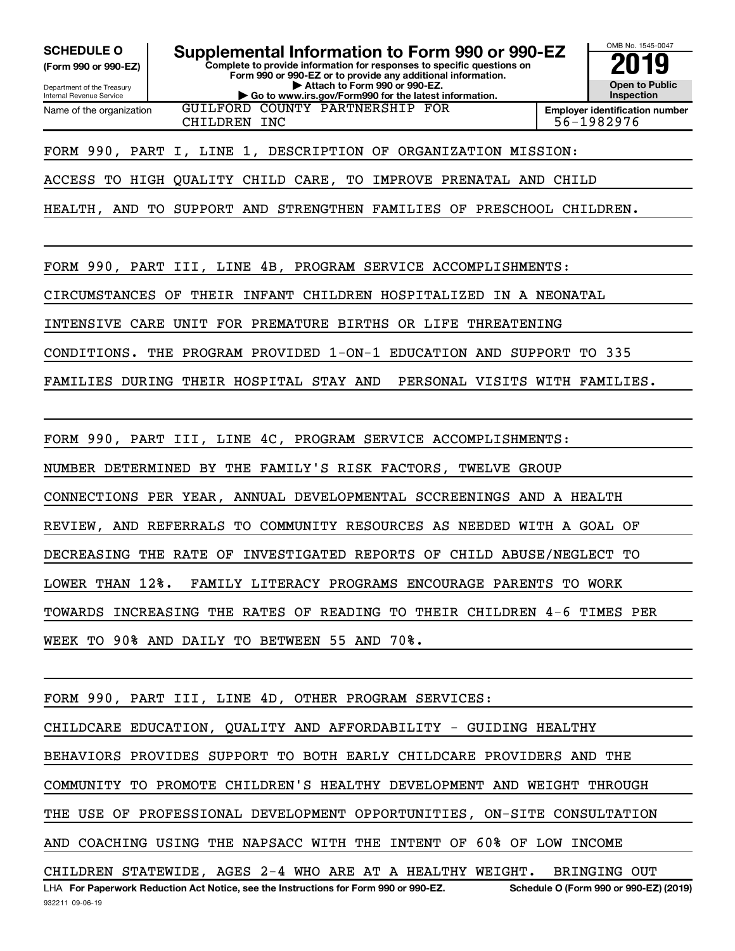Internal Revenue Service

Department of the Treasury **(Form 990 or 990-EZ)**

Name of the organization

**Complete to provide information for responses to specific questions on Form 990 or 990-EZ or to provide any additional information. | Attach to Form 990 or 990-EZ. | Go to www.irs.gov/Form990 for the latest information. SCHEDULE O Supplemental Information to Form 990 or 990-EZ 2019** 



GUILFORD COUNTY PARTNERSHIP FOR CHILDREN INC 36-1982976

FORM 990, PART I, LINE 1, DESCRIPTION OF ORGANIZATION MISSION:

ACCESS TO HIGH QUALITY CHILD CARE, TO IMPROVE PRENATAL AND CHILD

HEALTH, AND TO SUPPORT AND STRENGTHEN FAMILIES OF PRESCHOOL CHILDREN.

FORM 990, PART III, LINE 4B, PROGRAM SERVICE ACCOMPLISHMENTS:

CIRCUMSTANCES OF THEIR INFANT CHILDREN HOSPITALIZED IN A NEONATAL

INTENSIVE CARE UNIT FOR PREMATURE BIRTHS OR LIFE THREATENING

CONDITIONS. THE PROGRAM PROVIDED 1-ON-1 EDUCATION AND SUPPORT TO 335

FAMILIES DURING THEIR HOSPITAL STAY AND PERSONAL VISITS WITH FAMILIES.

FORM 990, PART III, LINE 4C, PROGRAM SERVICE ACCOMPLISHMENTS:

NUMBER DETERMINED BY THE FAMILY'S RISK FACTORS, TWELVE GROUP

CONNECTIONS PER YEAR, ANNUAL DEVELOPMENTAL SCCREENINGS AND A HEALTH

REVIEW, AND REFERRALS TO COMMUNITY RESOURCES AS NEEDED WITH A GOAL OF

DECREASING THE RATE OF INVESTIGATED REPORTS OF CHILD ABUSE/NEGLECT TO

LOWER THAN 12%. FAMILY LITERACY PROGRAMS ENCOURAGE PARENTS TO WORK

TOWARDS INCREASING THE RATES OF READING TO THEIR CHILDREN 4-6 TIMES PER

WEEK TO 90% AND DAILY TO BETWEEN 55 AND 70%.

FORM 990, PART III, LINE 4D, OTHER PROGRAM SERVICES:

CHILDCARE EDUCATION, QUALITY AND AFFORDABILITY - GUIDING HEALTHY

BEHAVIORS PROVIDES SUPPORT TO BOTH EARLY CHILDCARE PROVIDERS AND THE

COMMUNITY TO PROMOTE CHILDREN'S HEALTHY DEVELOPMENT AND WEIGHT THROUGH

THE USE OF PROFESSIONAL DEVELOPMENT OPPORTUNITIES, ON-SITE CONSULTATION

AND COACHING USING THE NAPSACC WITH THE INTENT OF 60% OF LOW INCOME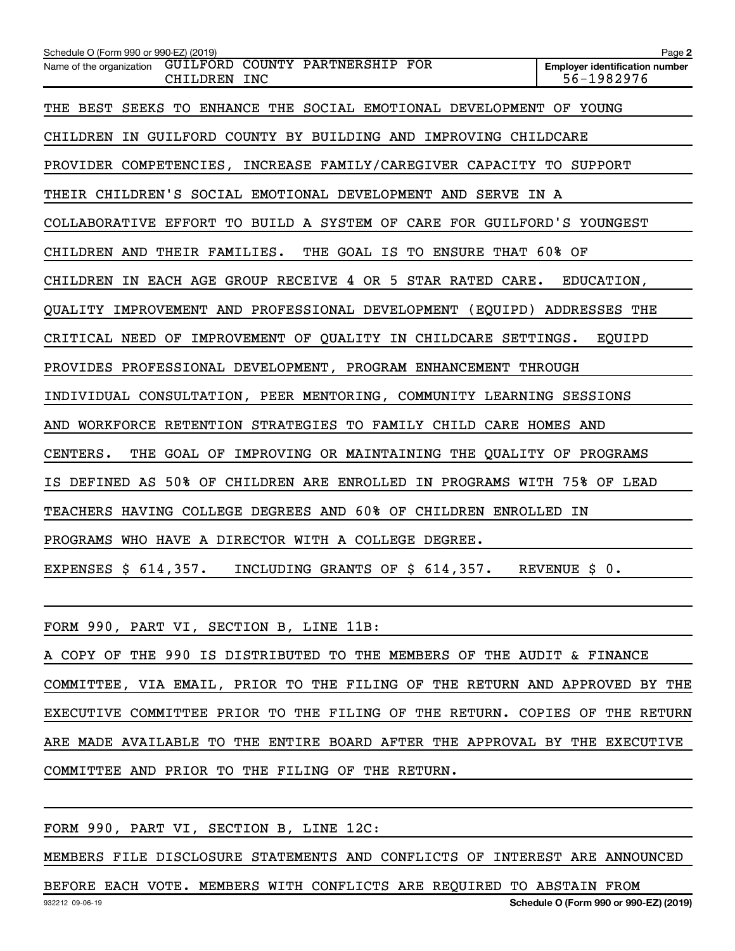| Schedule O (Form 990 or 990-EZ) (2019)                                      | Page 2                                              |
|-----------------------------------------------------------------------------|-----------------------------------------------------|
| GUILFORD COUNTY PARTNERSHIP FOR<br>Name of the organization<br>CHILDREN INC | <b>Employer identification number</b><br>56-1982976 |
| THE BEST SEEKS TO ENHANCE THE SOCIAL EMOTIONAL DEVELOPMENT OF YOUNG         |                                                     |
| CHILDREN IN GUILFORD COUNTY BY BUILDING AND IMPROVING CHILDCARE             |                                                     |
| PROVIDER COMPETENCIES, INCREASE FAMILY/CAREGIVER CAPACITY TO SUPPORT        |                                                     |
| THEIR CHILDREN'S SOCIAL EMOTIONAL DEVELOPMENT AND SERVE IN A                |                                                     |
| COLLABORATIVE EFFORT TO BUILD A SYSTEM OF CARE FOR GUILFORD'S YOUNGEST      |                                                     |
| THE GOAL IS TO ENSURE THAT 60% OF<br>CHILDREN AND THEIR FAMILIES.           |                                                     |
| CHILDREN IN EACH AGE GROUP RECEIVE 4 OR 5 STAR RATED CARE.                  | EDUCATION,                                          |
| QUALITY IMPROVEMENT AND PROFESSIONAL DEVELOPMENT (EQUIPD) ADDRESSES THE     |                                                     |
| CRITICAL NEED OF IMPROVEMENT OF QUALITY IN CHILDCARE SETTINGS.              | EOUIPD                                              |
| PROVIDES PROFESSIONAL DEVELOPMENT, PROGRAM ENHANCEMENT THROUGH              |                                                     |
| INDIVIDUAL CONSULTATION, PEER MENTORING, COMMUNITY LEARNING SESSIONS        |                                                     |
| AND WORKFORCE RETENTION STRATEGIES TO FAMILY CHILD CARE HOMES AND           |                                                     |
| THE GOAL OF IMPROVING OR MAINTAINING THE QUALITY OF PROGRAMS<br>CENTERS.    |                                                     |
| IS DEFINED AS 50% OF CHILDREN ARE ENROLLED IN PROGRAMS WITH 75% OF LEAD     |                                                     |
| TEACHERS HAVING COLLEGE DEGREES AND 60% OF CHILDREN ENROLLED IN             |                                                     |
| PROGRAMS WHO HAVE A DIRECTOR WITH A COLLEGE DEGREE.                         |                                                     |
| INCLUDING GRANTS OF \$ 614,357. REVENUE \$ 0.<br>EXPENSES \$ 614,357.       |                                                     |

FORM 990, PART VI, SECTION B, LINE 11B:

A COPY OF THE 990 IS DISTRIBUTED TO THE MEMBERS OF THE AUDIT & FINANCE COMMITTEE, VIA EMAIL, PRIOR TO THE FILING OF THE RETURN AND APPROVED BY THE EXECUTIVE COMMITTEE PRIOR TO THE FILING OF THE RETURN. COPIES OF THE RETURN ARE MADE AVAILABLE TO THE ENTIRE BOARD AFTER THE APPROVAL BY THE EXECUTIVE COMMITTEE AND PRIOR TO THE FILING OF THE RETURN.

FORM 990, PART VI, SECTION B, LINE 12C:

MEMBERS FILE DISCLOSURE STATEMENTS AND CONFLICTS OF INTEREST ARE ANNOUNCED

932212 09-06-19 **Schedule O (Form 990 or 990-EZ) (2019)** BEFORE EACH VOTE. MEMBERS WITH CONFLICTS ARE REQUIRED TO ABSTAIN FROM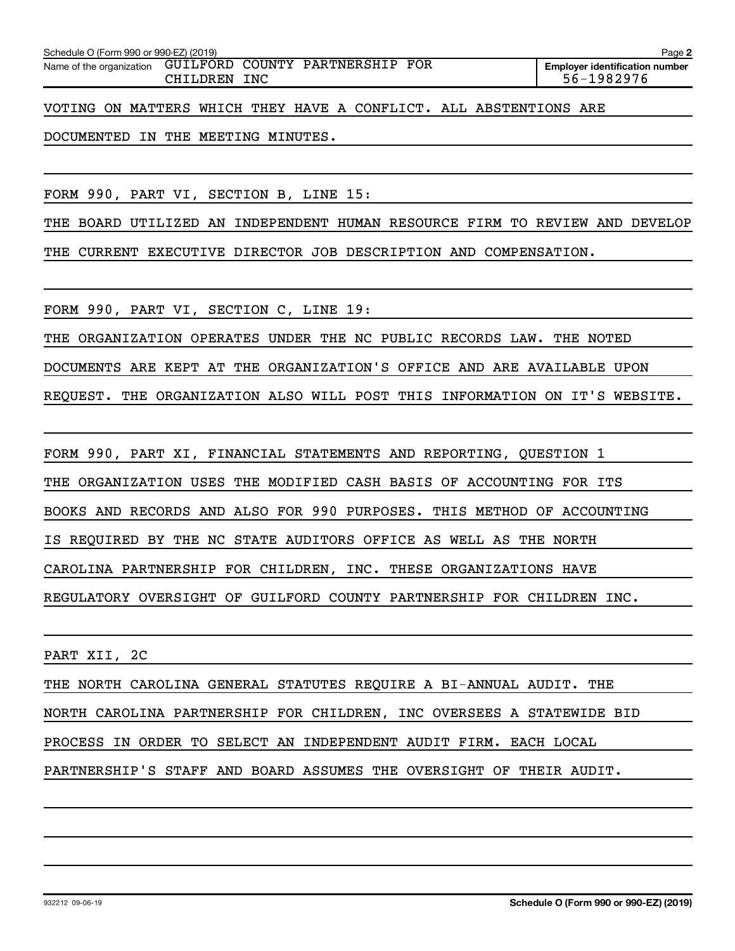| Schedule O (Form 990 or 990-EZ) (2019)<br>Page 2         |          |     |  |  |                                                     |  |  |  |
|----------------------------------------------------------|----------|-----|--|--|-----------------------------------------------------|--|--|--|
| Name of the organization GUILFORD COUNTY PARTNERSHIP FOR | CHILDREN | INC |  |  | <b>Emplover identification number</b><br>56-1982976 |  |  |  |

VOTING ON MATTERS WHICH THEY HAVE A CONFLICT. ALL ABSTENTIONS ARE

DOCUMENTED IN THE MEETING MINUTES.

FORM 990, PART VI, SECTION B, LINE 15:

THE BOARD UTILIZED AN INDEPENDENT HUMAN RESOURCE FIRM TO REVIEW AND DEVELOP THE CURRENT EXECUTIVE DIRECTOR JOB DESCRIPTION AND COMPENSATION.

FORM 990, PART VI, SECTION C, LINE 19:

THE ORGANIZATION OPERATES UNDER THE NC PUBLIC RECORDS LAW. THE NOTED

DOCUMENTS ARE KEPT AT THE ORGANIZATION'S OFFICE AND ARE AVAILABLE UPON

REQUEST. THE ORGANIZATION ALSO WILL POST THIS INFORMATION ON IT'S WEBSITE.

FORM 990, PART XI, FINANCIAL STATEMENTS AND REPORTING, QUESTION 1

THE ORGANIZATION USES THE MODIFIED CASH BASIS OF ACCOUNTING FOR ITS

BOOKS AND RECORDS AND ALSO FOR 990 PURPOSES. THIS METHOD OF ACCOUNTING

IS REQUIRED BY THE NC STATE AUDITORS OFFICE AS WELL AS THE NORTH

CAROLINA PARTNERSHIP FOR CHILDREN, INC. THESE ORGANIZATIONS HAVE

REGULATORY OVERSIGHT OF GUILFORD COUNTY PARTNERSHIP FOR CHILDREN INC.

PART XII, 2C

932212 09-06-19

THE NORTH CAROLINA GENERAL STATUTES REQUIRE A BI-ANNUAL AUDIT. THE NORTH CAROLINA PARTNERSHIP FOR CHILDREN, INC OVERSEES A STATEWIDE BID PROCESS IN ORDER TO SELECT AN INDEPENDENT AUDIT FIRM. EACH LOCAL PARTNERSHIP'S STAFF AND BOARD ASSUMES THE OVERSIGHT OF THEIR AUDIT.